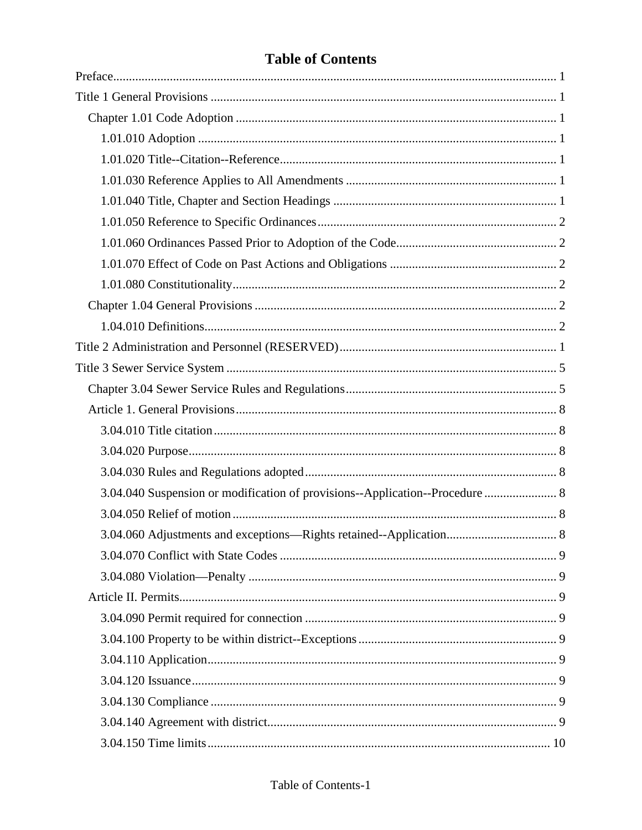# **Table of Contents**

| 3.04.040 Suspension or modification of provisions--Application--Procedure  8 |
|------------------------------------------------------------------------------|
|                                                                              |
|                                                                              |
|                                                                              |
|                                                                              |
|                                                                              |
|                                                                              |
|                                                                              |
|                                                                              |
|                                                                              |
|                                                                              |
|                                                                              |
|                                                                              |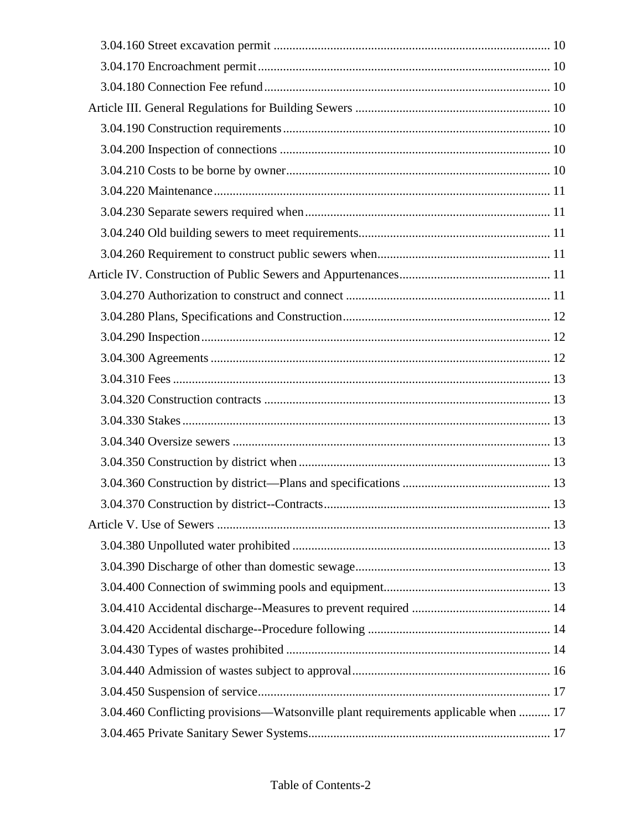|                                                                                    | . 13 |
|------------------------------------------------------------------------------------|------|
|                                                                                    |      |
|                                                                                    |      |
|                                                                                    |      |
|                                                                                    |      |
|                                                                                    |      |
|                                                                                    |      |
|                                                                                    |      |
|                                                                                    |      |
|                                                                                    |      |
| 3.04.460 Conflicting provisions—Watsonville plant requirements applicable when  17 |      |
|                                                                                    |      |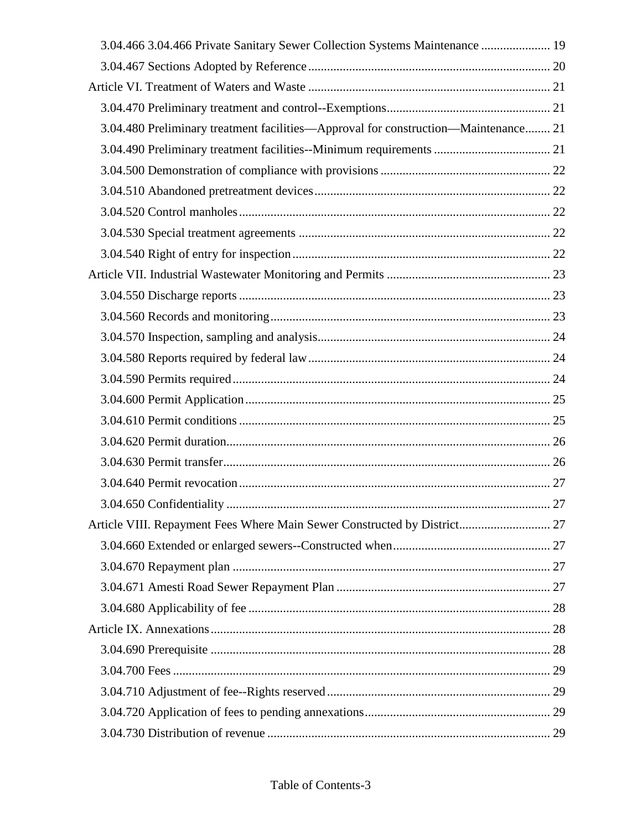| 3.04.466 3.04.466 Private Sanitary Sewer Collection Systems Maintenance  19        |  |
|------------------------------------------------------------------------------------|--|
|                                                                                    |  |
|                                                                                    |  |
|                                                                                    |  |
| 3.04.480 Preliminary treatment facilities—Approval for construction—Maintenance 21 |  |
|                                                                                    |  |
|                                                                                    |  |
|                                                                                    |  |
|                                                                                    |  |
|                                                                                    |  |
|                                                                                    |  |
|                                                                                    |  |
|                                                                                    |  |
|                                                                                    |  |
|                                                                                    |  |
|                                                                                    |  |
|                                                                                    |  |
|                                                                                    |  |
|                                                                                    |  |
|                                                                                    |  |
|                                                                                    |  |
|                                                                                    |  |
|                                                                                    |  |
|                                                                                    |  |
|                                                                                    |  |
|                                                                                    |  |
|                                                                                    |  |
|                                                                                    |  |
|                                                                                    |  |
|                                                                                    |  |
|                                                                                    |  |
|                                                                                    |  |
|                                                                                    |  |
|                                                                                    |  |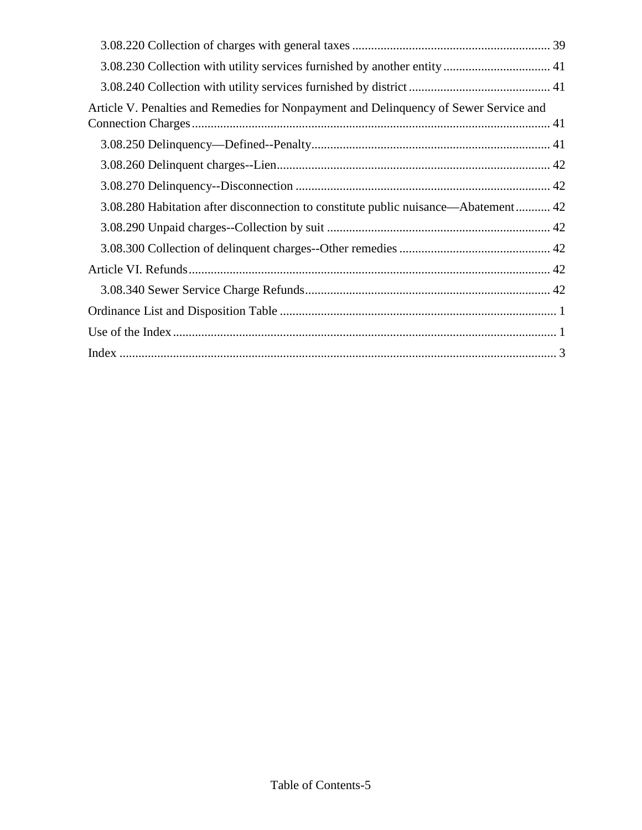| Article V. Penalties and Remedies for Nonpayment and Delinquency of Sewer Service and |
|---------------------------------------------------------------------------------------|
|                                                                                       |
|                                                                                       |
|                                                                                       |
| 3.08.280 Habitation after disconnection to constitute public nuisance—Abatement 42    |
|                                                                                       |
|                                                                                       |
|                                                                                       |
|                                                                                       |
|                                                                                       |
|                                                                                       |
|                                                                                       |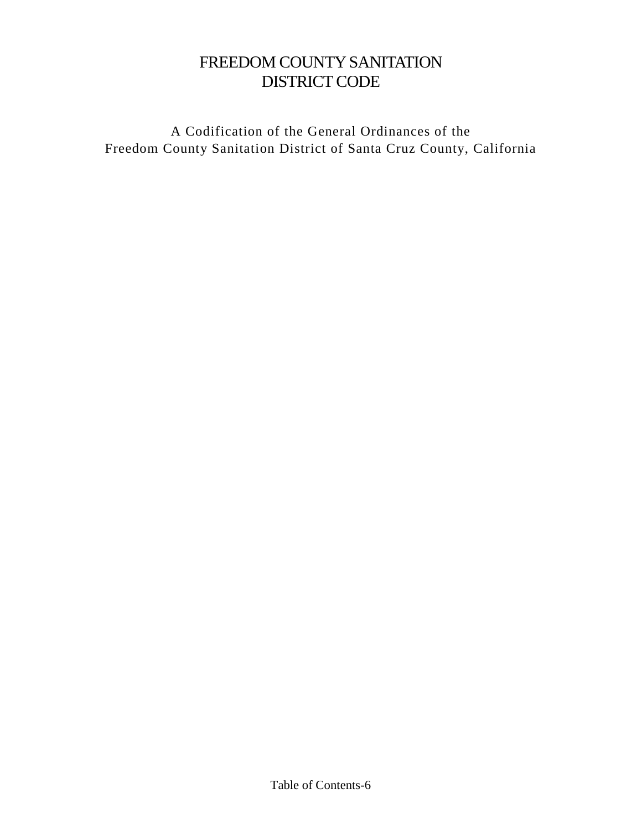# FREEDOM COUNTY SANITATION DISTRICT CODE

A Codification of the General Ordinances of the Freedom County Sanitation District of Santa Cruz County, California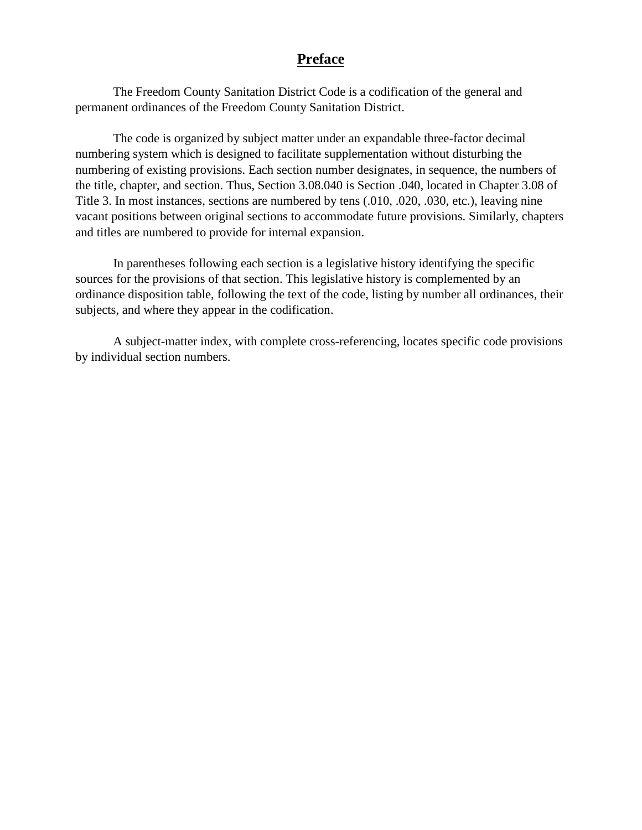# **Preface**

<span id="page-6-0"></span>The Freedom County Sanitation District Code is a codification of the general and permanent ordinances of the Freedom County Sanitation District.

The code is organized by subject matter under an expandable three-factor decimal numbering system which is designed to facilitate supplementation without disturbing the numbering of existing provisions. Each section number designates, in sequence, the numbers of the title, chapter, and section. Thus, Section 3.08.040 is Section .040, located in Chapter 3.08 of Title 3. In most instances, sections are numbered by tens (.010, .020, .030, etc.), leaving nine vacant positions between original sections to accommodate future provisions. Similarly, chapters and titles are numbered to provide for internal expansion.

In parentheses following each section is a legislative history identifying the specific sources for the provisions of that section. This legislative history is complemented by an ordinance disposition table, following the text of the code, listing by number all ordinances, their subjects, and where they appear in the codification.

A subject-matter index, with complete cross-referencing, locates specific code provisions by individual section numbers.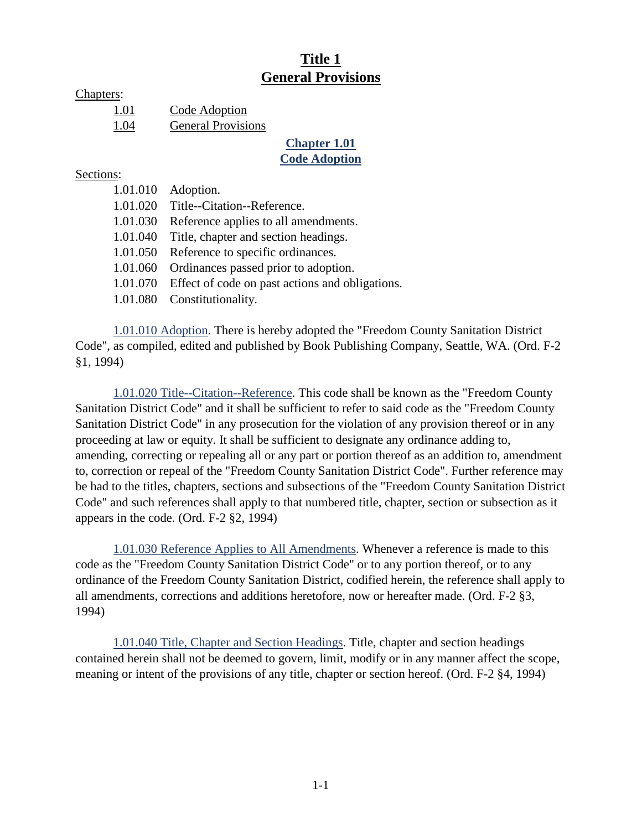# **Title 1 General Provisions**

<span id="page-7-0"></span>Chapters:

| 1.01 | Code Adoption             |
|------|---------------------------|
| 1.04 | <b>General Provisions</b> |

#### **Chapter 1.01 Code Adoption**

#### <span id="page-7-1"></span>Sections:

|          | 1.01.010 Adoption.                                       |
|----------|----------------------------------------------------------|
| 1.01.020 | Title--Citation--Reference.                              |
| 1.01.030 | Reference applies to all amendments.                     |
| 1.01.040 | Title, chapter and section headings.                     |
| 1.01.050 | Reference to specific ordinances.                        |
| 1.01.060 | Ordinances passed prior to adoption.                     |
|          | 1.01.070 Effect of code on past actions and obligations. |
|          | 1.01.080 Constitutionality.                              |

<span id="page-7-2"></span>1.01.010 Adoption. There is hereby adopted the "Freedom County Sanitation District Code", as compiled, edited and published by Book Publishing Company, Seattle, WA. (Ord. F-2 §1, 1994)

<span id="page-7-3"></span>1.01.020 Title--Citation--Reference. This code shall be known as the "Freedom County Sanitation District Code" and it shall be sufficient to refer to said code as the "Freedom County Sanitation District Code" in any prosecution for the violation of any provision thereof or in any proceeding at law or equity. It shall be sufficient to designate any ordinance adding to, amending, correcting or repealing all or any part or portion thereof as an addition to, amendment to, correction or repeal of the "Freedom County Sanitation District Code". Further reference may be had to the titles, chapters, sections and subsections of the "Freedom County Sanitation District Code" and such references shall apply to that numbered title, chapter, section or subsection as it appears in the code. (Ord. F-2 §2, 1994)

<span id="page-7-4"></span>1.01.030 Reference Applies to All Amendments. Whenever a reference is made to this code as the "Freedom County Sanitation District Code" or to any portion thereof, or to any ordinance of the Freedom County Sanitation District, codified herein, the reference shall apply to all amendments, corrections and additions heretofore, now or hereafter made. (Ord. F-2 §3, 1994)

<span id="page-7-5"></span>1.01.040 Title, Chapter and Section Headings. Title, chapter and section headings contained herein shall not be deemed to govern, limit, modify or in any manner affect the scope, meaning or intent of the provisions of any title, chapter or section hereof. (Ord. F-2 §4, 1994)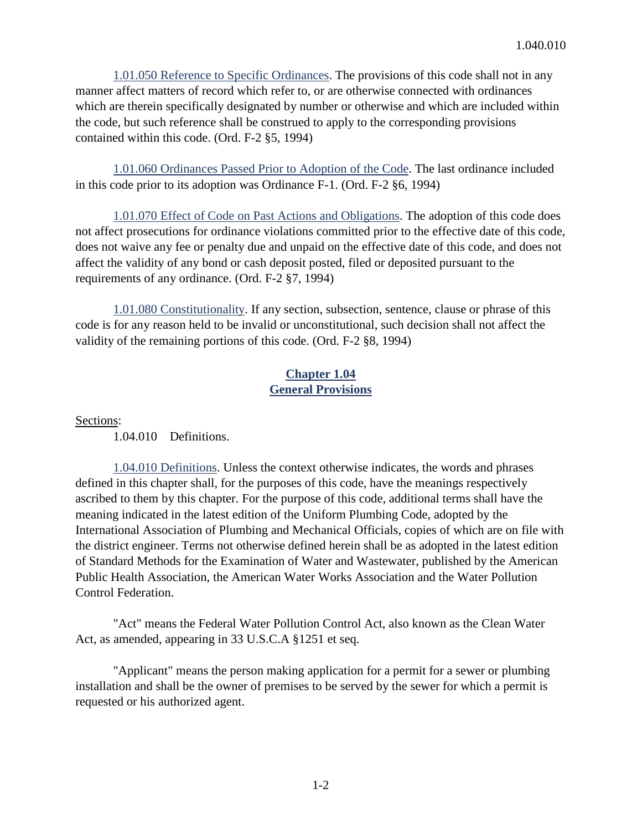<span id="page-8-0"></span>1.01.050 Reference to Specific Ordinances. The provisions of this code shall not in any manner affect matters of record which refer to, or are otherwise connected with ordinances which are therein specifically designated by number or otherwise and which are included within the code, but such reference shall be construed to apply to the corresponding provisions contained within this code. (Ord. F-2 §5, 1994)

<span id="page-8-1"></span>1.01.060 Ordinances Passed Prior to Adoption of the Code. The last ordinance included in this code prior to its adoption was Ordinance F-1. (Ord. F-2 §6, 1994)

<span id="page-8-2"></span>1.01.070 Effect of Code on Past Actions and Obligations. The adoption of this code does not affect prosecutions for ordinance violations committed prior to the effective date of this code, does not waive any fee or penalty due and unpaid on the effective date of this code, and does not affect the validity of any bond or cash deposit posted, filed or deposited pursuant to the requirements of any ordinance. (Ord. F-2 §7, 1994)

<span id="page-8-3"></span>1.01.080 Constitutionality. If any section, subsection, sentence, clause or phrase of this code is for any reason held to be invalid or unconstitutional, such decision shall not affect the validity of the remaining portions of this code. (Ord. F-2 §8, 1994)

## **Chapter 1.04 General Provisions**

<span id="page-8-4"></span>Sections:

<span id="page-8-5"></span>1.04.010 Definitions.

1.04.010 Definitions. Unless the context otherwise indicates, the words and phrases defined in this chapter shall, for the purposes of this code, have the meanings respectively ascribed to them by this chapter. For the purpose of this code, additional terms shall have the meaning indicated in the latest edition of the Uniform Plumbing Code, adopted by the International Association of Plumbing and Mechanical Officials, copies of which are on file with the district engineer. Terms not otherwise defined herein shall be as adopted in the latest edition of Standard Methods for the Examination of Water and Wastewater, published by the American Public Health Association, the American Water Works Association and the Water Pollution Control Federation.

"Act" means the Federal Water Pollution Control Act, also known as the Clean Water Act, as amended, appearing in 33 U.S.C.A §1251 et seq.

"Applicant" means the person making application for a permit for a sewer or plumbing installation and shall be the owner of premises to be served by the sewer for which a permit is requested or his authorized agent.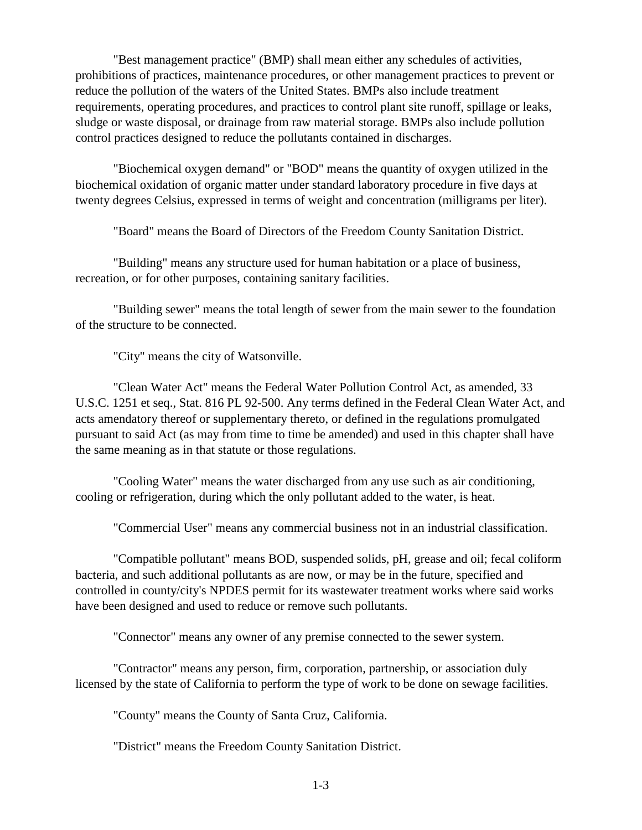"Best management practice" (BMP) shall mean either any schedules of activities, prohibitions of practices, maintenance procedures, or other management practices to prevent or reduce the pollution of the waters of the United States. BMPs also include treatment requirements, operating procedures, and practices to control plant site runoff, spillage or leaks, sludge or waste disposal, or drainage from raw material storage. BMPs also include pollution control practices designed to reduce the pollutants contained in discharges.

"Biochemical oxygen demand" or "BOD" means the quantity of oxygen utilized in the biochemical oxidation of organic matter under standard laboratory procedure in five days at twenty degrees Celsius, expressed in terms of weight and concentration (milligrams per liter).

"Board" means the Board of Directors of the Freedom County Sanitation District.

"Building" means any structure used for human habitation or a place of business, recreation, or for other purposes, containing sanitary facilities.

"Building sewer" means the total length of sewer from the main sewer to the foundation of the structure to be connected.

"City" means the city of Watsonville.

"Clean Water Act" means the Federal Water Pollution Control Act, as amended, 33 U.S.C. 1251 et seq., Stat. 816 PL 92-500. Any terms defined in the Federal Clean Water Act, and acts amendatory thereof or supplementary thereto, or defined in the regulations promulgated pursuant to said Act (as may from time to time be amended) and used in this chapter shall have the same meaning as in that statute or those regulations.

"Cooling Water" means the water discharged from any use such as air conditioning, cooling or refrigeration, during which the only pollutant added to the water, is heat.

"Commercial User" means any commercial business not in an industrial classification.

"Compatible pollutant" means BOD, suspended solids, pH, grease and oil; fecal coliform bacteria, and such additional pollutants as are now, or may be in the future, specified and controlled in county/city's NPDES permit for its wastewater treatment works where said works have been designed and used to reduce or remove such pollutants.

"Connector" means any owner of any premise connected to the sewer system.

"Contractor" means any person, firm, corporation, partnership, or association duly licensed by the state of California to perform the type of work to be done on sewage facilities.

"County" means the County of Santa Cruz, California.

"District" means the Freedom County Sanitation District.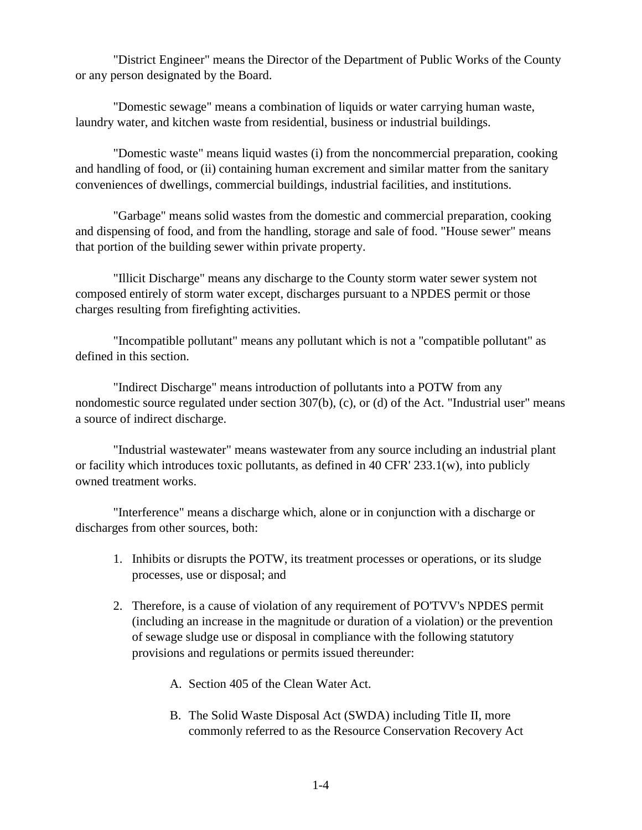"District Engineer" means the Director of the Department of Public Works of the County or any person designated by the Board.

"Domestic sewage" means a combination of liquids or water carrying human waste, laundry water, and kitchen waste from residential, business or industrial buildings.

"Domestic waste" means liquid wastes (i) from the noncommercial preparation, cooking and handling of food, or (ii) containing human excrement and similar matter from the sanitary conveniences of dwellings, commercial buildings, industrial facilities, and institutions.

"Garbage" means solid wastes from the domestic and commercial preparation, cooking and dispensing of food, and from the handling, storage and sale of food. "House sewer" means that portion of the building sewer within private property.

"Illicit Discharge" means any discharge to the County storm water sewer system not composed entirely of storm water except, discharges pursuant to a NPDES permit or those charges resulting from firefighting activities.

"Incompatible pollutant" means any pollutant which is not a "compatible pollutant" as defined in this section.

"Indirect Discharge" means introduction of pollutants into a POTW from any nondomestic source regulated under section 307(b), (c), or (d) of the Act. "Industrial user" means a source of indirect discharge.

"Industrial wastewater" means wastewater from any source including an industrial plant or facility which introduces toxic pollutants, as defined in 40 CFR' 233.1(w), into publicly owned treatment works.

"Interference" means a discharge which, alone or in conjunction with a discharge or discharges from other sources, both:

- 1. Inhibits or disrupts the POTW, its treatment processes or operations, or its sludge processes, use or disposal; and
- 2. Therefore, is a cause of violation of any requirement of PO'TVV's NPDES permit (including an increase in the magnitude or duration of a violation) or the prevention of sewage sludge use or disposal in compliance with the following statutory provisions and regulations or permits issued thereunder:
	- A. Section 405 of the Clean Water Act.
	- B. The Solid Waste Disposal Act (SWDA) including Title II, more commonly referred to as the Resource Conservation Recovery Act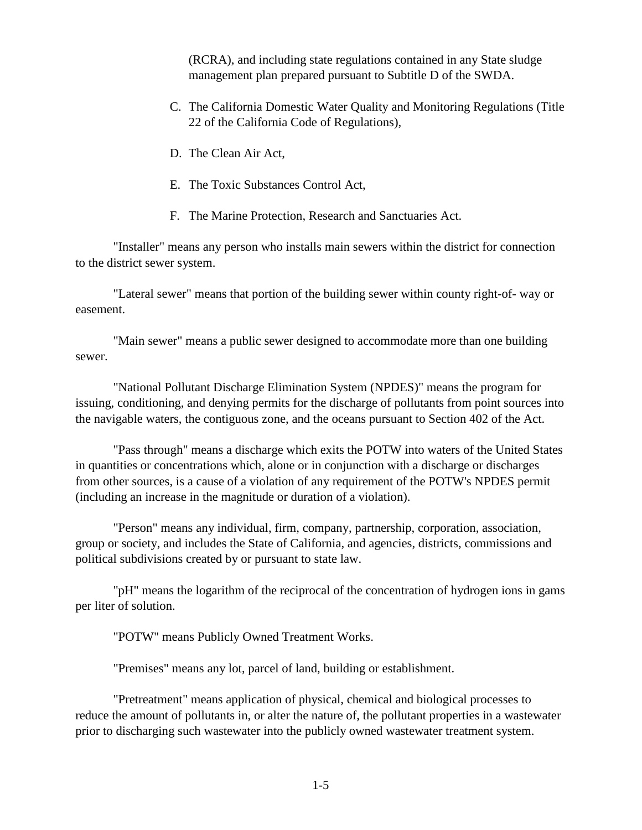(RCRA), and including state regulations contained in any State sludge management plan prepared pursuant to Subtitle D of the SWDA.

- C. The California Domestic Water Quality and Monitoring Regulations (Title 22 of the California Code of Regulations),
- D. The Clean Air Act,
- E. The Toxic Substances Control Act,
- F. The Marine Protection, Research and Sanctuaries Act.

"Installer" means any person who installs main sewers within the district for connection to the district sewer system.

"Lateral sewer" means that portion of the building sewer within county right-of- way or easement.

"Main sewer" means a public sewer designed to accommodate more than one building sewer.

"National Pollutant Discharge Elimination System (NPDES)" means the program for issuing, conditioning, and denying permits for the discharge of pollutants from point sources into the navigable waters, the contiguous zone, and the oceans pursuant to Section 402 of the Act.

"Pass through" means a discharge which exits the POTW into waters of the United States in quantities or concentrations which, alone or in conjunction with a discharge or discharges from other sources, is a cause of a violation of any requirement of the POTW's NPDES permit (including an increase in the magnitude or duration of a violation).

"Person" means any individual, firm, company, partnership, corporation, association, group or society, and includes the State of California, and agencies, districts, commissions and political subdivisions created by or pursuant to state law.

"pH" means the logarithm of the reciprocal of the concentration of hydrogen ions in gams per liter of solution.

"POTW" means Publicly Owned Treatment Works.

"Premises" means any lot, parcel of land, building or establishment.

"Pretreatment" means application of physical, chemical and biological processes to reduce the amount of pollutants in, or alter the nature of, the pollutant properties in a wastewater prior to discharging such wastewater into the publicly owned wastewater treatment system.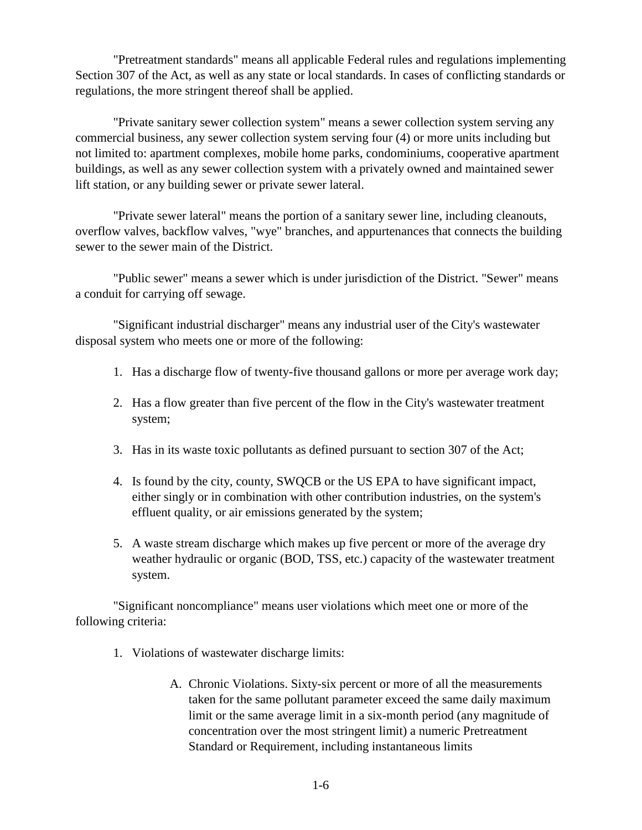"Pretreatment standards" means all applicable Federal rules and regulations implementing Section 307 of the Act, as well as any state or local standards. In cases of conflicting standards or regulations, the more stringent thereof shall be applied.

"Private sanitary sewer collection system" means a sewer collection system serving any commercial business, any sewer collection system serving four (4) or more units including but not limited to: apartment complexes, mobile home parks, condominiums, cooperative apartment buildings, as well as any sewer collection system with a privately owned and maintained sewer lift station, or any building sewer or private sewer lateral.

"Private sewer lateral" means the portion of a sanitary sewer line, including cleanouts, overflow valves, backflow valves, "wye" branches, and appurtenances that connects the building sewer to the sewer main of the District.

"Public sewer" means a sewer which is under jurisdiction of the District. "Sewer" means a conduit for carrying off sewage.

"Significant industrial discharger" means any industrial user of the City's wastewater disposal system who meets one or more of the following:

- 1. Has a discharge flow of twenty-five thousand gallons or more per average work day;
- 2. Has a flow greater than five percent of the flow in the City's wastewater treatment system;
- 3. Has in its waste toxic pollutants as defined pursuant to section 307 of the Act;
- 4. Is found by the city, county, SWQCB or the US EPA to have significant impact, either singly or in combination with other contribution industries, on the system's effluent quality, or air emissions generated by the system;
- 5. A waste stream discharge which makes up five percent or more of the average dry weather hydraulic or organic (BOD, TSS, etc.) capacity of the wastewater treatment system.

"Significant noncompliance" means user violations which meet one or more of the following criteria:

- 1. Violations of wastewater discharge limits:
	- A. Chronic Violations. Sixty-six percent or more of all the measurements taken for the same pollutant parameter exceed the same daily maximum limit or the same average limit in a six-month period (any magnitude of concentration over the most stringent limit) a numeric Pretreatment Standard or Requirement, including instantaneous limits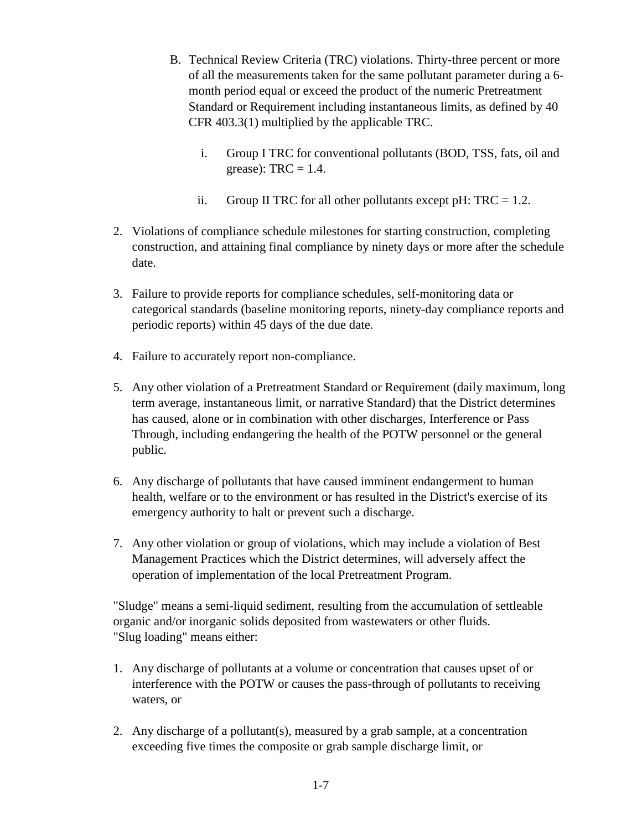- B. Technical Review Criteria (TRC) violations. Thirty-three percent or more of all the measurements taken for the same pollutant parameter during a 6 month period equal or exceed the product of the numeric Pretreatment Standard or Requirement including instantaneous limits, as defined by 40 CFR 403.3(1) multiplied by the applicable TRC.
	- i. Group I TRC for conventional pollutants (BOD, TSS, fats, oil and grease):  $TRC = 1.4$ .
	- ii. Group II TRC for all other pollutants except pH:  $TRC = 1.2$ .
- 2. Violations of compliance schedule milestones for starting construction, completing construction, and attaining final compliance by ninety days or more after the schedule date.
- 3. Failure to provide reports for compliance schedules, self-monitoring data or categorical standards (baseline monitoring reports, ninety-day compliance reports and periodic reports) within 45 days of the due date.
- 4. Failure to accurately report non-compliance.
- 5. Any other violation of a Pretreatment Standard or Requirement (daily maximum, long term average, instantaneous limit, or narrative Standard) that the District determines has caused, alone or in combination with other discharges, Interference or Pass Through, including endangering the health of the POTW personnel or the general public.
- 6. Any discharge of pollutants that have caused imminent endangerment to human health, welfare or to the environment or has resulted in the District's exercise of its emergency authority to halt or prevent such a discharge.
- 7. Any other violation or group of violations, which may include a violation of Best Management Practices which the District determines, will adversely affect the operation of implementation of the local Pretreatment Program.

"Sludge" means a semi-liquid sediment, resulting from the accumulation of settleable organic and/or inorganic solids deposited from wastewaters or other fluids. "Slug loading" means either:

- 1. Any discharge of pollutants at a volume or concentration that causes upset of or interference with the POTW or causes the pass-through of pollutants to receiving waters, or
- 2. Any discharge of a pollutant(s), measured by a grab sample, at a concentration exceeding five times the composite or grab sample discharge limit, or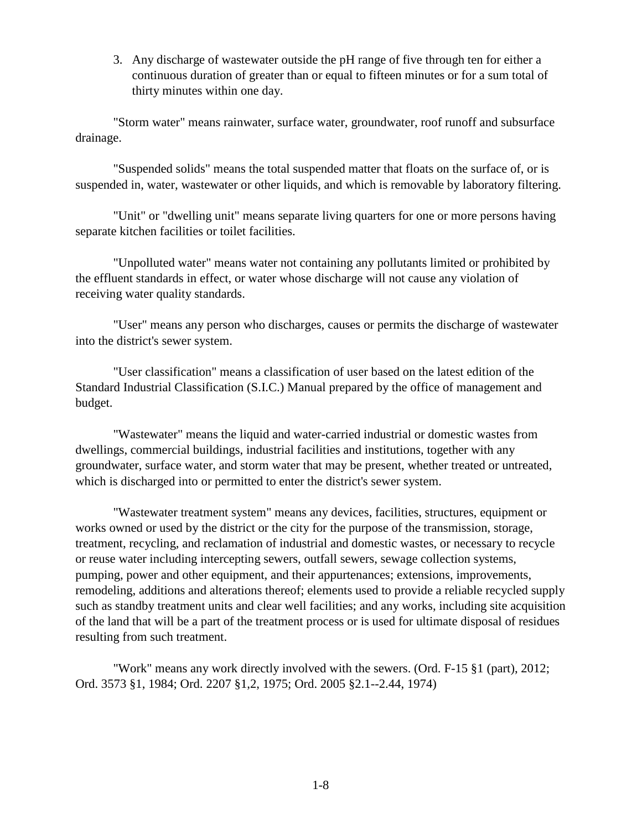3. Any discharge of wastewater outside the pH range of five through ten for either a continuous duration of greater than or equal to fifteen minutes or for a sum total of thirty minutes within one day.

"Storm water" means rainwater, surface water, groundwater, roof runoff and subsurface drainage.

"Suspended solids" means the total suspended matter that floats on the surface of, or is suspended in, water, wastewater or other liquids, and which is removable by laboratory filtering.

"Unit" or "dwelling unit" means separate living quarters for one or more persons having separate kitchen facilities or toilet facilities.

"Unpolluted water" means water not containing any pollutants limited or prohibited by the effluent standards in effect, or water whose discharge will not cause any violation of receiving water quality standards.

"User" means any person who discharges, causes or permits the discharge of wastewater into the district's sewer system.

"User classification" means a classification of user based on the latest edition of the Standard Industrial Classification (S.I.C.) Manual prepared by the office of management and budget.

"Wastewater" means the liquid and water-carried industrial or domestic wastes from dwellings, commercial buildings, industrial facilities and institutions, together with any groundwater, surface water, and storm water that may be present, whether treated or untreated, which is discharged into or permitted to enter the district's sewer system.

"Wastewater treatment system" means any devices, facilities, structures, equipment or works owned or used by the district or the city for the purpose of the transmission, storage, treatment, recycling, and reclamation of industrial and domestic wastes, or necessary to recycle or reuse water including intercepting sewers, outfall sewers, sewage collection systems, pumping, power and other equipment, and their appurtenances; extensions, improvements, remodeling, additions and alterations thereof; elements used to provide a reliable recycled supply such as standby treatment units and clear well facilities; and any works, including site acquisition of the land that will be a part of the treatment process or is used for ultimate disposal of residues resulting from such treatment.

"Work" means any work directly involved with the sewers. (Ord. F-15 §1 (part), 2012; Ord. 3573 §1, 1984; Ord. 2207 §1,2, 1975; Ord. 2005 §2.1--2.44, 1974)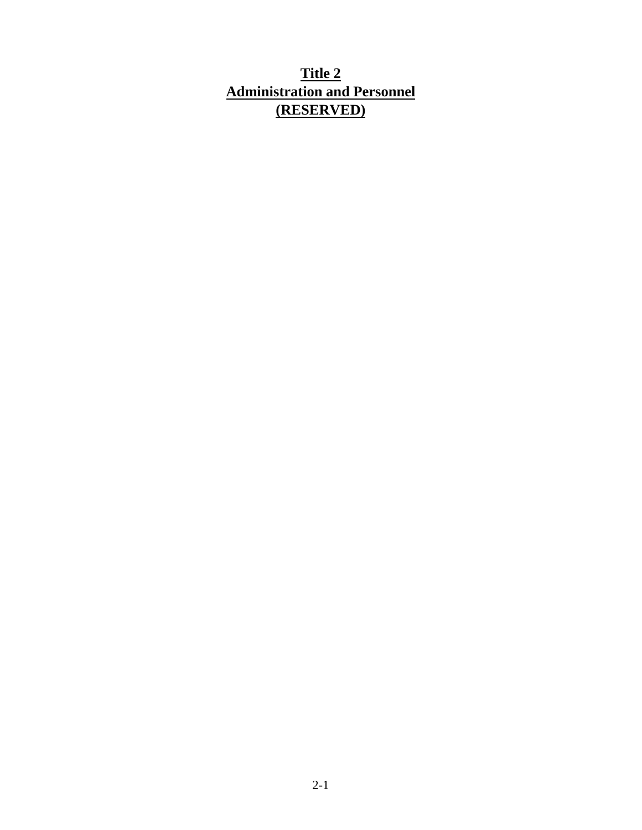# <span id="page-15-0"></span>**Title 2 Administration and Personnel (RESERVED)**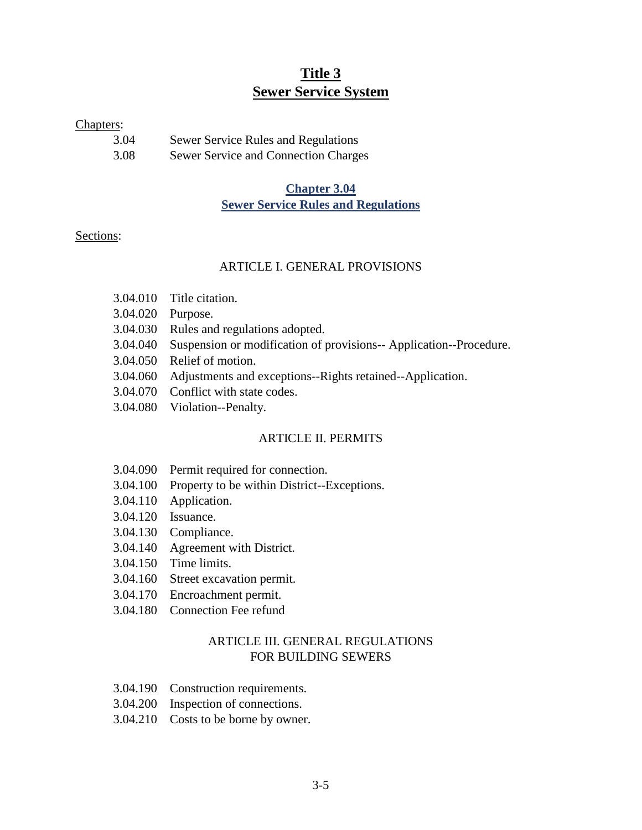# **Title 3 Sewer Service System**

#### <span id="page-16-0"></span>Chapters:

| 3.04 | Sewer Service Rules and Regulations  |
|------|--------------------------------------|
| 3.08 | Sewer Service and Connection Charges |

## **Chapter 3.04 Sewer Service Rules and Regulations**

#### <span id="page-16-1"></span>Sections:

#### ARTICLE I. GENERAL PROVISIONS

- 3.04.010 Title citation.
- 3.04.020 Purpose.
- 3.04.030 Rules and regulations adopted.
- 3.04.040 Suspension or modification of provisions-- Application--Procedure.
- 3.04.050 Relief of motion.
- 3.04.060 Adjustments and exceptions--Rights retained--Application.
- 3.04.070 Conflict with state codes.
- 3.04.080 Violation--Penalty.

#### ARTICLE II. PERMITS

- 3.04.090 Permit required for connection.
- 3.04.100 Property to be within District--Exceptions.
- 3.04.110 Application.
- 3.04.120 Issuance.
- 3.04.130 Compliance.
- 3.04.140 Agreement with District.
- 3.04.150 Time limits.
- 3.04.160 Street excavation permit.
- 3.04.170 Encroachment permit.
- 3.04.180 Connection Fee refund

## ARTICLE III. GENERAL REGULATIONS FOR BUILDING SEWERS

- 3.04.190 Construction requirements.
- 3.04.200 Inspection of connections.
- 3.04.210 Costs to be borne by owner.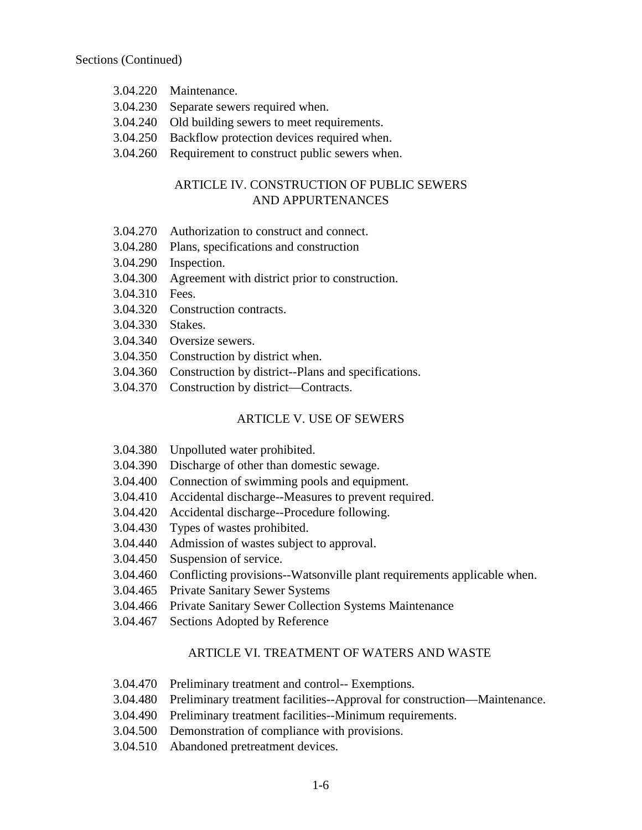- 3.04.220 Maintenance.
- 3.04.230 Separate sewers required when.
- 3.04.240 Old building sewers to meet requirements.
- 3.04.250 Backflow protection devices required when.
- 3.04.260 Requirement to construct public sewers when.

## ARTICLE IV. CONSTRUCTION OF PUBLIC SEWERS AND APPURTENANCES

- 3.04.270 Authorization to construct and connect.
- 3.04.280 Plans, specifications and construction
- 3.04.290 Inspection.
- 3.04.300 Agreement with district prior to construction.
- 3.04.310 Fees.
- 3.04.320 Construction contracts.
- 3.04.330 Stakes.
- 3.04.340 Oversize sewers.
- 3.04.350 Construction by district when.
- 3.04.360 Construction by district--Plans and specifications.
- 3.04.370 Construction by district—Contracts.

#### ARTICLE V. USE OF SEWERS

- 3.04.380 Unpolluted water prohibited.
- 3.04.390 Discharge of other than domestic sewage.
- 3.04.400 Connection of swimming pools and equipment.
- 3.04.410 Accidental discharge--Measures to prevent required.
- 3.04.420 Accidental discharge--Procedure following.
- 3.04.430 Types of wastes prohibited.
- 3.04.440 Admission of wastes subject to approval.
- 3.04.450 Suspension of service.
- 3.04.460 Conflicting provisions--Watsonville plant requirements applicable when.
- 3.04.465 Private Sanitary Sewer Systems
- 3.04.466 Private Sanitary Sewer Collection Systems Maintenance
- 3.04.467 Sections Adopted by Reference

#### ARTICLE VI. TREATMENT OF WATERS AND WASTE

- 3.04.470 Preliminary treatment and control-- Exemptions.
- 3.04.480 Preliminary treatment facilities--Approval for construction—Maintenance.
- 3.04.490 Preliminary treatment facilities--Minimum requirements.
- 3.04.500 Demonstration of compliance with provisions.
- 3.04.510 Abandoned pretreatment devices.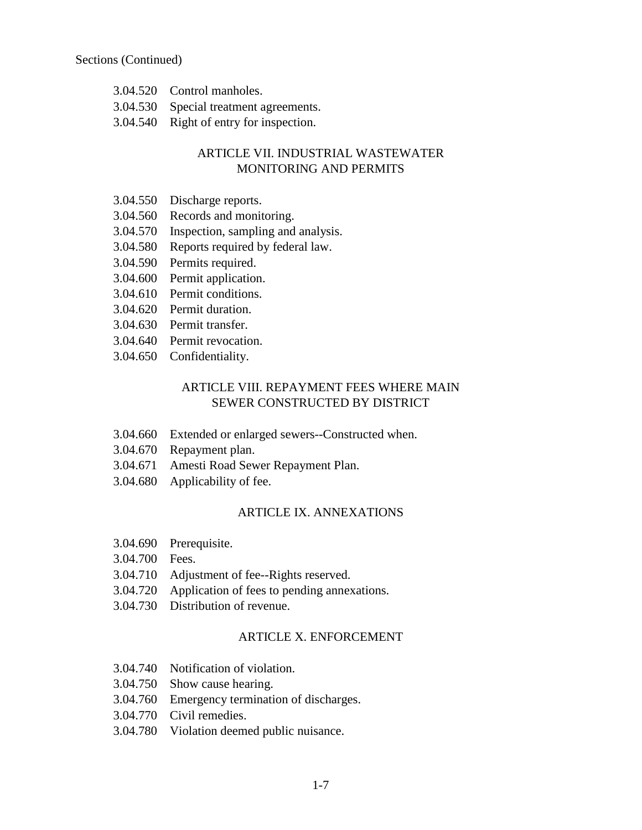- 3.04.520 Control manholes.
- 3.04.530 Special treatment agreements.
- 3.04.540 Right of entry for inspection.

# ARTICLE VII. INDUSTRIAL WASTEWATER MONITORING AND PERMITS

- 3.04.550 Discharge reports.
- 3.04.560 Records and monitoring.
- 3.04.570 Inspection, sampling and analysis.
- 3.04.580 Reports required by federal law.
- 3.04.590 Permits required.
- 3.04.600 Permit application.
- 3.04.610 Permit conditions.
- 3.04.620 Permit duration.
- 3.04.630 Permit transfer.
- 3.04.640 Permit revocation.
- 3.04.650 Confidentiality.

## ARTICLE VIII. REPAYMENT FEES WHERE MAIN SEWER CONSTRUCTED BY DISTRICT

- 3.04.660 Extended or enlarged sewers--Constructed when.
- 3.04.670 Repayment plan.
- 3.04.671 Amesti Road Sewer Repayment Plan.
- 3.04.680 Applicability of fee.

#### ARTICLE IX. ANNEXATIONS

- 3.04.690 Prerequisite.
- 3.04.700 Fees.
- 3.04.710 Adjustment of fee--Rights reserved.
- 3.04.720 Application of fees to pending annexations.
- 3.04.730 Distribution of revenue.

### ARTICLE X. ENFORCEMENT

- 3.04.740 Notification of violation.
- 3.04.750 Show cause hearing.
- 3.04.760 Emergency termination of discharges.
- 3.04.770 Civil remedies.
- 3.04.780 Violation deemed public nuisance.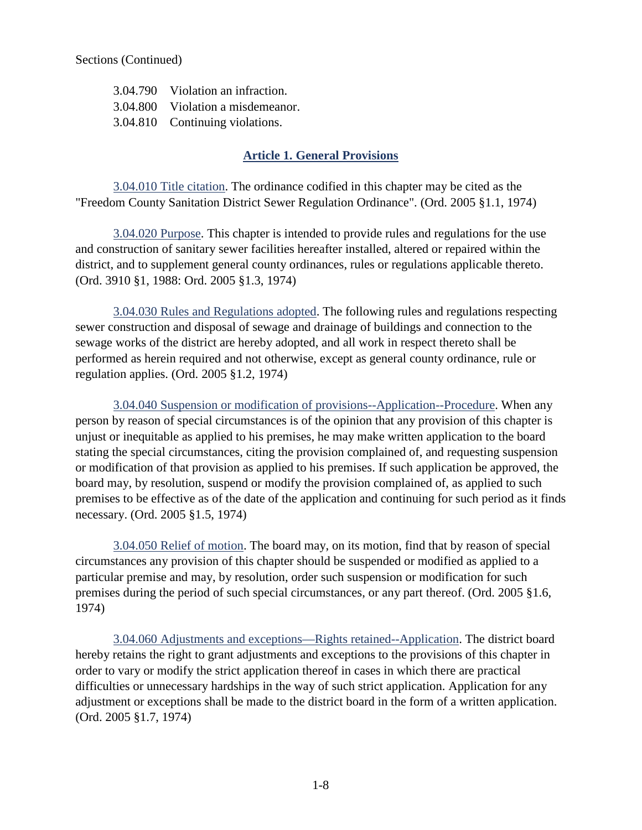3.04.790 Violation an infraction. 3.04.800 Violation a misdemeanor. 3.04.810 Continuing violations.

## **Article 1. General Provisions**

<span id="page-19-1"></span><span id="page-19-0"></span>3.04.010 Title citation. The ordinance codified in this chapter may be cited as the "Freedom County Sanitation District Sewer Regulation Ordinance". (Ord. 2005 §1.1, 1974)

<span id="page-19-2"></span>3.04.020 Purpose. This chapter is intended to provide rules and regulations for the use and construction of sanitary sewer facilities hereafter installed, altered or repaired within the district, and to supplement general county ordinances, rules or regulations applicable thereto. (Ord. 3910 §1, 1988: Ord. 2005 §1.3, 1974)

<span id="page-19-3"></span>3.04.030 Rules and Regulations adopted. The following rules and regulations respecting sewer construction and disposal of sewage and drainage of buildings and connection to the sewage works of the district are hereby adopted, and all work in respect thereto shall be performed as herein required and not otherwise, except as general county ordinance, rule or regulation applies. (Ord. 2005 §1.2, 1974)

<span id="page-19-4"></span>3.04.040 Suspension or modification of provisions--Application--Procedure. When any person by reason of special circumstances is of the opinion that any provision of this chapter is unjust or inequitable as applied to his premises, he may make written application to the board stating the special circumstances, citing the provision complained of, and requesting suspension or modification of that provision as applied to his premises. If such application be approved, the board may, by resolution, suspend or modify the provision complained of, as applied to such premises to be effective as of the date of the application and continuing for such period as it finds necessary. (Ord. 2005 §1.5, 1974)

<span id="page-19-5"></span>3.04.050 Relief of motion. The board may, on its motion, find that by reason of special circumstances any provision of this chapter should be suspended or modified as applied to a particular premise and may, by resolution, order such suspension or modification for such premises during the period of such special circumstances, or any part thereof. (Ord. 2005 §1.6, 1974)

<span id="page-19-6"></span>3.04.060 Adjustments and exceptions—Rights retained--Application. The district board hereby retains the right to grant adjustments and exceptions to the provisions of this chapter in order to vary or modify the strict application thereof in cases in which there are practical difficulties or unnecessary hardships in the way of such strict application. Application for any adjustment or exceptions shall be made to the district board in the form of a written application. (Ord. 2005 §1.7, 1974)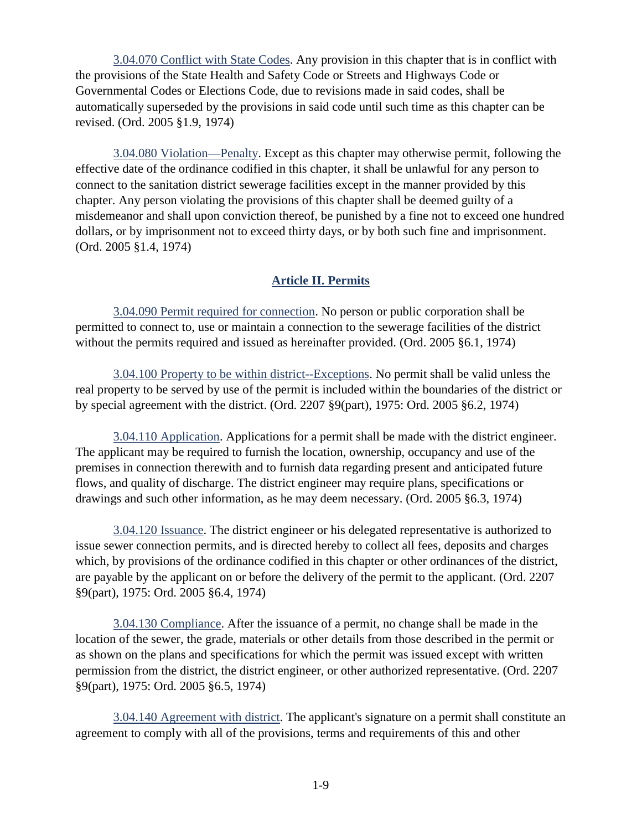<span id="page-20-0"></span>3.04.070 Conflict with State Codes. Any provision in this chapter that is in conflict with the provisions of the State Health and Safety Code or Streets and Highways Code or Governmental Codes or Elections Code, due to revisions made in said codes, shall be automatically superseded by the provisions in said code until such time as this chapter can be revised. (Ord. 2005 §1.9, 1974)

<span id="page-20-1"></span>3.04.080 Violation—Penalty. Except as this chapter may otherwise permit, following the effective date of the ordinance codified in this chapter, it shall be unlawful for any person to connect to the sanitation district sewerage facilities except in the manner provided by this chapter. Any person violating the provisions of this chapter shall be deemed guilty of a misdemeanor and shall upon conviction thereof, be punished by a fine not to exceed one hundred dollars, or by imprisonment not to exceed thirty days, or by both such fine and imprisonment. (Ord. 2005 §1.4, 1974)

# **Article II. Permits**

<span id="page-20-3"></span><span id="page-20-2"></span>3.04.090 Permit required for connection. No person or public corporation shall be permitted to connect to, use or maintain a connection to the sewerage facilities of the district without the permits required and issued as hereinafter provided. (Ord. 2005 §6.1, 1974)

<span id="page-20-4"></span>3.04.100 Property to be within district--Exceptions. No permit shall be valid unless the real property to be served by use of the permit is included within the boundaries of the district or by special agreement with the district. (Ord. 2207 §9(part), 1975: Ord. 2005 §6.2, 1974)

<span id="page-20-5"></span>3.04.110 Application. Applications for a permit shall be made with the district engineer. The applicant may be required to furnish the location, ownership, occupancy and use of the premises in connection therewith and to furnish data regarding present and anticipated future flows, and quality of discharge. The district engineer may require plans, specifications or drawings and such other information, as he may deem necessary. (Ord. 2005 §6.3, 1974)

<span id="page-20-6"></span>3.04.120 Issuance. The district engineer or his delegated representative is authorized to issue sewer connection permits, and is directed hereby to collect all fees, deposits and charges which, by provisions of the ordinance codified in this chapter or other ordinances of the district, are payable by the applicant on or before the delivery of the permit to the applicant. (Ord. 2207 §9(part), 1975: Ord. 2005 §6.4, 1974)

<span id="page-20-7"></span>3.04.130 Compliance. After the issuance of a permit, no change shall be made in the location of the sewer, the grade, materials or other details from those described in the permit or as shown on the plans and specifications for which the permit was issued except with written permission from the district, the district engineer, or other authorized representative. (Ord. 2207 §9(part), 1975: Ord. 2005 §6.5, 1974)

<span id="page-20-8"></span>3.04.140 Agreement with district. The applicant's signature on a permit shall constitute an agreement to comply with all of the provisions, terms and requirements of this and other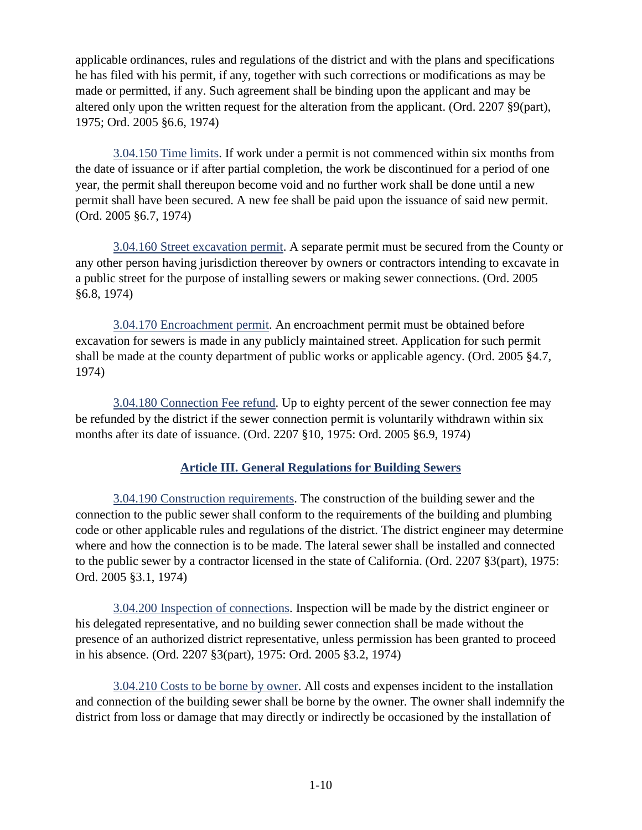applicable ordinances, rules and regulations of the district and with the plans and specifications he has filed with his permit, if any, together with such corrections or modifications as may be made or permitted, if any. Such agreement shall be binding upon the applicant and may be altered only upon the written request for the alteration from the applicant. (Ord. 2207 §9(part), 1975; Ord. 2005 §6.6, 1974)

<span id="page-21-0"></span>3.04.150 Time limits. If work under a permit is not commenced within six months from the date of issuance or if after partial completion, the work be discontinued for a period of one year, the permit shall thereupon become void and no further work shall be done until a new permit shall have been secured. A new fee shall be paid upon the issuance of said new permit. (Ord. 2005 §6.7, 1974)

<span id="page-21-1"></span>3.04.160 Street excavation permit. A separate permit must be secured from the County or any other person having jurisdiction thereover by owners or contractors intending to excavate in a public street for the purpose of installing sewers or making sewer connections. (Ord. 2005 §6.8, 1974)

<span id="page-21-2"></span>3.04.170 Encroachment permit. An encroachment permit must be obtained before excavation for sewers is made in any publicly maintained street. Application for such permit shall be made at the county department of public works or applicable agency. (Ord. 2005 §4.7, 1974)

<span id="page-21-3"></span>3.04.180 Connection Fee refund. Up to eighty percent of the sewer connection fee may be refunded by the district if the sewer connection permit is voluntarily withdrawn within six months after its date of issuance. (Ord. 2207 §10, 1975: Ord. 2005 §6.9, 1974)

# **Article III. General Regulations for Building Sewers**

<span id="page-21-5"></span><span id="page-21-4"></span>3.04.190 Construction requirements. The construction of the building sewer and the connection to the public sewer shall conform to the requirements of the building and plumbing code or other applicable rules and regulations of the district. The district engineer may determine where and how the connection is to be made. The lateral sewer shall be installed and connected to the public sewer by a contractor licensed in the state of California. (Ord. 2207 §3(part), 1975: Ord. 2005 §3.1, 1974)

<span id="page-21-6"></span>3.04.200 Inspection of connections. Inspection will be made by the district engineer or his delegated representative, and no building sewer connection shall be made without the presence of an authorized district representative, unless permission has been granted to proceed in his absence. (Ord. 2207 §3(part), 1975: Ord. 2005 §3.2, 1974)

<span id="page-21-7"></span>3.04.210 Costs to be borne by owner. All costs and expenses incident to the installation and connection of the building sewer shall be borne by the owner. The owner shall indemnify the district from loss or damage that may directly or indirectly be occasioned by the installation of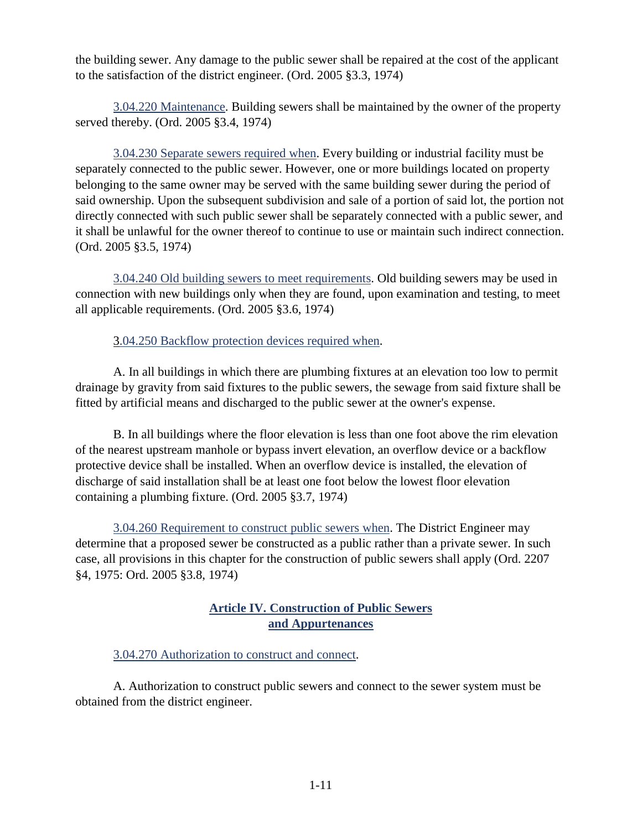the building sewer. Any damage to the public sewer shall be repaired at the cost of the applicant to the satisfaction of the district engineer. (Ord. 2005 §3.3, 1974)

<span id="page-22-0"></span>3.04.220 Maintenance. Building sewers shall be maintained by the owner of the property served thereby. (Ord. 2005 §3.4, 1974)

<span id="page-22-1"></span>3.04.230 Separate sewers required when. Every building or industrial facility must be separately connected to the public sewer. However, one or more buildings located on property belonging to the same owner may be served with the same building sewer during the period of said ownership. Upon the subsequent subdivision and sale of a portion of said lot, the portion not directly connected with such public sewer shall be separately connected with a public sewer, and it shall be unlawful for the owner thereof to continue to use or maintain such indirect connection. (Ord. 2005 §3.5, 1974)

<span id="page-22-2"></span>3.04.240 Old building sewers to meet requirements. Old building sewers may be used in connection with new buildings only when they are found, upon examination and testing, to meet all applicable requirements. (Ord. 2005 §3.6, 1974)

3.04.250 Backflow protection devices required when.

A. In all buildings in which there are plumbing fixtures at an elevation too low to permit drainage by gravity from said fixtures to the public sewers, the sewage from said fixture shall be fitted by artificial means and discharged to the public sewer at the owner's expense.

B. In all buildings where the floor elevation is less than one foot above the rim elevation of the nearest upstream manhole or bypass invert elevation, an overflow device or a backflow protective device shall be installed. When an overflow device is installed, the elevation of discharge of said installation shall be at least one foot below the lowest floor elevation containing a plumbing fixture. (Ord. 2005 §3.7, 1974)

<span id="page-22-3"></span>3.04.260 Requirement to construct public sewers when. The District Engineer may determine that a proposed sewer be constructed as a public rather than a private sewer. In such case, all provisions in this chapter for the construction of public sewers shall apply (Ord. 2207 §4, 1975: Ord. 2005 §3.8, 1974)

## **Article IV. Construction of Public Sewers and Appurtenances**

<span id="page-22-5"></span><span id="page-22-4"></span>3.04.270 Authorization to construct and connect.

A. Authorization to construct public sewers and connect to the sewer system must be obtained from the district engineer.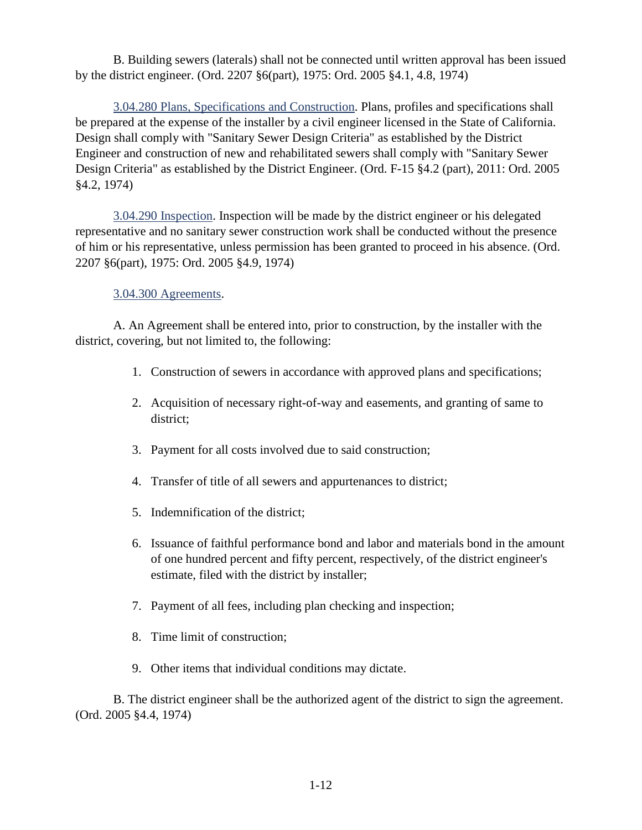B. Building sewers (laterals) shall not be connected until written approval has been issued by the district engineer. (Ord. 2207 §6(part), 1975: Ord. 2005 §4.1, 4.8, 1974)

<span id="page-23-0"></span>3.04.280 Plans, Specifications and Construction. Plans, profiles and specifications shall be prepared at the expense of the installer by a civil engineer licensed in the State of California. Design shall comply with "Sanitary Sewer Design Criteria" as established by the District Engineer and construction of new and rehabilitated sewers shall comply with "Sanitary Sewer Design Criteria" as established by the District Engineer. (Ord. F-15 §4.2 (part), 2011: Ord. 2005 §4.2, 1974)

<span id="page-23-1"></span>3.04.290 Inspection. Inspection will be made by the district engineer or his delegated representative and no sanitary sewer construction work shall be conducted without the presence of him or his representative, unless permission has been granted to proceed in his absence. (Ord. 2207 §6(part), 1975: Ord. 2005 §4.9, 1974)

#### <span id="page-23-2"></span>3.04.300 Agreements.

A. An Agreement shall be entered into, prior to construction, by the installer with the district, covering, but not limited to, the following:

- 1. Construction of sewers in accordance with approved plans and specifications;
- 2. Acquisition of necessary right-of-way and easements, and granting of same to district;
- 3. Payment for all costs involved due to said construction;
- 4. Transfer of title of all sewers and appurtenances to district;
- 5. Indemnification of the district;
- 6. Issuance of faithful performance bond and labor and materials bond in the amount of one hundred percent and fifty percent, respectively, of the district engineer's estimate, filed with the district by installer;
- 7. Payment of all fees, including plan checking and inspection;
- 8. Time limit of construction;
- 9. Other items that individual conditions may dictate.

B. The district engineer shall be the authorized agent of the district to sign the agreement. (Ord. 2005 §4.4, 1974)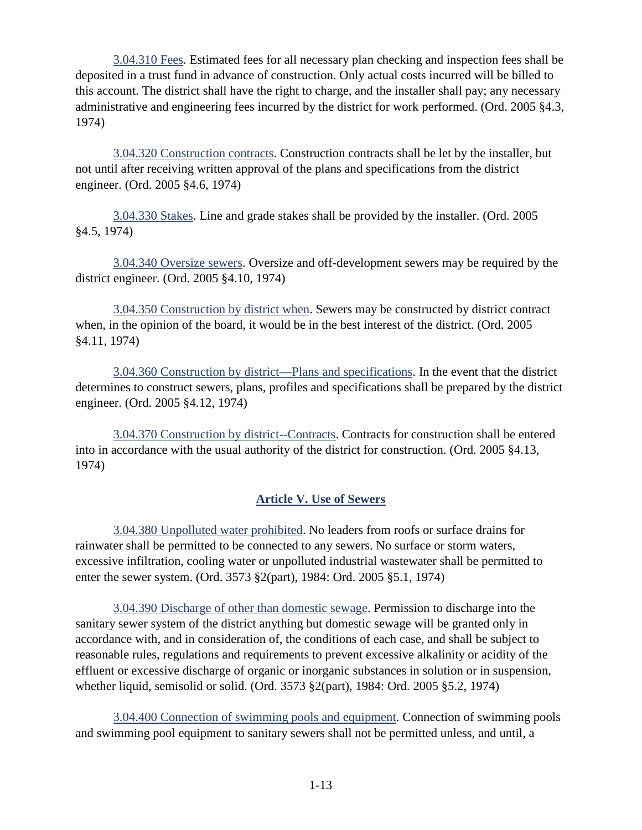<span id="page-24-0"></span>3.04.310 Fees. Estimated fees for all necessary plan checking and inspection fees shall be deposited in a trust fund in advance of construction. Only actual costs incurred will be billed to this account. The district shall have the right to charge, and the installer shall pay; any necessary administrative and engineering fees incurred by the district for work performed. (Ord. 2005 §4.3, 1974)

<span id="page-24-1"></span>3.04.320 Construction contracts. Construction contracts shall be let by the installer, but not until after receiving written approval of the plans and specifications from the district engineer. (Ord. 2005 §4.6, 1974)

<span id="page-24-2"></span>3.04.330 Stakes. Line and grade stakes shall be provided by the installer. (Ord. 2005 §4.5, 1974)

<span id="page-24-3"></span>3.04.340 Oversize sewers. Oversize and off-development sewers may be required by the district engineer. (Ord. 2005 §4.10, 1974)

<span id="page-24-4"></span>3.04.350 Construction by district when. Sewers may be constructed by district contract when, in the opinion of the board, it would be in the best interest of the district. (Ord. 2005 §4.11, 1974)

<span id="page-24-5"></span>3.04.360 Construction by district—Plans and specifications. In the event that the district determines to construct sewers, plans, profiles and specifications shall be prepared by the district engineer. (Ord. 2005 §4.12, 1974)

<span id="page-24-6"></span>3.04.370 Construction by district--Contracts. Contracts for construction shall be entered into in accordance with the usual authority of the district for construction. (Ord. 2005 §4.13, 1974)

# **Article V. Use of Sewers**

<span id="page-24-8"></span><span id="page-24-7"></span>3.04.380 Unpolluted water prohibited. No leaders from roofs or surface drains for rainwater shall be permitted to be connected to any sewers. No surface or storm waters, excessive infiltration, cooling water or unpolluted industrial wastewater shall be permitted to enter the sewer system. (Ord. 3573 §2(part), 1984: Ord. 2005 §5.1, 1974)

<span id="page-24-9"></span>3.04.390 Discharge of other than domestic sewage. Permission to discharge into the sanitary sewer system of the district anything but domestic sewage will be granted only in accordance with, and in consideration of, the conditions of each case, and shall be subject to reasonable rules, regulations and requirements to prevent excessive alkalinity or acidity of the effluent or excessive discharge of organic or inorganic substances in solution or in suspension, whether liquid, semisolid or solid. (Ord. 3573 §2(part), 1984: Ord. 2005 §5.2, 1974)

<span id="page-24-10"></span>3.04.400 Connection of swimming pools and equipment. Connection of swimming pools and swimming pool equipment to sanitary sewers shall not be permitted unless, and until, a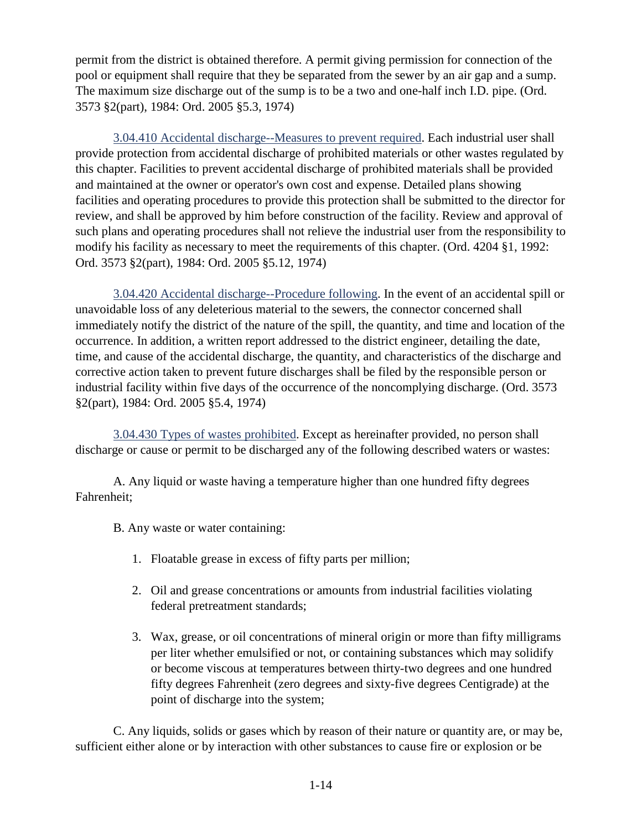permit from the district is obtained therefore. A permit giving permission for connection of the pool or equipment shall require that they be separated from the sewer by an air gap and a sump. The maximum size discharge out of the sump is to be a two and one-half inch I.D. pipe. (Ord. 3573 §2(part), 1984: Ord. 2005 §5.3, 1974)

<span id="page-25-0"></span>3.04.410 Accidental discharge--Measures to prevent required. Each industrial user shall provide protection from accidental discharge of prohibited materials or other wastes regulated by this chapter. Facilities to prevent accidental discharge of prohibited materials shall be provided and maintained at the owner or operator's own cost and expense. Detailed plans showing facilities and operating procedures to provide this protection shall be submitted to the director for review, and shall be approved by him before construction of the facility. Review and approval of such plans and operating procedures shall not relieve the industrial user from the responsibility to modify his facility as necessary to meet the requirements of this chapter. (Ord. 4204 §1, 1992: Ord. 3573 §2(part), 1984: Ord. 2005 §5.12, 1974)

<span id="page-25-1"></span>3.04.420 Accidental discharge--Procedure following. In the event of an accidental spill or unavoidable loss of any deleterious material to the sewers, the connector concerned shall immediately notify the district of the nature of the spill, the quantity, and time and location of the occurrence. In addition, a written report addressed to the district engineer, detailing the date, time, and cause of the accidental discharge, the quantity, and characteristics of the discharge and corrective action taken to prevent future discharges shall be filed by the responsible person or industrial facility within five days of the occurrence of the noncomplying discharge. (Ord. 3573 §2(part), 1984: Ord. 2005 §5.4, 1974)

<span id="page-25-2"></span>3.04.430 Types of wastes prohibited. Except as hereinafter provided, no person shall discharge or cause or permit to be discharged any of the following described waters or wastes:

A. Any liquid or waste having a temperature higher than one hundred fifty degrees Fahrenheit;

B. Any waste or water containing:

- 1. Floatable grease in excess of fifty parts per million;
- 2. Oil and grease concentrations or amounts from industrial facilities violating federal pretreatment standards;
- 3. Wax, grease, or oil concentrations of mineral origin or more than fifty milligrams per liter whether emulsified or not, or containing substances which may solidify or become viscous at temperatures between thirty-two degrees and one hundred fifty degrees Fahrenheit (zero degrees and sixty-five degrees Centigrade) at the point of discharge into the system;

C. Any liquids, solids or gases which by reason of their nature or quantity are, or may be, sufficient either alone or by interaction with other substances to cause fire or explosion or be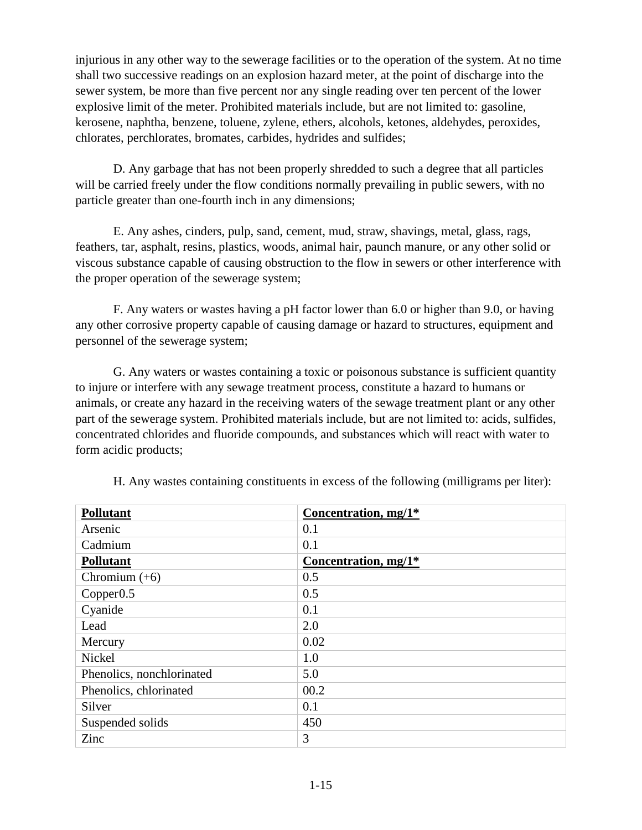injurious in any other way to the sewerage facilities or to the operation of the system. At no time shall two successive readings on an explosion hazard meter, at the point of discharge into the sewer system, be more than five percent nor any single reading over ten percent of the lower explosive limit of the meter. Prohibited materials include, but are not limited to: gasoline, kerosene, naphtha, benzene, toluene, zylene, ethers, alcohols, ketones, aldehydes, peroxides, chlorates, perchlorates, bromates, carbides, hydrides and sulfides;

D. Any garbage that has not been properly shredded to such a degree that all particles will be carried freely under the flow conditions normally prevailing in public sewers, with no particle greater than one-fourth inch in any dimensions;

E. Any ashes, cinders, pulp, sand, cement, mud, straw, shavings, metal, glass, rags, feathers, tar, asphalt, resins, plastics, woods, animal hair, paunch manure, or any other solid or viscous substance capable of causing obstruction to the flow in sewers or other interference with the proper operation of the sewerage system;

F. Any waters or wastes having a pH factor lower than 6.0 or higher than 9.0, or having any other corrosive property capable of causing damage or hazard to structures, equipment and personnel of the sewerage system;

G. Any waters or wastes containing a toxic or poisonous substance is sufficient quantity to injure or interfere with any sewage treatment process, constitute a hazard to humans or animals, or create any hazard in the receiving waters of the sewage treatment plant or any other part of the sewerage system. Prohibited materials include, but are not limited to: acids, sulfides, concentrated chlorides and fluoride compounds, and substances which will react with water to form acidic products;

| <b>Pollutant</b>          | Concentration, mg/1*   |
|---------------------------|------------------------|
| Arsenic                   | 0.1                    |
| Cadmium                   | 0.1                    |
| <b>Pollutant</b>          | Concentration, $mg/1*$ |
| Chromium $(+6)$           | 0.5                    |
| Copper <sub>0.5</sub>     | 0.5                    |
| Cyanide                   | 0.1                    |
| Lead                      | 2.0                    |
| Mercury                   | 0.02                   |
| Nickel                    | 1.0                    |
| Phenolics, nonchlorinated | 5.0                    |
| Phenolics, chlorinated    | 00.2                   |
| Silver                    | 0.1                    |
| Suspended solids          | 450                    |
| Zinc                      | 3                      |

H. Any wastes containing constituents in excess of the following (milligrams per liter):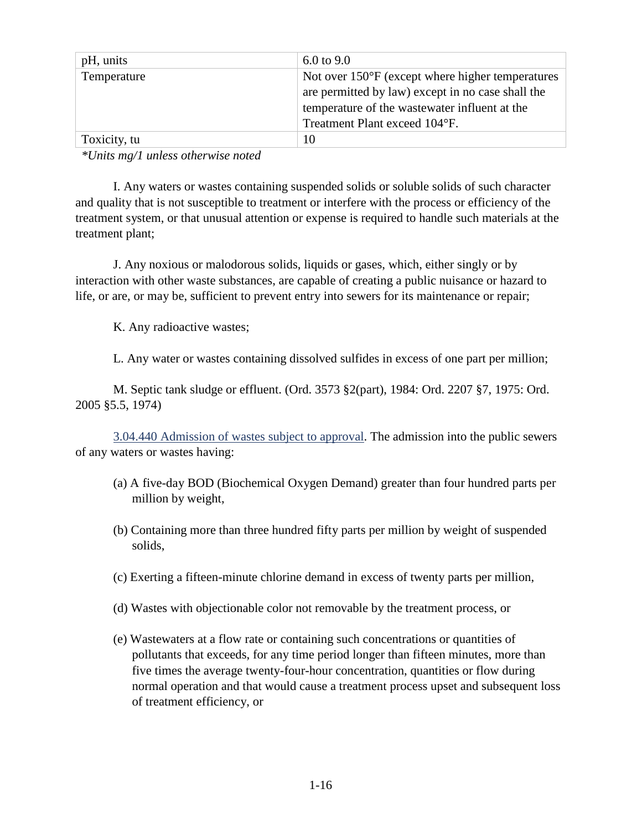| pH, units    | 6.0 to $9.0$                                               |
|--------------|------------------------------------------------------------|
| Temperature  | Not over $150^{\circ}$ F (except where higher temperatures |
|              | are permitted by law) except in no case shall the          |
|              | temperature of the wastewater influent at the              |
|              | Treatment Plant exceed 104°F.                              |
| Toxicity, tu | 10                                                         |

*\*Units mg/1 unless otherwise noted*

I. Any waters or wastes containing suspended solids or soluble solids of such character and quality that is not susceptible to treatment or interfere with the process or efficiency of the treatment system, or that unusual attention or expense is required to handle such materials at the treatment plant;

J. Any noxious or malodorous solids, liquids or gases, which, either singly or by interaction with other waste substances, are capable of creating a public nuisance or hazard to life, or are, or may be, sufficient to prevent entry into sewers for its maintenance or repair;

K. Any radioactive wastes;

L. Any water or wastes containing dissolved sulfides in excess of one part per million;

M. Septic tank sludge or effluent. (Ord. 3573 §2(part), 1984: Ord. 2207 §7, 1975: Ord. 2005 §5.5, 1974)

<span id="page-27-0"></span>3.04.440 Admission of wastes subject to approval. The admission into the public sewers of any waters or wastes having:

- (a) A five-day BOD (Biochemical Oxygen Demand) greater than four hundred parts per million by weight,
- (b) Containing more than three hundred fifty parts per million by weight of suspended solids,
- (c) Exerting a fifteen-minute chlorine demand in excess of twenty parts per million,
- (d) Wastes with objectionable color not removable by the treatment process, or
- (e) Wastewaters at a flow rate or containing such concentrations or quantities of pollutants that exceeds, for any time period longer than fifteen minutes, more than five times the average twenty-four-hour concentration, quantities or flow during normal operation and that would cause a treatment process upset and subsequent loss of treatment efficiency, or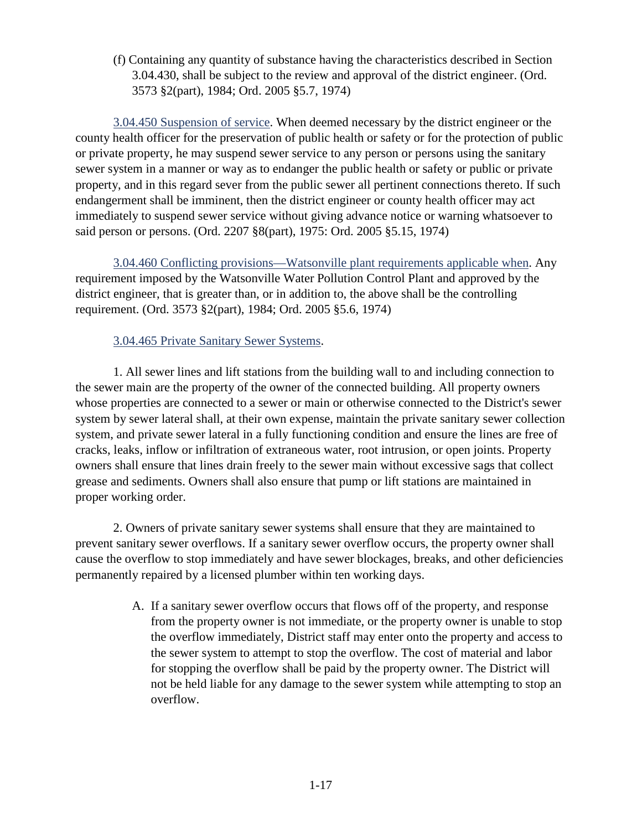(f) Containing any quantity of substance having the characteristics described in Section 3.04.430, shall be subject to the review and approval of the district engineer. (Ord. 3573 §2(part), 1984; Ord. 2005 §5.7, 1974)

<span id="page-28-0"></span>3.04.450 Suspension of service. When deemed necessary by the district engineer or the county health officer for the preservation of public health or safety or for the protection of public or private property, he may suspend sewer service to any person or persons using the sanitary sewer system in a manner or way as to endanger the public health or safety or public or private property, and in this regard sever from the public sewer all pertinent connections thereto. If such endangerment shall be imminent, then the district engineer or county health officer may act immediately to suspend sewer service without giving advance notice or warning whatsoever to said person or persons. (Ord. 2207 §8(part), 1975: Ord. 2005 §5.15, 1974)

<span id="page-28-1"></span>3.04.460 Conflicting provisions—Watsonville plant requirements applicable when. Any requirement imposed by the Watsonville Water Pollution Control Plant and approved by the district engineer, that is greater than, or in addition to, the above shall be the controlling requirement. (Ord. 3573 §2(part), 1984; Ord. 2005 §5.6, 1974)

## <span id="page-28-2"></span>3.04.465 Private Sanitary Sewer Systems.

1. All sewer lines and lift stations from the building wall to and including connection to the sewer main are the property of the owner of the connected building. All property owners whose properties are connected to a sewer or main or otherwise connected to the District's sewer system by sewer lateral shall, at their own expense, maintain the private sanitary sewer collection system, and private sewer lateral in a fully functioning condition and ensure the lines are free of cracks, leaks, inflow or infiltration of extraneous water, root intrusion, or open joints. Property owners shall ensure that lines drain freely to the sewer main without excessive sags that collect grease and sediments. Owners shall also ensure that pump or lift stations are maintained in proper working order.

2. Owners of private sanitary sewer systems shall ensure that they are maintained to prevent sanitary sewer overflows. If a sanitary sewer overflow occurs, the property owner shall cause the overflow to stop immediately and have sewer blockages, breaks, and other deficiencies permanently repaired by a licensed plumber within ten working days.

> A. If a sanitary sewer overflow occurs that flows off of the property, and response from the property owner is not immediate, or the property owner is unable to stop the overflow immediately, District staff may enter onto the property and access to the sewer system to attempt to stop the overflow. The cost of material and labor for stopping the overflow shall be paid by the property owner. The District will not be held liable for any damage to the sewer system while attempting to stop an overflow.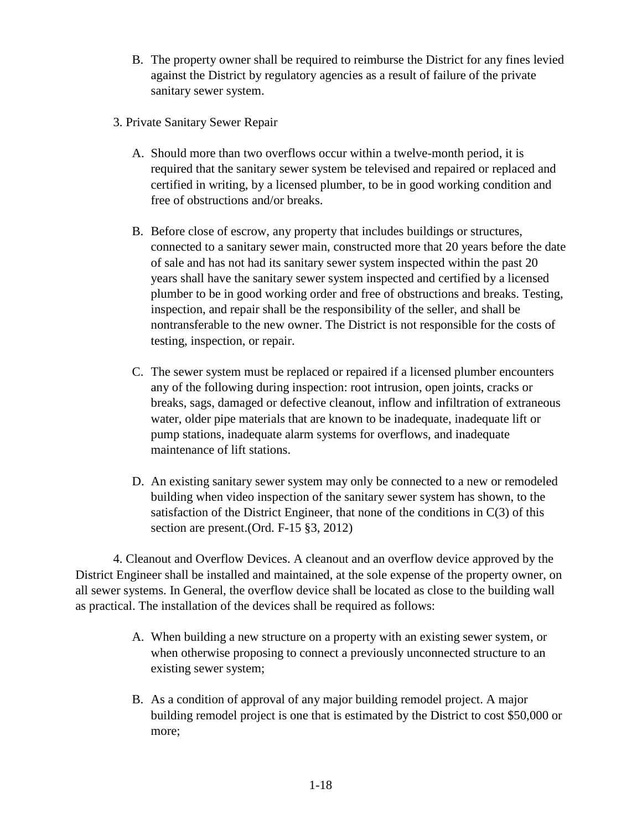- B. The property owner shall be required to reimburse the District for any fines levied against the District by regulatory agencies as a result of failure of the private sanitary sewer system.
- 3. Private Sanitary Sewer Repair
	- A. Should more than two overflows occur within a twelve-month period, it is required that the sanitary sewer system be televised and repaired or replaced and certified in writing, by a licensed plumber, to be in good working condition and free of obstructions and/or breaks.
	- B. Before close of escrow, any property that includes buildings or structures, connected to a sanitary sewer main, constructed more that 20 years before the date of sale and has not had its sanitary sewer system inspected within the past 20 years shall have the sanitary sewer system inspected and certified by a licensed plumber to be in good working order and free of obstructions and breaks. Testing, inspection, and repair shall be the responsibility of the seller, and shall be nontransferable to the new owner. The District is not responsible for the costs of testing, inspection, or repair.
	- C. The sewer system must be replaced or repaired if a licensed plumber encounters any of the following during inspection: root intrusion, open joints, cracks or breaks, sags, damaged or defective cleanout, inflow and infiltration of extraneous water, older pipe materials that are known to be inadequate, inadequate lift or pump stations, inadequate alarm systems for overflows, and inadequate maintenance of lift stations.
	- D. An existing sanitary sewer system may only be connected to a new or remodeled building when video inspection of the sanitary sewer system has shown, to the satisfaction of the District Engineer, that none of the conditions in  $C(3)$  of this section are present.(Ord. F-15 §3, 2012)

4. Cleanout and Overflow Devices. A cleanout and an overflow device approved by the District Engineer shall be installed and maintained, at the sole expense of the property owner, on all sewer systems. In General, the overflow device shall be located as close to the building wall as practical. The installation of the devices shall be required as follows:

- A. When building a new structure on a property with an existing sewer system, or when otherwise proposing to connect a previously unconnected structure to an existing sewer system;
- B. As a condition of approval of any major building remodel project. A major building remodel project is one that is estimated by the District to cost \$50,000 or more;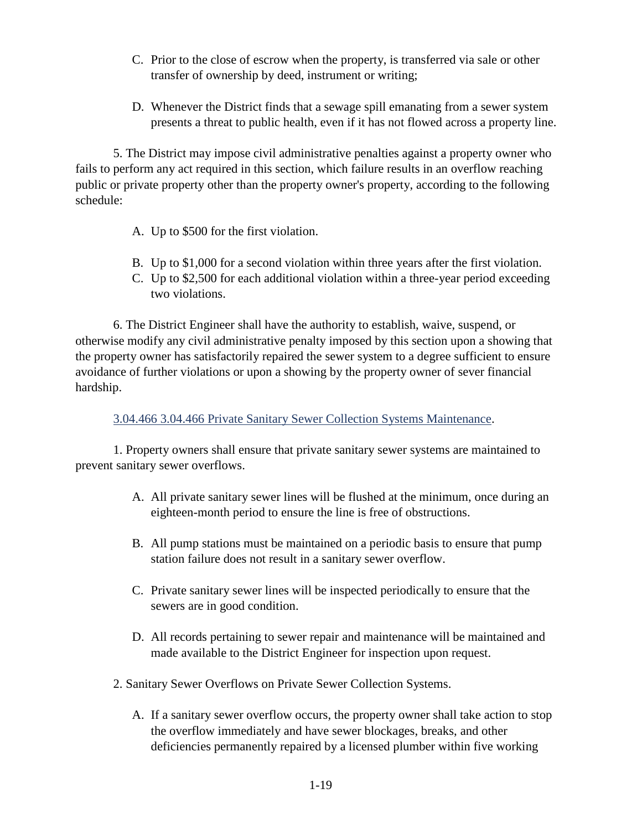- C. Prior to the close of escrow when the property, is transferred via sale or other transfer of ownership by deed, instrument or writing;
- D. Whenever the District finds that a sewage spill emanating from a sewer system presents a threat to public health, even if it has not flowed across a property line.

5. The District may impose civil administrative penalties against a property owner who fails to perform any act required in this section, which failure results in an overflow reaching public or private property other than the property owner's property, according to the following schedule:

- A. Up to \$500 for the first violation.
- B. Up to \$1,000 for a second violation within three years after the first violation.
- C. Up to \$2,500 for each additional violation within a three-year period exceeding two violations.

6. The District Engineer shall have the authority to establish, waive, suspend, or otherwise modify any civil administrative penalty imposed by this section upon a showing that the property owner has satisfactorily repaired the sewer system to a degree sufficient to ensure avoidance of further violations or upon a showing by the property owner of sever financial hardship.

<span id="page-30-0"></span>3.04.466 3.04.466 Private Sanitary Sewer Collection Systems Maintenance.

1. Property owners shall ensure that private sanitary sewer systems are maintained to prevent sanitary sewer overflows.

- A. All private sanitary sewer lines will be flushed at the minimum, once during an eighteen-month period to ensure the line is free of obstructions.
- B. All pump stations must be maintained on a periodic basis to ensure that pump station failure does not result in a sanitary sewer overflow.
- C. Private sanitary sewer lines will be inspected periodically to ensure that the sewers are in good condition.
- D. All records pertaining to sewer repair and maintenance will be maintained and made available to the District Engineer for inspection upon request.
- 2. Sanitary Sewer Overflows on Private Sewer Collection Systems.
	- A. If a sanitary sewer overflow occurs, the property owner shall take action to stop the overflow immediately and have sewer blockages, breaks, and other deficiencies permanently repaired by a licensed plumber within five working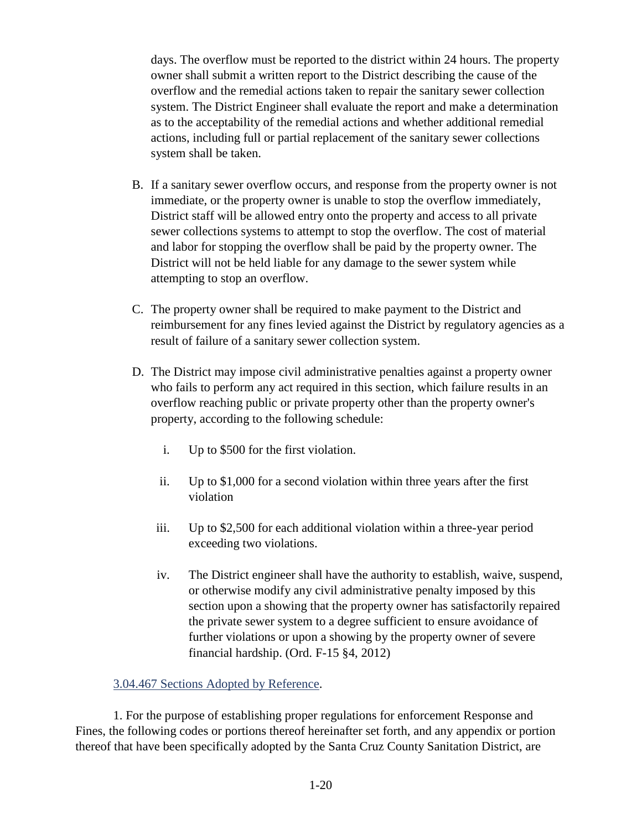days. The overflow must be reported to the district within 24 hours. The property owner shall submit a written report to the District describing the cause of the overflow and the remedial actions taken to repair the sanitary sewer collection system. The District Engineer shall evaluate the report and make a determination as to the acceptability of the remedial actions and whether additional remedial actions, including full or partial replacement of the sanitary sewer collections system shall be taken.

- B. If a sanitary sewer overflow occurs, and response from the property owner is not immediate, or the property owner is unable to stop the overflow immediately, District staff will be allowed entry onto the property and access to all private sewer collections systems to attempt to stop the overflow. The cost of material and labor for stopping the overflow shall be paid by the property owner. The District will not be held liable for any damage to the sewer system while attempting to stop an overflow.
- C. The property owner shall be required to make payment to the District and reimbursement for any fines levied against the District by regulatory agencies as a result of failure of a sanitary sewer collection system.
- D. The District may impose civil administrative penalties against a property owner who fails to perform any act required in this section, which failure results in an overflow reaching public or private property other than the property owner's property, according to the following schedule:
	- i. Up to \$500 for the first violation.
	- ii. Up to \$1,000 for a second violation within three years after the first violation
	- iii. Up to \$2,500 for each additional violation within a three-year period exceeding two violations.
	- iv. The District engineer shall have the authority to establish, waive, suspend, or otherwise modify any civil administrative penalty imposed by this section upon a showing that the property owner has satisfactorily repaired the private sewer system to a degree sufficient to ensure avoidance of further violations or upon a showing by the property owner of severe financial hardship. (Ord. F-15 §4, 2012)

## <span id="page-31-0"></span>3.04.467 Sections Adopted by Reference.

1. For the purpose of establishing proper regulations for enforcement Response and Fines, the following codes or portions thereof hereinafter set forth, and any appendix or portion thereof that have been specifically adopted by the Santa Cruz County Sanitation District, are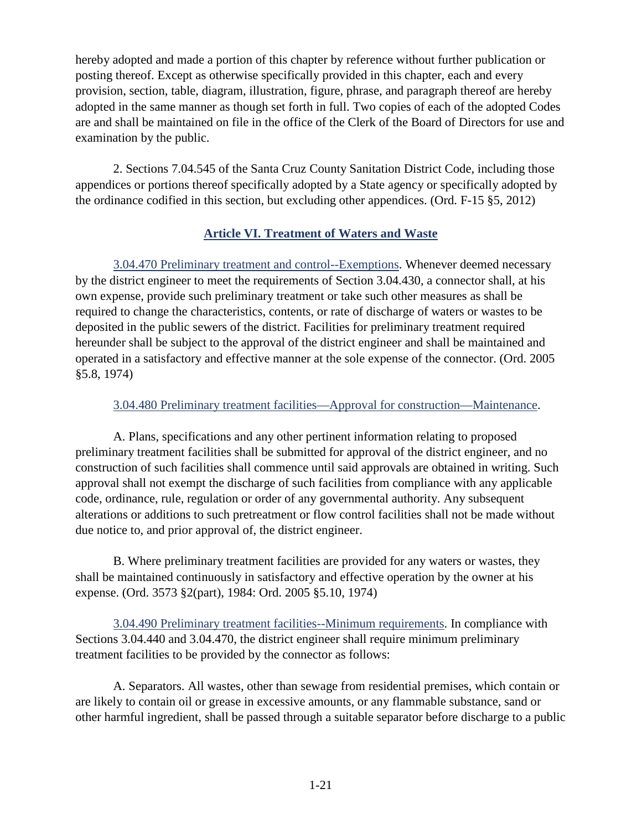hereby adopted and made a portion of this chapter by reference without further publication or posting thereof. Except as otherwise specifically provided in this chapter, each and every provision, section, table, diagram, illustration, figure, phrase, and paragraph thereof are hereby adopted in the same manner as though set forth in full. Two copies of each of the adopted Codes are and shall be maintained on file in the office of the Clerk of the Board of Directors for use and examination by the public.

2. Sections 7.04.545 of the Santa Cruz County Sanitation District Code, including those appendices or portions thereof specifically adopted by a State agency or specifically adopted by the ordinance codified in this section, but excluding other appendices. (Ord. F-15 §5, 2012)

# **Article VI. Treatment of Waters and Waste**

<span id="page-32-1"></span><span id="page-32-0"></span>3.04.470 Preliminary treatment and control--Exemptions. Whenever deemed necessary by the district engineer to meet the requirements of Section 3.04.430, a connector shall, at his own expense, provide such preliminary treatment or take such other measures as shall be required to change the characteristics, contents, or rate of discharge of waters or wastes to be deposited in the public sewers of the district. Facilities for preliminary treatment required hereunder shall be subject to the approval of the district engineer and shall be maintained and operated in a satisfactory and effective manner at the sole expense of the connector. (Ord. 2005 §5.8, 1974)

#### <span id="page-32-2"></span>3.04.480 Preliminary treatment facilities—Approval for construction—Maintenance.

A. Plans, specifications and any other pertinent information relating to proposed preliminary treatment facilities shall be submitted for approval of the district engineer, and no construction of such facilities shall commence until said approvals are obtained in writing. Such approval shall not exempt the discharge of such facilities from compliance with any applicable code, ordinance, rule, regulation or order of any governmental authority. Any subsequent alterations or additions to such pretreatment or flow control facilities shall not be made without due notice to, and prior approval of, the district engineer.

B. Where preliminary treatment facilities are provided for any waters or wastes, they shall be maintained continuously in satisfactory and effective operation by the owner at his expense. (Ord. 3573 §2(part), 1984: Ord. 2005 §5.10, 1974)

<span id="page-32-3"></span>3.04.490 Preliminary treatment facilities--Minimum requirements. In compliance with Sections 3.04.440 and 3.04.470, the district engineer shall require minimum preliminary treatment facilities to be provided by the connector as follows:

A. Separators. All wastes, other than sewage from residential premises, which contain or are likely to contain oil or grease in excessive amounts, or any flammable substance, sand or other harmful ingredient, shall be passed through a suitable separator before discharge to a public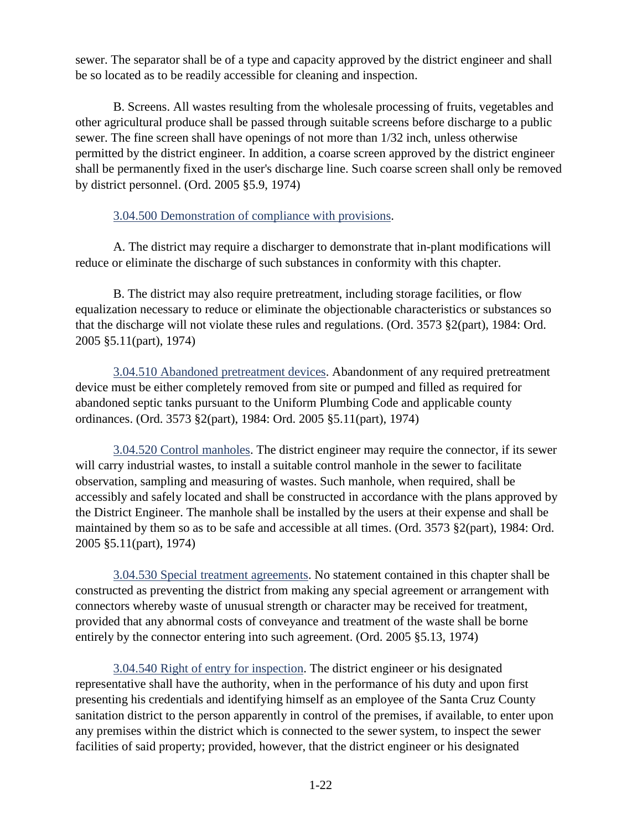sewer. The separator shall be of a type and capacity approved by the district engineer and shall be so located as to be readily accessible for cleaning and inspection.

B. Screens. All wastes resulting from the wholesale processing of fruits, vegetables and other agricultural produce shall be passed through suitable screens before discharge to a public sewer. The fine screen shall have openings of not more than 1/32 inch, unless otherwise permitted by the district engineer. In addition, a coarse screen approved by the district engineer shall be permanently fixed in the user's discharge line. Such coarse screen shall only be removed by district personnel. (Ord. 2005 §5.9, 1974)

## <span id="page-33-0"></span>3.04.500 Demonstration of compliance with provisions.

A. The district may require a discharger to demonstrate that in-plant modifications will reduce or eliminate the discharge of such substances in conformity with this chapter.

B. The district may also require pretreatment, including storage facilities, or flow equalization necessary to reduce or eliminate the objectionable characteristics or substances so that the discharge will not violate these rules and regulations. (Ord. 3573 §2(part), 1984: Ord. 2005 §5.11(part), 1974)

<span id="page-33-1"></span>3.04.510 Abandoned pretreatment devices. Abandonment of any required pretreatment device must be either completely removed from site or pumped and filled as required for abandoned septic tanks pursuant to the Uniform Plumbing Code and applicable county ordinances. (Ord. 3573 §2(part), 1984: Ord. 2005 §5.11(part), 1974)

<span id="page-33-2"></span>3.04.520 Control manholes. The district engineer may require the connector, if its sewer will carry industrial wastes, to install a suitable control manhole in the sewer to facilitate observation, sampling and measuring of wastes. Such manhole, when required, shall be accessibly and safely located and shall be constructed in accordance with the plans approved by the District Engineer. The manhole shall be installed by the users at their expense and shall be maintained by them so as to be safe and accessible at all times. (Ord. 3573 §2(part), 1984: Ord. 2005 §5.11(part), 1974)

<span id="page-33-3"></span>3.04.530 Special treatment agreements. No statement contained in this chapter shall be constructed as preventing the district from making any special agreement or arrangement with connectors whereby waste of unusual strength or character may be received for treatment, provided that any abnormal costs of conveyance and treatment of the waste shall be borne entirely by the connector entering into such agreement. (Ord. 2005 §5.13, 1974)

<span id="page-33-4"></span>3.04.540 Right of entry for inspection. The district engineer or his designated representative shall have the authority, when in the performance of his duty and upon first presenting his credentials and identifying himself as an employee of the Santa Cruz County sanitation district to the person apparently in control of the premises, if available, to enter upon any premises within the district which is connected to the sewer system, to inspect the sewer facilities of said property; provided, however, that the district engineer or his designated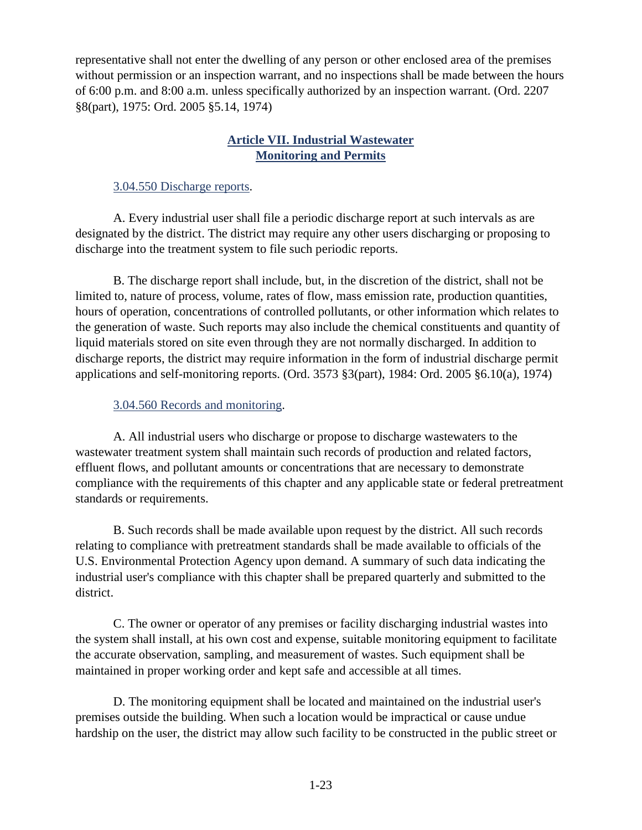representative shall not enter the dwelling of any person or other enclosed area of the premises without permission or an inspection warrant, and no inspections shall be made between the hours of 6:00 p.m. and 8:00 a.m. unless specifically authorized by an inspection warrant. (Ord. 2207 §8(part), 1975: Ord. 2005 §5.14, 1974)

# **Article VII. Industrial Wastewater Monitoring and Permits**

## <span id="page-34-1"></span><span id="page-34-0"></span>3.04.550 Discharge reports.

A. Every industrial user shall file a periodic discharge report at such intervals as are designated by the district. The district may require any other users discharging or proposing to discharge into the treatment system to file such periodic reports.

B. The discharge report shall include, but, in the discretion of the district, shall not be limited to, nature of process, volume, rates of flow, mass emission rate, production quantities, hours of operation, concentrations of controlled pollutants, or other information which relates to the generation of waste. Such reports may also include the chemical constituents and quantity of liquid materials stored on site even through they are not normally discharged. In addition to discharge reports, the district may require information in the form of industrial discharge permit applications and self-monitoring reports. (Ord. 3573 §3(part), 1984: Ord. 2005 §6.10(a), 1974)

## <span id="page-34-2"></span>3.04.560 Records and monitoring.

A. All industrial users who discharge or propose to discharge wastewaters to the wastewater treatment system shall maintain such records of production and related factors, effluent flows, and pollutant amounts or concentrations that are necessary to demonstrate compliance with the requirements of this chapter and any applicable state or federal pretreatment standards or requirements.

B. Such records shall be made available upon request by the district. All such records relating to compliance with pretreatment standards shall be made available to officials of the U.S. Environmental Protection Agency upon demand. A summary of such data indicating the industrial user's compliance with this chapter shall be prepared quarterly and submitted to the district.

C. The owner or operator of any premises or facility discharging industrial wastes into the system shall install, at his own cost and expense, suitable monitoring equipment to facilitate the accurate observation, sampling, and measurement of wastes. Such equipment shall be maintained in proper working order and kept safe and accessible at all times.

D. The monitoring equipment shall be located and maintained on the industrial user's premises outside the building. When such a location would be impractical or cause undue hardship on the user, the district may allow such facility to be constructed in the public street or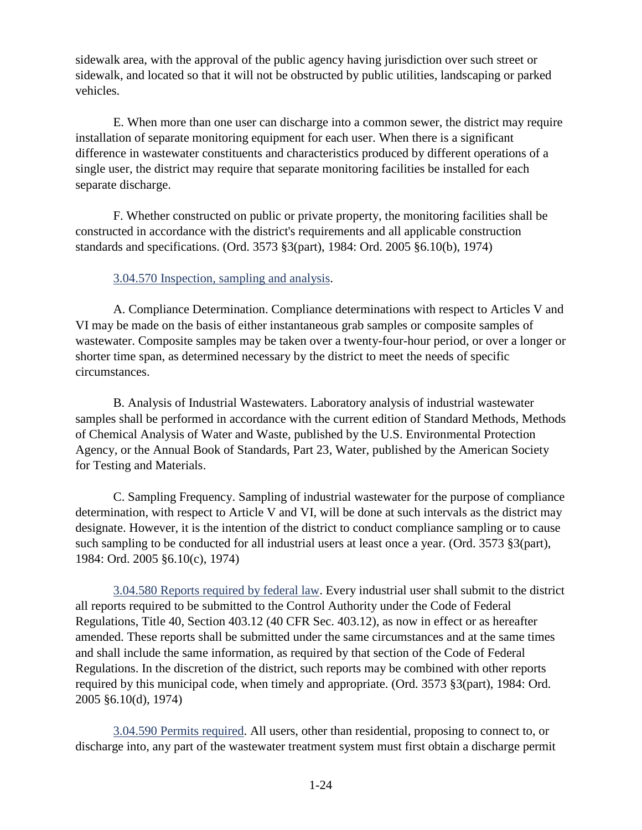sidewalk area, with the approval of the public agency having jurisdiction over such street or sidewalk, and located so that it will not be obstructed by public utilities, landscaping or parked vehicles.

E. When more than one user can discharge into a common sewer, the district may require installation of separate monitoring equipment for each user. When there is a significant difference in wastewater constituents and characteristics produced by different operations of a single user, the district may require that separate monitoring facilities be installed for each separate discharge.

F. Whether constructed on public or private property, the monitoring facilities shall be constructed in accordance with the district's requirements and all applicable construction standards and specifications. (Ord. 3573 §3(part), 1984: Ord. 2005 §6.10(b), 1974)

## <span id="page-35-0"></span>3.04.570 Inspection, sampling and analysis.

A. Compliance Determination. Compliance determinations with respect to Articles V and VI may be made on the basis of either instantaneous grab samples or composite samples of wastewater. Composite samples may be taken over a twenty-four-hour period, or over a longer or shorter time span, as determined necessary by the district to meet the needs of specific circumstances.

B. Analysis of Industrial Wastewaters. Laboratory analysis of industrial wastewater samples shall be performed in accordance with the current edition of Standard Methods, Methods of Chemical Analysis of Water and Waste, published by the U.S. Environmental Protection Agency, or the Annual Book of Standards, Part 23, Water, published by the American Society for Testing and Materials.

C. Sampling Frequency. Sampling of industrial wastewater for the purpose of compliance determination, with respect to Article V and VI, will be done at such intervals as the district may designate. However, it is the intention of the district to conduct compliance sampling or to cause such sampling to be conducted for all industrial users at least once a year. (Ord. 3573 §3(part), 1984: Ord. 2005 §6.10(c), 1974)

<span id="page-35-1"></span>3.04.580 Reports required by federal law. Every industrial user shall submit to the district all reports required to be submitted to the Control Authority under the Code of Federal Regulations, Title 40, Section 403.12 (40 CFR Sec. 403.12), as now in effect or as hereafter amended. These reports shall be submitted under the same circumstances and at the same times and shall include the same information, as required by that section of the Code of Federal Regulations. In the discretion of the district, such reports may be combined with other reports required by this municipal code, when timely and appropriate. (Ord. 3573 §3(part), 1984: Ord. 2005 §6.10(d), 1974)

<span id="page-35-2"></span>3.04.590 Permits required. All users, other than residential, proposing to connect to, or discharge into, any part of the wastewater treatment system must first obtain a discharge permit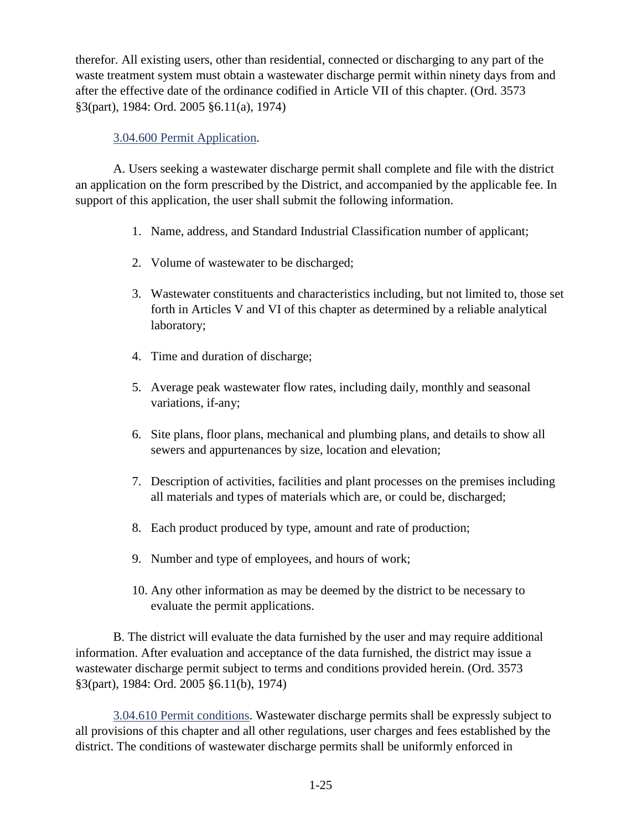therefor. All existing users, other than residential, connected or discharging to any part of the waste treatment system must obtain a wastewater discharge permit within ninety days from and after the effective date of the ordinance codified in Article VII of this chapter. (Ord. 3573 §3(part), 1984: Ord. 2005 §6.11(a), 1974)

## <span id="page-36-0"></span>3.04.600 Permit Application.

A. Users seeking a wastewater discharge permit shall complete and file with the district an application on the form prescribed by the District, and accompanied by the applicable fee. In support of this application, the user shall submit the following information.

- 1. Name, address, and Standard Industrial Classification number of applicant;
- 2. Volume of wastewater to be discharged;
- 3. Wastewater constituents and characteristics including, but not limited to, those set forth in Articles V and VI of this chapter as determined by a reliable analytical laboratory;
- 4. Time and duration of discharge;
- 5. Average peak wastewater flow rates, including daily, monthly and seasonal variations, if-any;
- 6. Site plans, floor plans, mechanical and plumbing plans, and details to show all sewers and appurtenances by size, location and elevation;
- 7. Description of activities, facilities and plant processes on the premises including all materials and types of materials which are, or could be, discharged;
- 8. Each product produced by type, amount and rate of production;
- 9. Number and type of employees, and hours of work;
- 10. Any other information as may be deemed by the district to be necessary to evaluate the permit applications.

B. The district will evaluate the data furnished by the user and may require additional information. After evaluation and acceptance of the data furnished, the district may issue a wastewater discharge permit subject to terms and conditions provided herein. (Ord. 3573 §3(part), 1984: Ord. 2005 §6.11(b), 1974)

<span id="page-36-1"></span>3.04.610 Permit conditions. Wastewater discharge permits shall be expressly subject to all provisions of this chapter and all other regulations, user charges and fees established by the district. The conditions of wastewater discharge permits shall be uniformly enforced in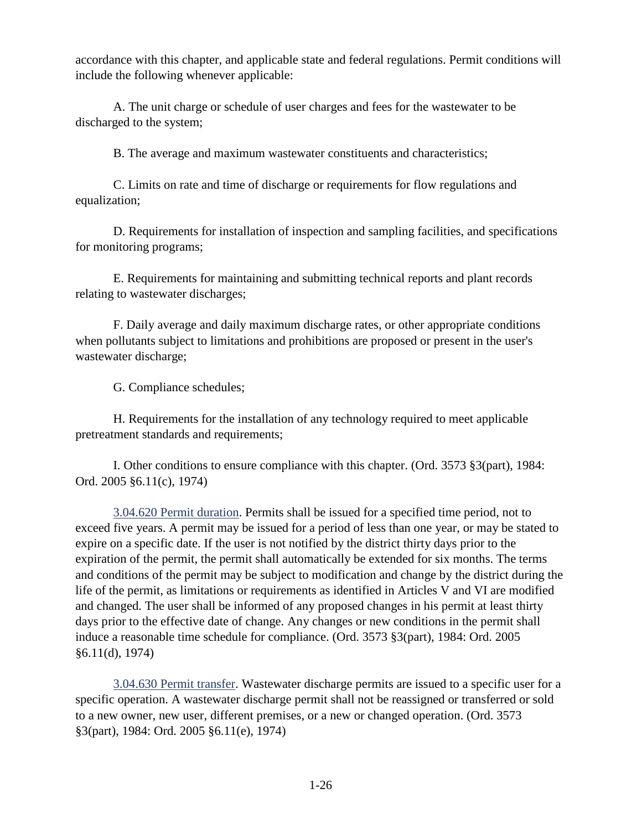accordance with this chapter, and applicable state and federal regulations. Permit conditions will include the following whenever applicable:

A. The unit charge or schedule of user charges and fees for the wastewater to be discharged to the system;

B. The average and maximum wastewater constituents and characteristics;

C. Limits on rate and time of discharge or requirements for flow regulations and equalization;

D. Requirements for installation of inspection and sampling facilities, and specifications for monitoring programs;

E. Requirements for maintaining and submitting technical reports and plant records relating to wastewater discharges;

F. Daily average and daily maximum discharge rates, or other appropriate conditions when pollutants subject to limitations and prohibitions are proposed or present in the user's wastewater discharge;

G. Compliance schedules;

H. Requirements for the installation of any technology required to meet applicable pretreatment standards and requirements;

I. Other conditions to ensure compliance with this chapter. (Ord. 3573 §3(part), 1984: Ord. 2005 §6.11(c), 1974)

<span id="page-37-0"></span>3.04.620 Permit duration. Permits shall be issued for a specified time period, not to exceed five years. A permit may be issued for a period of less than one year, or may be stated to expire on a specific date. If the user is not notified by the district thirty days prior to the expiration of the permit, the permit shall automatically be extended for six months. The terms and conditions of the permit may be subject to modification and change by the district during the life of the permit, as limitations or requirements as identified in Articles V and VI are modified and changed. The user shall be informed of any proposed changes in his permit at least thirty days prior to the effective date of change. Any changes or new conditions in the permit shall induce a reasonable time schedule for compliance. (Ord. 3573 §3(part), 1984: Ord. 2005 §6.11(d), 1974)

<span id="page-37-1"></span>3.04.630 Permit transfer. Wastewater discharge permits are issued to a specific user for a specific operation. A wastewater discharge permit shall not be reassigned or transferred or sold to a new owner, new user, different premises, or a new or changed operation. (Ord. 3573 §3(part), 1984: Ord. 2005 §6.11(e), 1974)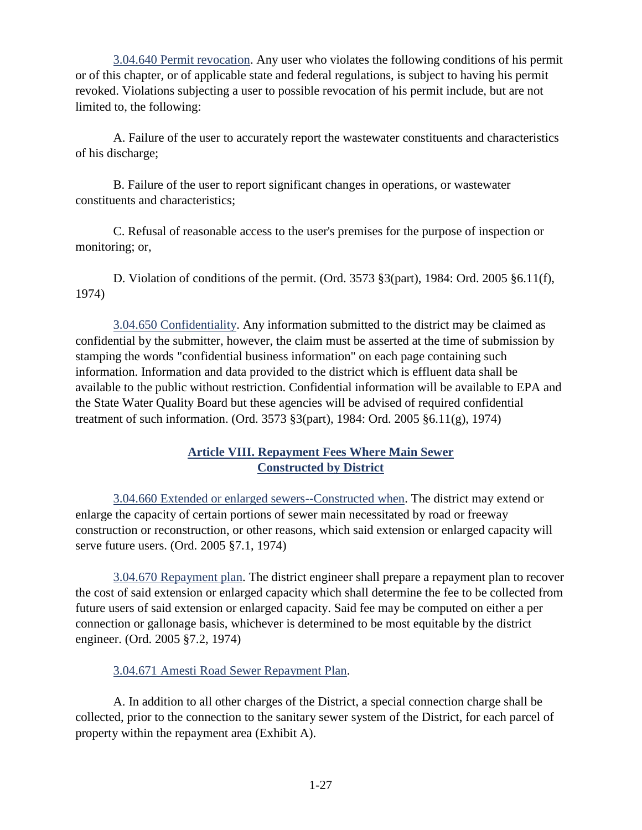<span id="page-38-0"></span>3.04.640 Permit revocation. Any user who violates the following conditions of his permit or of this chapter, or of applicable state and federal regulations, is subject to having his permit revoked. Violations subjecting a user to possible revocation of his permit include, but are not limited to, the following:

A. Failure of the user to accurately report the wastewater constituents and characteristics of his discharge;

B. Failure of the user to report significant changes in operations, or wastewater constituents and characteristics;

C. Refusal of reasonable access to the user's premises for the purpose of inspection or monitoring; or,

D. Violation of conditions of the permit. (Ord. 3573 §3(part), 1984: Ord. 2005 §6.11(f), 1974)

<span id="page-38-1"></span>3.04.650 Confidentiality. Any information submitted to the district may be claimed as confidential by the submitter, however, the claim must be asserted at the time of submission by stamping the words "confidential business information" on each page containing such information. Information and data provided to the district which is effluent data shall be available to the public without restriction. Confidential information will be available to EPA and the State Water Quality Board but these agencies will be advised of required confidential treatment of such information. (Ord. 3573 §3(part), 1984: Ord. 2005 §6.11(g), 1974)

## **Article VIII. Repayment Fees Where Main Sewer Constructed by District**

<span id="page-38-3"></span><span id="page-38-2"></span>3.04.660 Extended or enlarged sewers--Constructed when. The district may extend or enlarge the capacity of certain portions of sewer main necessitated by road or freeway construction or reconstruction, or other reasons, which said extension or enlarged capacity will serve future users. (Ord. 2005 §7.1, 1974)

<span id="page-38-4"></span>3.04.670 Repayment plan. The district engineer shall prepare a repayment plan to recover the cost of said extension or enlarged capacity which shall determine the fee to be collected from future users of said extension or enlarged capacity. Said fee may be computed on either a per connection or gallonage basis, whichever is determined to be most equitable by the district engineer. (Ord. 2005 §7.2, 1974)

## <span id="page-38-5"></span>3.04.671 Amesti Road Sewer Repayment Plan.

A. In addition to all other charges of the District, a special connection charge shall be collected, prior to the connection to the sanitary sewer system of the District, for each parcel of property within the repayment area (Exhibit A).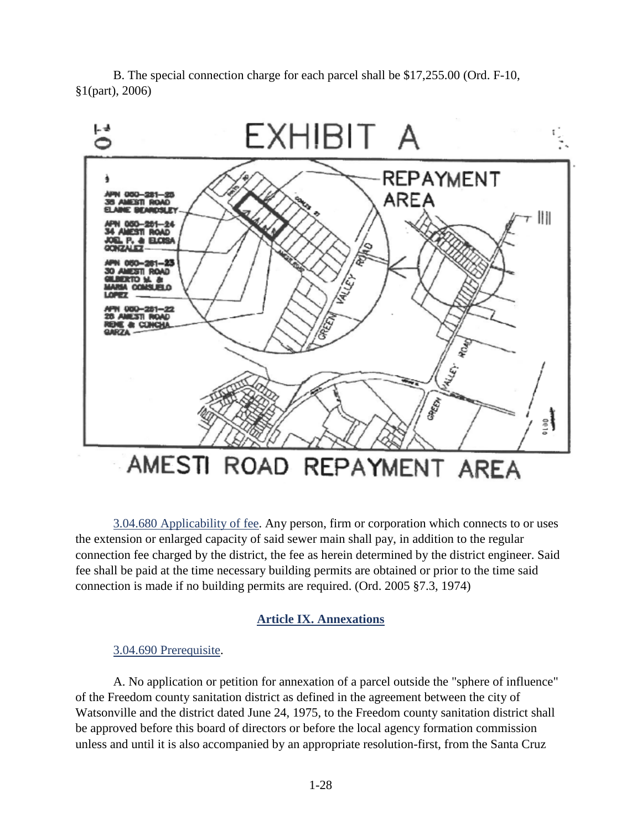B. The special connection charge for each parcel shall be \$17,255.00 (Ord. F-10, §1(part), 2006)



# <span id="page-39-0"></span>3.04.680 Applicability of fee. Any person, firm or corporation which connects to or uses the extension or enlarged capacity of said sewer main shall pay, in addition to the regular connection fee charged by the district, the fee as herein determined by the district engineer. Said fee shall be paid at the time necessary building permits are obtained or prior to the time said connection is made if no building permits are required. (Ord. 2005 §7.3, 1974)

# **Article IX. Annexations**

## <span id="page-39-2"></span><span id="page-39-1"></span>3.04.690 Prerequisite.

A. No application or petition for annexation of a parcel outside the "sphere of influence" of the Freedom county sanitation district as defined in the agreement between the city of Watsonville and the district dated June 24, 1975, to the Freedom county sanitation district shall be approved before this board of directors or before the local agency formation commission unless and until it is also accompanied by an appropriate resolution-first, from the Santa Cruz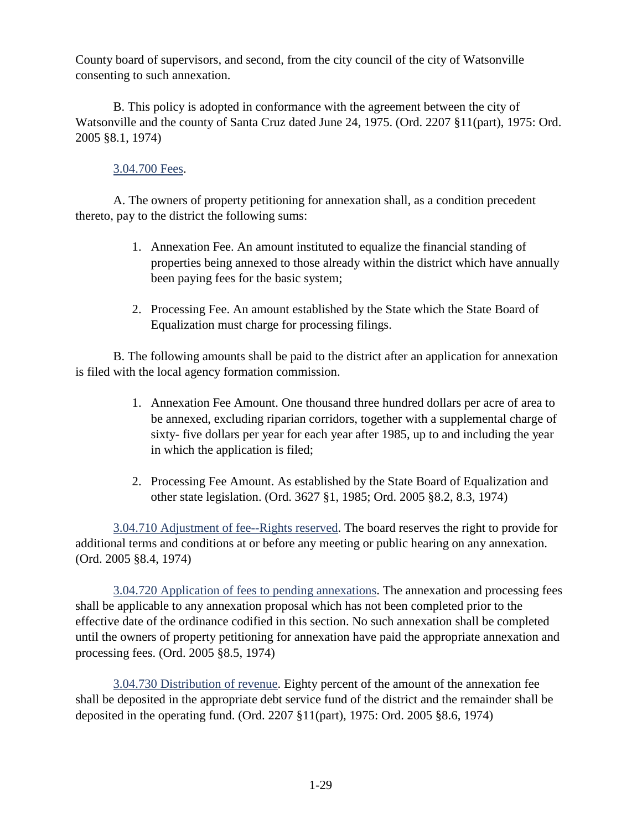County board of supervisors, and second, from the city council of the city of Watsonville consenting to such annexation.

B. This policy is adopted in conformance with the agreement between the city of Watsonville and the county of Santa Cruz dated June 24, 1975. (Ord. 2207 §11(part), 1975: Ord. 2005 §8.1, 1974)

## <span id="page-40-0"></span>3.04.700 Fees.

A. The owners of property petitioning for annexation shall, as a condition precedent thereto, pay to the district the following sums:

- 1. Annexation Fee. An amount instituted to equalize the financial standing of properties being annexed to those already within the district which have annually been paying fees for the basic system;
- 2. Processing Fee. An amount established by the State which the State Board of Equalization must charge for processing filings.

B. The following amounts shall be paid to the district after an application for annexation is filed with the local agency formation commission.

- 1. Annexation Fee Amount. One thousand three hundred dollars per acre of area to be annexed, excluding riparian corridors, together with a supplemental charge of sixty- five dollars per year for each year after 1985, up to and including the year in which the application is filed;
- 2. Processing Fee Amount. As established by the State Board of Equalization and other state legislation. (Ord. 3627 §1, 1985; Ord. 2005 §8.2, 8.3, 1974)

<span id="page-40-1"></span>3.04.710 Adjustment of fee--Rights reserved. The board reserves the right to provide for additional terms and conditions at or before any meeting or public hearing on any annexation. (Ord. 2005 §8.4, 1974)

<span id="page-40-2"></span>3.04.720 Application of fees to pending annexations. The annexation and processing fees shall be applicable to any annexation proposal which has not been completed prior to the effective date of the ordinance codified in this section. No such annexation shall be completed until the owners of property petitioning for annexation have paid the appropriate annexation and processing fees. (Ord. 2005 §8.5, 1974)

<span id="page-40-3"></span>3.04.730 Distribution of revenue. Eighty percent of the amount of the annexation fee shall be deposited in the appropriate debt service fund of the district and the remainder shall be deposited in the operating fund. (Ord. 2207 §11(part), 1975: Ord. 2005 §8.6, 1974)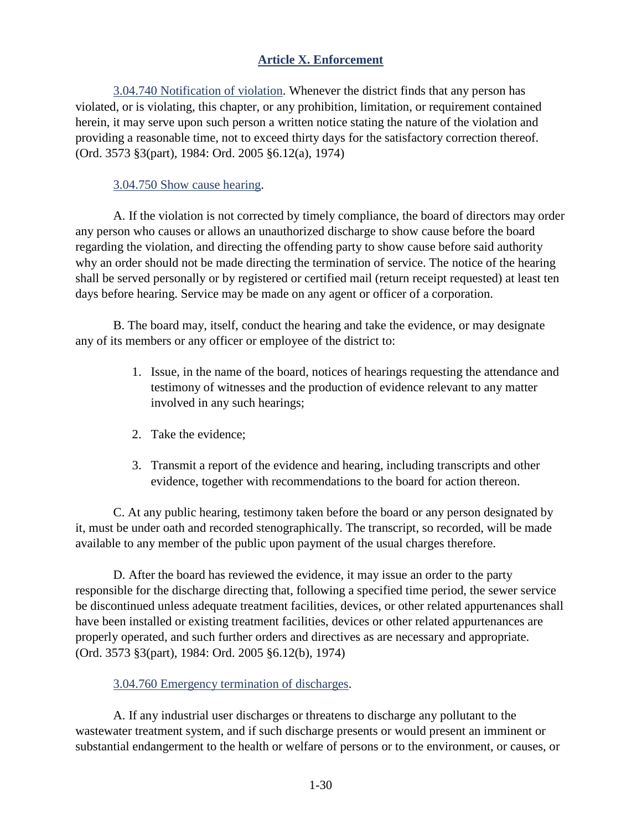# **Article X. Enforcement**

<span id="page-41-1"></span><span id="page-41-0"></span>3.04.740 Notification of violation. Whenever the district finds that any person has violated, or is violating, this chapter, or any prohibition, limitation, or requirement contained herein, it may serve upon such person a written notice stating the nature of the violation and providing a reasonable time, not to exceed thirty days for the satisfactory correction thereof. (Ord. 3573 §3(part), 1984: Ord. 2005 §6.12(a), 1974)

#### <span id="page-41-2"></span>3.04.750 Show cause hearing.

A. If the violation is not corrected by timely compliance, the board of directors may order any person who causes or allows an unauthorized discharge to show cause before the board regarding the violation, and directing the offending party to show cause before said authority why an order should not be made directing the termination of service. The notice of the hearing shall be served personally or by registered or certified mail (return receipt requested) at least ten days before hearing. Service may be made on any agent or officer of a corporation.

B. The board may, itself, conduct the hearing and take the evidence, or may designate any of its members or any officer or employee of the district to:

- 1. Issue, in the name of the board, notices of hearings requesting the attendance and testimony of witnesses and the production of evidence relevant to any matter involved in any such hearings;
- 2. Take the evidence;
- 3. Transmit a report of the evidence and hearing, including transcripts and other evidence, together with recommendations to the board for action thereon.

C. At any public hearing, testimony taken before the board or any person designated by it, must be under oath and recorded stenographically. The transcript, so recorded, will be made available to any member of the public upon payment of the usual charges therefore.

D. After the board has reviewed the evidence, it may issue an order to the party responsible for the discharge directing that, following a specified time period, the sewer service be discontinued unless adequate treatment facilities, devices, or other related appurtenances shall have been installed or existing treatment facilities, devices or other related appurtenances are properly operated, and such further orders and directives as are necessary and appropriate. (Ord. 3573 §3(part), 1984: Ord. 2005 §6.12(b), 1974)

<span id="page-41-3"></span>3.04.760 Emergency termination of discharges.

A. If any industrial user discharges or threatens to discharge any pollutant to the wastewater treatment system, and if such discharge presents or would present an imminent or substantial endangerment to the health or welfare of persons or to the environment, or causes, or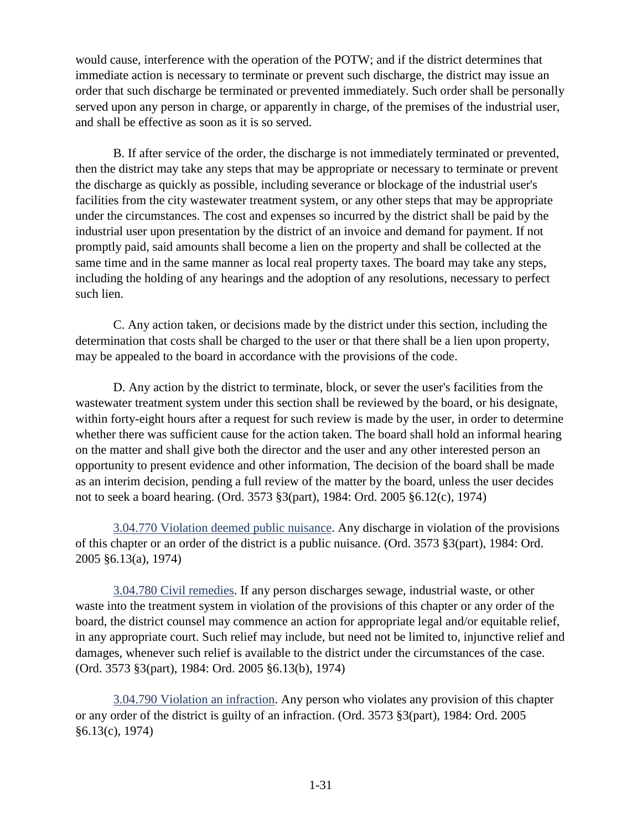would cause, interference with the operation of the POTW; and if the district determines that immediate action is necessary to terminate or prevent such discharge, the district may issue an order that such discharge be terminated or prevented immediately. Such order shall be personally served upon any person in charge, or apparently in charge, of the premises of the industrial user, and shall be effective as soon as it is so served.

B. If after service of the order, the discharge is not immediately terminated or prevented, then the district may take any steps that may be appropriate or necessary to terminate or prevent the discharge as quickly as possible, including severance or blockage of the industrial user's facilities from the city wastewater treatment system, or any other steps that may be appropriate under the circumstances. The cost and expenses so incurred by the district shall be paid by the industrial user upon presentation by the district of an invoice and demand for payment. If not promptly paid, said amounts shall become a lien on the property and shall be collected at the same time and in the same manner as local real property taxes. The board may take any steps, including the holding of any hearings and the adoption of any resolutions, necessary to perfect such lien.

C. Any action taken, or decisions made by the district under this section, including the determination that costs shall be charged to the user or that there shall be a lien upon property, may be appealed to the board in accordance with the provisions of the code.

D. Any action by the district to terminate, block, or sever the user's facilities from the wastewater treatment system under this section shall be reviewed by the board, or his designate, within forty-eight hours after a request for such review is made by the user, in order to determine whether there was sufficient cause for the action taken. The board shall hold an informal hearing on the matter and shall give both the director and the user and any other interested person an opportunity to present evidence and other information, The decision of the board shall be made as an interim decision, pending a full review of the matter by the board, unless the user decides not to seek a board hearing. (Ord. 3573 §3(part), 1984: Ord. 2005 §6.12(c), 1974)

<span id="page-42-0"></span>3.04.770 Violation deemed public nuisance. Any discharge in violation of the provisions of this chapter or an order of the district is a public nuisance. (Ord. 3573 §3(part), 1984: Ord. 2005 §6.13(a), 1974)

<span id="page-42-1"></span>3.04.780 Civil remedies. If any person discharges sewage, industrial waste, or other waste into the treatment system in violation of the provisions of this chapter or any order of the board, the district counsel may commence an action for appropriate legal and/or equitable relief, in any appropriate court. Such relief may include, but need not be limited to, injunctive relief and damages, whenever such relief is available to the district under the circumstances of the case. (Ord. 3573 §3(part), 1984: Ord. 2005 §6.13(b), 1974)

<span id="page-42-2"></span>3.04.790 Violation an infraction. Any person who violates any provision of this chapter or any order of the district is guilty of an infraction. (Ord. 3573 §3(part), 1984: Ord. 2005 §6.13(c), 1974)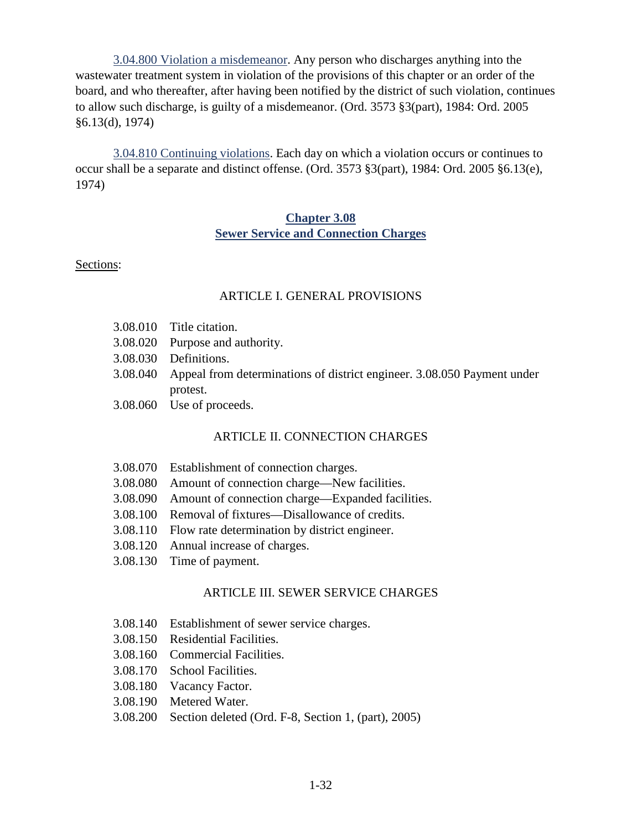<span id="page-43-0"></span>3.04.800 Violation a misdemeanor. Any person who discharges anything into the wastewater treatment system in violation of the provisions of this chapter or an order of the board, and who thereafter, after having been notified by the district of such violation, continues to allow such discharge, is guilty of a misdemeanor. (Ord. 3573 §3(part), 1984: Ord. 2005 §6.13(d), 1974)

<span id="page-43-1"></span>3.04.810 Continuing violations. Each day on which a violation occurs or continues to occur shall be a separate and distinct offense. (Ord. 3573 §3(part), 1984: Ord. 2005 §6.13(e), 1974)

#### **Chapter 3.08 Sewer Service and Connection Charges**

## <span id="page-43-2"></span>Sections:

## ARTICLE I. GENERAL PROVISIONS

- 3.08.010 Title citation.
- 3.08.020 Purpose and authority.
- 3.08.030 Definitions.
- 3.08.040 Appeal from determinations of district engineer. 3.08.050 Payment under protest.
- 3.08.060 Use of proceeds.

# ARTICLE II. CONNECTION CHARGES

- 3.08.070 Establishment of connection charges.
- 3.08.080 Amount of connection charge—New facilities.
- 3.08.090 Amount of connection charge—Expanded facilities.
- 3.08.100 Removal of fixtures—Disallowance of credits.
- 3.08.110 Flow rate determination by district engineer.
- 3.08.120 Annual increase of charges.
- 3.08.130 Time of payment.

## ARTICLE III. SEWER SERVICE CHARGES

- 3.08.140 Establishment of sewer service charges.
- 3.08.150 Residential Facilities.
- 3.08.160 Commercial Facilities.
- 3.08.170 School Facilities.
- 3.08.180 Vacancy Factor.
- 3.08.190 Metered Water.
- 3.08.200 Section deleted (Ord. F-8, Section 1, (part), 2005)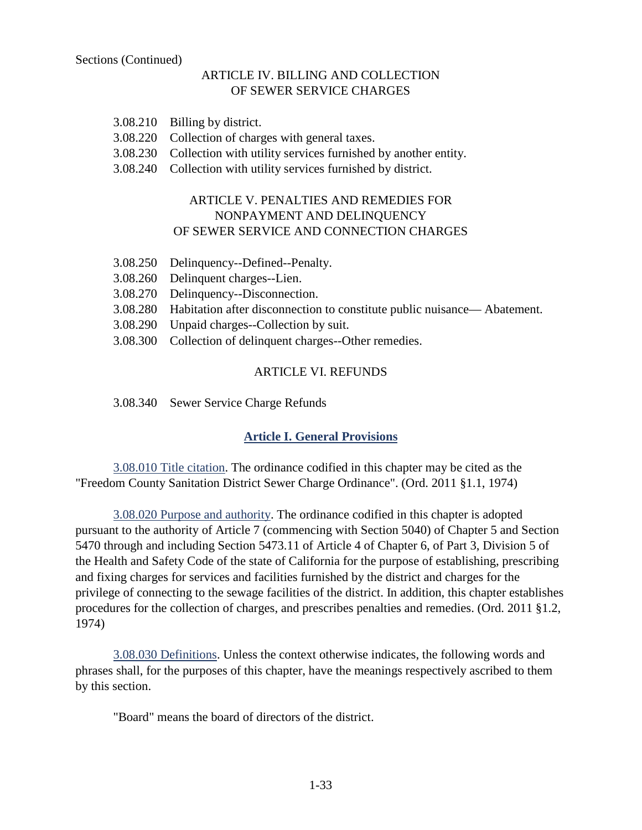## ARTICLE IV. BILLING AND COLLECTION OF SEWER SERVICE CHARGES

- 3.08.210 Billing by district.
- 3.08.220 Collection of charges with general taxes.
- 3.08.230 Collection with utility services furnished by another entity.
- 3.08.240 Collection with utility services furnished by district.

## ARTICLE V. PENALTIES AND REMEDIES FOR NONPAYMENT AND DELINQUENCY OF SEWER SERVICE AND CONNECTION CHARGES

- 3.08.250 Delinquency--Defined--Penalty.
- 3.08.260 Delinquent charges--Lien.
- 3.08.270 Delinquency--Disconnection.
- 3.08.280 Habitation after disconnection to constitute public nuisance— Abatement.
- 3.08.290 Unpaid charges--Collection by suit.
- 3.08.300 Collection of delinquent charges--Other remedies.

#### ARTICLE VI. REFUNDS

3.08.340 Sewer Service Charge Refunds

# **Article I. General Provisions**

<span id="page-44-1"></span><span id="page-44-0"></span>3.08.010 Title citation. The ordinance codified in this chapter may be cited as the "Freedom County Sanitation District Sewer Charge Ordinance". (Ord. 2011 §1.1, 1974)

<span id="page-44-2"></span>3.08.020 Purpose and authority. The ordinance codified in this chapter is adopted pursuant to the authority of Article 7 (commencing with Section 5040) of Chapter 5 and Section 5470 through and including Section 5473.11 of Article 4 of Chapter 6, of Part 3, Division 5 of the Health and Safety Code of the state of California for the purpose of establishing, prescribing and fixing charges for services and facilities furnished by the district and charges for the privilege of connecting to the sewage facilities of the district. In addition, this chapter establishes procedures for the collection of charges, and prescribes penalties and remedies. (Ord. 2011 §1.2, 1974)

<span id="page-44-3"></span>3.08.030 Definitions. Unless the context otherwise indicates, the following words and phrases shall, for the purposes of this chapter, have the meanings respectively ascribed to them by this section.

"Board" means the board of directors of the district.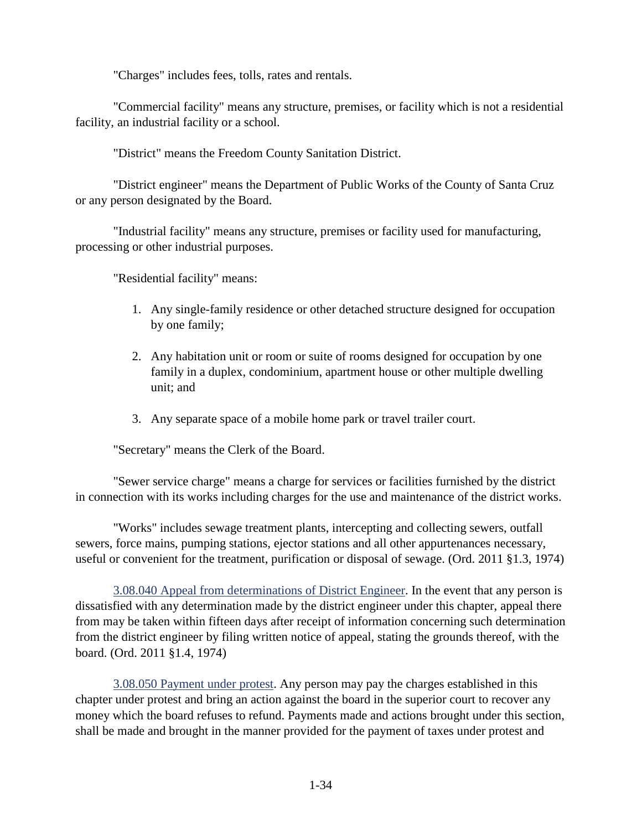"Charges" includes fees, tolls, rates and rentals.

"Commercial facility" means any structure, premises, or facility which is not a residential facility, an industrial facility or a school.

"District" means the Freedom County Sanitation District.

"District engineer" means the Department of Public Works of the County of Santa Cruz or any person designated by the Board.

"Industrial facility" means any structure, premises or facility used for manufacturing, processing or other industrial purposes.

"Residential facility" means:

- 1. Any single-family residence or other detached structure designed for occupation by one family;
- 2. Any habitation unit or room or suite of rooms designed for occupation by one family in a duplex, condominium, apartment house or other multiple dwelling unit; and
- 3. Any separate space of a mobile home park or travel trailer court.

"Secretary" means the Clerk of the Board.

"Sewer service charge" means a charge for services or facilities furnished by the district in connection with its works including charges for the use and maintenance of the district works.

"Works" includes sewage treatment plants, intercepting and collecting sewers, outfall sewers, force mains, pumping stations, ejector stations and all other appurtenances necessary, useful or convenient for the treatment, purification or disposal of sewage. (Ord. 2011 §1.3, 1974)

<span id="page-45-0"></span>3.08.040 Appeal from determinations of District Engineer. In the event that any person is dissatisfied with any determination made by the district engineer under this chapter, appeal there from may be taken within fifteen days after receipt of information concerning such determination from the district engineer by filing written notice of appeal, stating the grounds thereof, with the board. (Ord. 2011 §1.4, 1974)

<span id="page-45-1"></span>3.08.050 Payment under protest. Any person may pay the charges established in this chapter under protest and bring an action against the board in the superior court to recover any money which the board refuses to refund. Payments made and actions brought under this section, shall be made and brought in the manner provided for the payment of taxes under protest and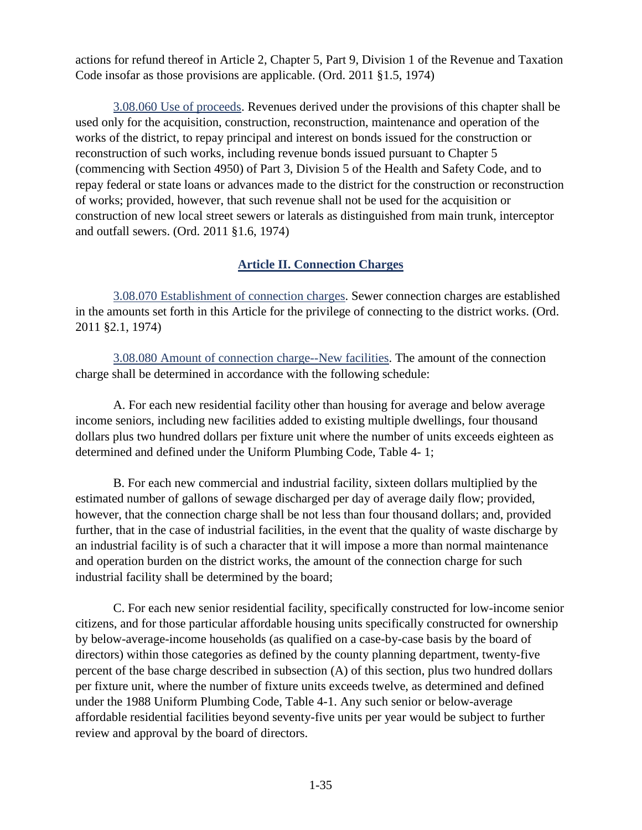actions for refund thereof in Article 2, Chapter 5, Part 9, Division 1 of the Revenue and Taxation Code insofar as those provisions are applicable. (Ord. 2011 §1.5, 1974)

<span id="page-46-0"></span>3.08.060 Use of proceeds. Revenues derived under the provisions of this chapter shall be used only for the acquisition, construction, reconstruction, maintenance and operation of the works of the district, to repay principal and interest on bonds issued for the construction or reconstruction of such works, including revenue bonds issued pursuant to Chapter 5 (commencing with Section 4950) of Part 3, Division 5 of the Health and Safety Code, and to repay federal or state loans or advances made to the district for the construction or reconstruction of works; provided, however, that such revenue shall not be used for the acquisition or construction of new local street sewers or laterals as distinguished from main trunk, interceptor and outfall sewers. (Ord. 2011 §1.6, 1974)

## **Article II. Connection Charges**

<span id="page-46-2"></span><span id="page-46-1"></span>3.08.070 Establishment of connection charges. Sewer connection charges are established in the amounts set forth in this Article for the privilege of connecting to the district works. (Ord. 2011 §2.1, 1974)

<span id="page-46-3"></span>3.08.080 Amount of connection charge--New facilities. The amount of the connection charge shall be determined in accordance with the following schedule:

A. For each new residential facility other than housing for average and below average income seniors, including new facilities added to existing multiple dwellings, four thousand dollars plus two hundred dollars per fixture unit where the number of units exceeds eighteen as determined and defined under the Uniform Plumbing Code, Table 4- 1;

B. For each new commercial and industrial facility, sixteen dollars multiplied by the estimated number of gallons of sewage discharged per day of average daily flow; provided, however, that the connection charge shall be not less than four thousand dollars; and, provided further, that in the case of industrial facilities, in the event that the quality of waste discharge by an industrial facility is of such a character that it will impose a more than normal maintenance and operation burden on the district works, the amount of the connection charge for such industrial facility shall be determined by the board;

C. For each new senior residential facility, specifically constructed for low-income senior citizens, and for those particular affordable housing units specifically constructed for ownership by below-average-income households (as qualified on a case-by-case basis by the board of directors) within those categories as defined by the county planning department, twenty-five percent of the base charge described in subsection (A) of this section, plus two hundred dollars per fixture unit, where the number of fixture units exceeds twelve, as determined and defined under the 1988 Uniform Plumbing Code, Table 4-1. Any such senior or below-average affordable residential facilities beyond seventy-five units per year would be subject to further review and approval by the board of directors.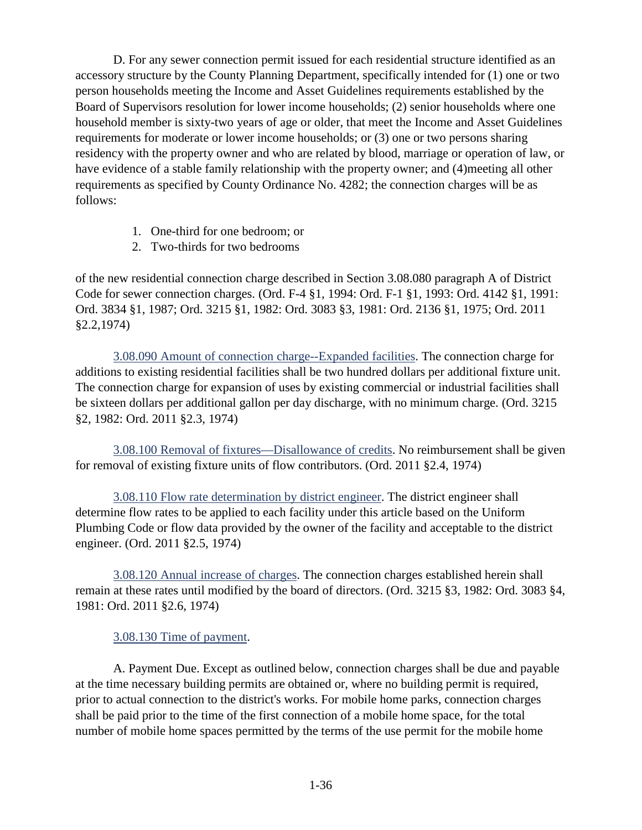D. For any sewer connection permit issued for each residential structure identified as an accessory structure by the County Planning Department, specifically intended for (1) one or two person households meeting the Income and Asset Guidelines requirements established by the Board of Supervisors resolution for lower income households; (2) senior households where one household member is sixty-two years of age or older, that meet the Income and Asset Guidelines requirements for moderate or lower income households; or (3) one or two persons sharing residency with the property owner and who are related by blood, marriage or operation of law, or have evidence of a stable family relationship with the property owner; and (4)meeting all other requirements as specified by County Ordinance No. 4282; the connection charges will be as follows:

- 1. One-third for one bedroom; or
- 2. Two-thirds for two bedrooms

of the new residential connection charge described in Section 3.08.080 paragraph A of District Code for sewer connection charges. (Ord. F-4 §1, 1994: Ord. F-1 §1, 1993: Ord. 4142 §1, 1991: Ord. 3834 §1, 1987; Ord. 3215 §1, 1982: Ord. 3083 §3, 1981: Ord. 2136 §1, 1975; Ord. 2011 §2.2,1974)

<span id="page-47-0"></span>3.08.090 Amount of connection charge--Expanded facilities. The connection charge for additions to existing residential facilities shall be two hundred dollars per additional fixture unit. The connection charge for expansion of uses by existing commercial or industrial facilities shall be sixteen dollars per additional gallon per day discharge, with no minimum charge. (Ord. 3215 §2, 1982: Ord. 2011 §2.3, 1974)

<span id="page-47-1"></span>3.08.100 Removal of fixtures—Disallowance of credits. No reimbursement shall be given for removal of existing fixture units of flow contributors. (Ord. 2011 §2.4, 1974)

<span id="page-47-2"></span>3.08.110 Flow rate determination by district engineer. The district engineer shall determine flow rates to be applied to each facility under this article based on the Uniform Plumbing Code or flow data provided by the owner of the facility and acceptable to the district engineer. (Ord. 2011 §2.5, 1974)

<span id="page-47-3"></span>3.08.120 Annual increase of charges. The connection charges established herein shall remain at these rates until modified by the board of directors. (Ord. 3215 §3, 1982: Ord. 3083 §4, 1981: Ord. 2011 §2.6, 1974)

## <span id="page-47-4"></span>3.08.130 Time of payment.

A. Payment Due. Except as outlined below, connection charges shall be due and payable at the time necessary building permits are obtained or, where no building permit is required, prior to actual connection to the district's works. For mobile home parks, connection charges shall be paid prior to the time of the first connection of a mobile home space, for the total number of mobile home spaces permitted by the terms of the use permit for the mobile home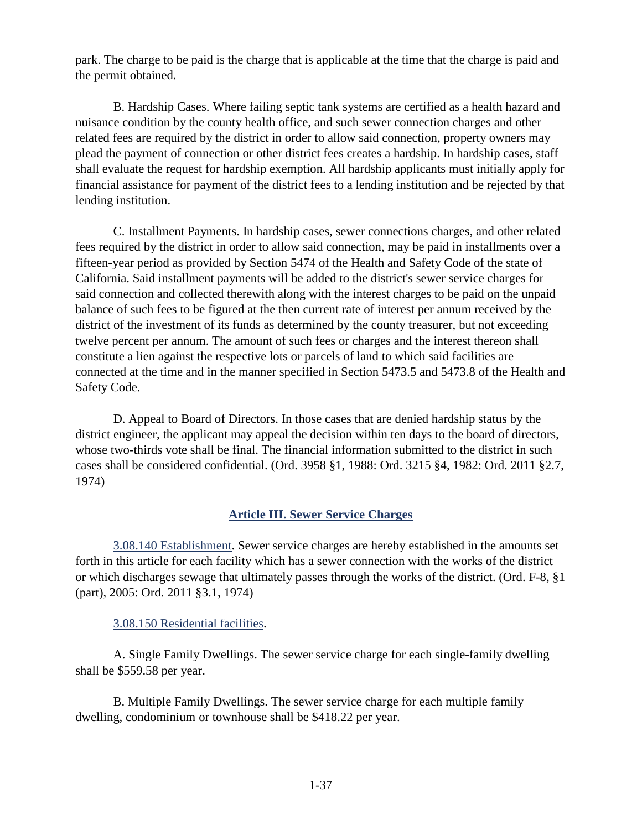park. The charge to be paid is the charge that is applicable at the time that the charge is paid and the permit obtained.

B. Hardship Cases. Where failing septic tank systems are certified as a health hazard and nuisance condition by the county health office, and such sewer connection charges and other related fees are required by the district in order to allow said connection, property owners may plead the payment of connection or other district fees creates a hardship. In hardship cases, staff shall evaluate the request for hardship exemption. All hardship applicants must initially apply for financial assistance for payment of the district fees to a lending institution and be rejected by that lending institution.

C. Installment Payments. In hardship cases, sewer connections charges, and other related fees required by the district in order to allow said connection, may be paid in installments over a fifteen-year period as provided by Section 5474 of the Health and Safety Code of the state of California. Said installment payments will be added to the district's sewer service charges for said connection and collected therewith along with the interest charges to be paid on the unpaid balance of such fees to be figured at the then current rate of interest per annum received by the district of the investment of its funds as determined by the county treasurer, but not exceeding twelve percent per annum. The amount of such fees or charges and the interest thereon shall constitute a lien against the respective lots or parcels of land to which said facilities are connected at the time and in the manner specified in Section 5473.5 and 5473.8 of the Health and Safety Code.

D. Appeal to Board of Directors. In those cases that are denied hardship status by the district engineer, the applicant may appeal the decision within ten days to the board of directors, whose two-thirds vote shall be final. The financial information submitted to the district in such cases shall be considered confidential. (Ord. 3958 §1, 1988: Ord. 3215 §4, 1982: Ord. 2011 §2.7, 1974)

## **Article III. Sewer Service Charges**

<span id="page-48-1"></span><span id="page-48-0"></span>3.08.140 Establishment. Sewer service charges are hereby established in the amounts set forth in this article for each facility which has a sewer connection with the works of the district or which discharges sewage that ultimately passes through the works of the district. (Ord. F-8, §1 (part), 2005: Ord. 2011 §3.1, 1974)

#### <span id="page-48-2"></span>3.08.150 Residential facilities.

A. Single Family Dwellings. The sewer service charge for each single-family dwelling shall be \$559.58 per year.

B. Multiple Family Dwellings. The sewer service charge for each multiple family dwelling, condominium or townhouse shall be \$418.22 per year.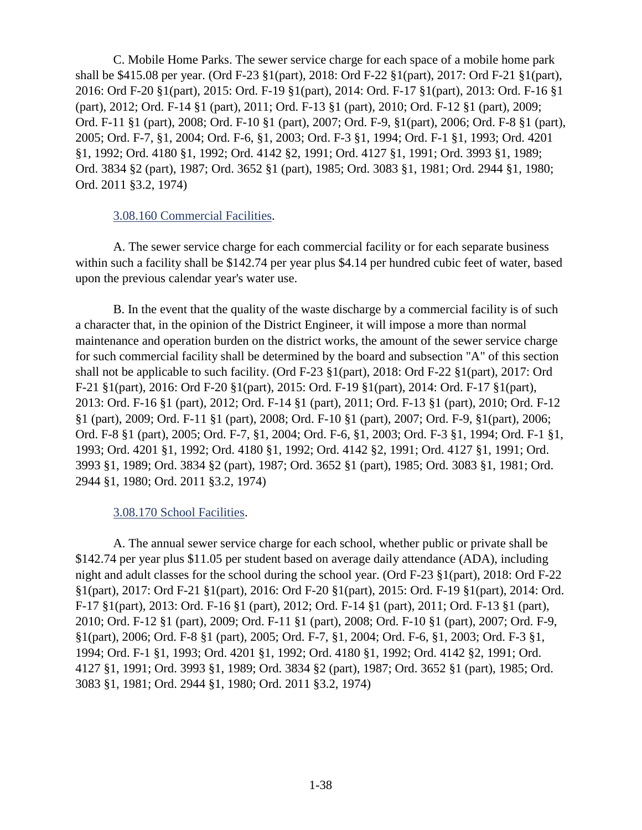C. Mobile Home Parks. The sewer service charge for each space of a mobile home park shall be \$415.08 per year. (Ord F-23 §1(part), 2018: Ord F-22 §1(part), 2017: Ord F-21 §1(part), 2016: Ord F-20 §1(part), 2015: Ord. F-19 §1(part), 2014: Ord. F-17 §1(part), 2013: Ord. F-16 §1 (part), 2012; Ord. F-14 §1 (part), 2011; Ord. F-13 §1 (part), 2010; Ord. F-12 §1 (part), 2009; Ord. F-11 §1 (part), 2008; Ord. F-10 §1 (part), 2007; Ord. F-9, §1(part), 2006; Ord. F-8 §1 (part), 2005; Ord. F-7, §1, 2004; Ord. F-6, §1, 2003; Ord. F-3 §1, 1994; Ord. F-1 §1, 1993; Ord. 4201 §1, 1992; Ord. 4180 §1, 1992; Ord. 4142 §2, 1991; Ord. 4127 §1, 1991; Ord. 3993 §1, 1989; Ord. 3834 §2 (part), 1987; Ord. 3652 §1 (part), 1985; Ord. 3083 §1, 1981; Ord. 2944 §1, 1980; Ord. 2011 §3.2, 1974)

#### <span id="page-49-0"></span>3.08.160 Commercial Facilities.

A. The sewer service charge for each commercial facility or for each separate business within such a facility shall be \$142.74 per year plus \$4.14 per hundred cubic feet of water, based upon the previous calendar year's water use.

B. In the event that the quality of the waste discharge by a commercial facility is of such a character that, in the opinion of the District Engineer, it will impose a more than normal maintenance and operation burden on the district works, the amount of the sewer service charge for such commercial facility shall be determined by the board and subsection "A" of this section shall not be applicable to such facility. (Ord F-23 §1(part), 2018: Ord F-22 §1(part), 2017: Ord F-21 §1(part), 2016: Ord F-20 §1(part), 2015: Ord. F-19 §1(part), 2014: Ord. F-17 §1(part), 2013: Ord. F-16 §1 (part), 2012; Ord. F-14 §1 (part), 2011; Ord. F-13 §1 (part), 2010; Ord. F-12 §1 (part), 2009; Ord. F-11 §1 (part), 2008; Ord. F-10 §1 (part), 2007; Ord. F-9, §1(part), 2006; Ord. F-8 §1 (part), 2005; Ord. F-7, §1, 2004; Ord. F-6, §1, 2003; Ord. F-3 §1, 1994; Ord. F-1 §1, 1993; Ord. 4201 §1, 1992; Ord. 4180 §1, 1992; Ord. 4142 §2, 1991; Ord. 4127 §1, 1991; Ord. 3993 §1, 1989; Ord. 3834 §2 (part), 1987; Ord. 3652 §1 (part), 1985; Ord. 3083 §1, 1981; Ord. 2944 §1, 1980; Ord. 2011 §3.2, 1974)

#### <span id="page-49-1"></span>3.08.170 School Facilities.

A. The annual sewer service charge for each school, whether public or private shall be \$142.74 per year plus \$11.05 per student based on average daily attendance (ADA), including night and adult classes for the school during the school year. (Ord F-23 §1(part), 2018: Ord F-22 §1(part), 2017: Ord F-21 §1(part), 2016: Ord F-20 §1(part), 2015: Ord. F-19 §1(part), 2014: Ord. F-17 §1(part), 2013: Ord. F-16 §1 (part), 2012; Ord. F-14 §1 (part), 2011; Ord. F-13 §1 (part), 2010; Ord. F-12 §1 (part), 2009; Ord. F-11 §1 (part), 2008; Ord. F-10 §1 (part), 2007; Ord. F-9, §1(part), 2006; Ord. F-8 §1 (part), 2005; Ord. F-7, §1, 2004; Ord. F-6, §1, 2003; Ord. F-3 §1, 1994; Ord. F-1 §1, 1993; Ord. 4201 §1, 1992; Ord. 4180 §1, 1992; Ord. 4142 §2, 1991; Ord. 4127 §1, 1991; Ord. 3993 §1, 1989; Ord. 3834 §2 (part), 1987; Ord. 3652 §1 (part), 1985; Ord. 3083 §1, 1981; Ord. 2944 §1, 1980; Ord. 2011 §3.2, 1974)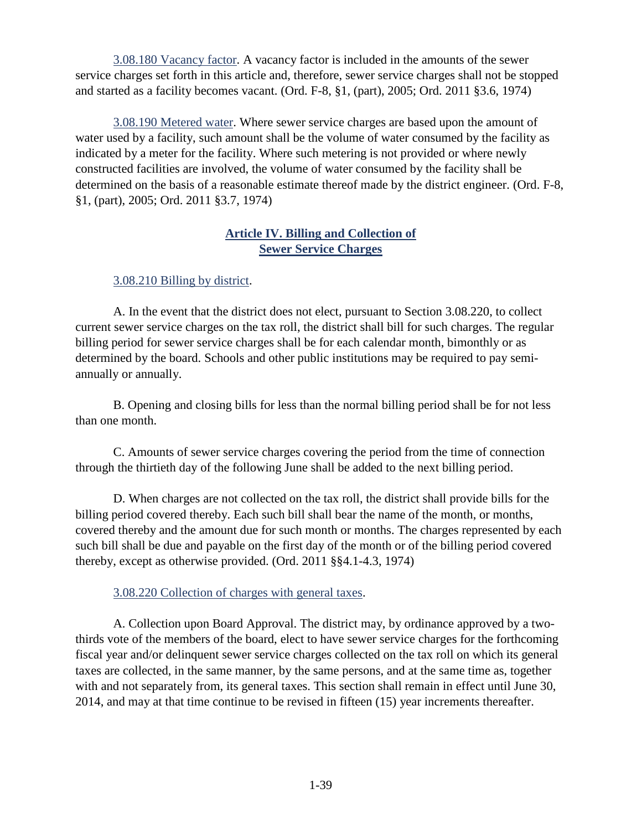<span id="page-50-0"></span>3.08.180 Vacancy factor. A vacancy factor is included in the amounts of the sewer service charges set forth in this article and, therefore, sewer service charges shall not be stopped and started as a facility becomes vacant. (Ord. F-8, §1, (part), 2005; Ord. 2011 §3.6, 1974)

<span id="page-50-1"></span>3.08.190 Metered water. Where sewer service charges are based upon the amount of water used by a facility, such amount shall be the volume of water consumed by the facility as indicated by a meter for the facility. Where such metering is not provided or where newly constructed facilities are involved, the volume of water consumed by the facility shall be determined on the basis of a reasonable estimate thereof made by the district engineer. (Ord. F-8, §1, (part), 2005; Ord. 2011 §3.7, 1974)

## **Article IV. Billing and Collection of Sewer Service Charges**

## <span id="page-50-3"></span><span id="page-50-2"></span>3.08.210 Billing by district.

A. In the event that the district does not elect, pursuant to Section 3.08.220, to collect current sewer service charges on the tax roll, the district shall bill for such charges. The regular billing period for sewer service charges shall be for each calendar month, bimonthly or as determined by the board. Schools and other public institutions may be required to pay semiannually or annually.

B. Opening and closing bills for less than the normal billing period shall be for not less than one month.

C. Amounts of sewer service charges covering the period from the time of connection through the thirtieth day of the following June shall be added to the next billing period.

D. When charges are not collected on the tax roll, the district shall provide bills for the billing period covered thereby. Each such bill shall bear the name of the month, or months, covered thereby and the amount due for such month or months. The charges represented by each such bill shall be due and payable on the first day of the month or of the billing period covered thereby, except as otherwise provided. (Ord. 2011 §§4.1-4.3, 1974)

## <span id="page-50-4"></span>3.08.220 Collection of charges with general taxes.

A. Collection upon Board Approval. The district may, by ordinance approved by a twothirds vote of the members of the board, elect to have sewer service charges for the forthcoming fiscal year and/or delinquent sewer service charges collected on the tax roll on which its general taxes are collected, in the same manner, by the same persons, and at the same time as, together with and not separately from, its general taxes. This section shall remain in effect until June 30, 2014, and may at that time continue to be revised in fifteen (15) year increments thereafter.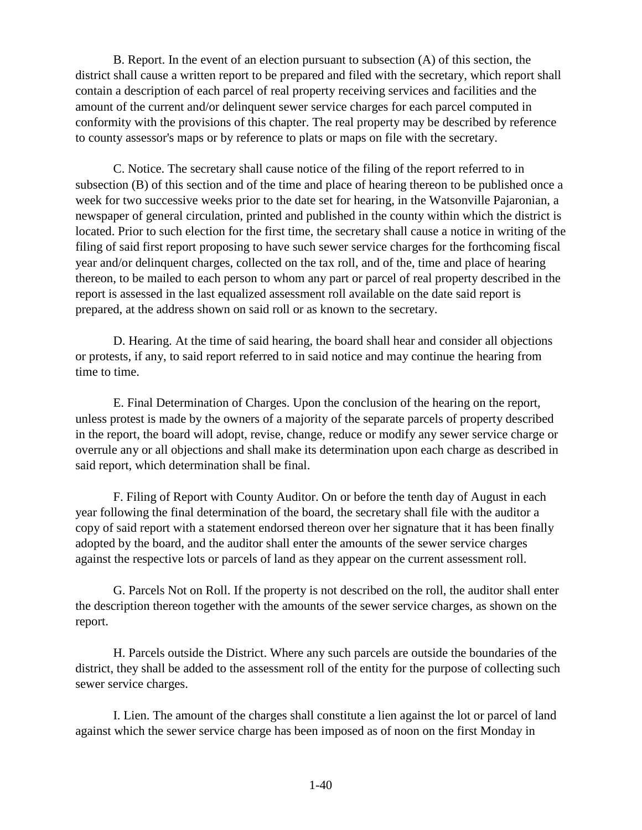B. Report. In the event of an election pursuant to subsection (A) of this section, the district shall cause a written report to be prepared and filed with the secretary, which report shall contain a description of each parcel of real property receiving services and facilities and the amount of the current and/or delinquent sewer service charges for each parcel computed in conformity with the provisions of this chapter. The real property may be described by reference to county assessor's maps or by reference to plats or maps on file with the secretary.

C. Notice. The secretary shall cause notice of the filing of the report referred to in subsection (B) of this section and of the time and place of hearing thereon to be published once a week for two successive weeks prior to the date set for hearing, in the Watsonville Pajaronian, a newspaper of general circulation, printed and published in the county within which the district is located. Prior to such election for the first time, the secretary shall cause a notice in writing of the filing of said first report proposing to have such sewer service charges for the forthcoming fiscal year and/or delinquent charges, collected on the tax roll, and of the, time and place of hearing thereon, to be mailed to each person to whom any part or parcel of real property described in the report is assessed in the last equalized assessment roll available on the date said report is prepared, at the address shown on said roll or as known to the secretary.

D. Hearing. At the time of said hearing, the board shall hear and consider all objections or protests, if any, to said report referred to in said notice and may continue the hearing from time to time.

E. Final Determination of Charges. Upon the conclusion of the hearing on the report, unless protest is made by the owners of a majority of the separate parcels of property described in the report, the board will adopt, revise, change, reduce or modify any sewer service charge or overrule any or all objections and shall make its determination upon each charge as described in said report, which determination shall be final.

F. Filing of Report with County Auditor. On or before the tenth day of August in each year following the final determination of the board, the secretary shall file with the auditor a copy of said report with a statement endorsed thereon over her signature that it has been finally adopted by the board, and the auditor shall enter the amounts of the sewer service charges against the respective lots or parcels of land as they appear on the current assessment roll.

G. Parcels Not on Roll. If the property is not described on the roll, the auditor shall enter the description thereon together with the amounts of the sewer service charges, as shown on the report.

H. Parcels outside the District. Where any such parcels are outside the boundaries of the district, they shall be added to the assessment roll of the entity for the purpose of collecting such sewer service charges.

I. Lien. The amount of the charges shall constitute a lien against the lot or parcel of land against which the sewer service charge has been imposed as of noon on the first Monday in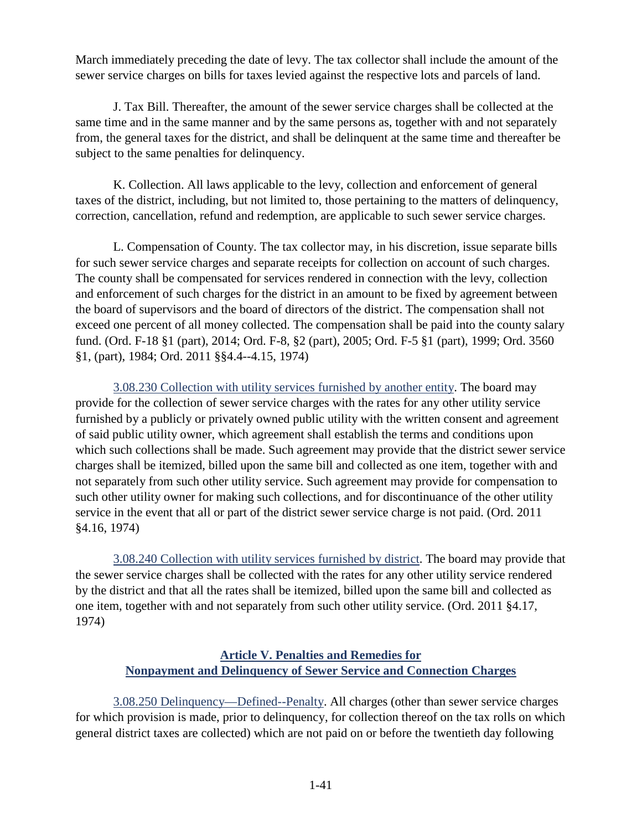March immediately preceding the date of levy. The tax collector shall include the amount of the sewer service charges on bills for taxes levied against the respective lots and parcels of land.

J. Tax Bill. Thereafter, the amount of the sewer service charges shall be collected at the same time and in the same manner and by the same persons as, together with and not separately from, the general taxes for the district, and shall be delinquent at the same time and thereafter be subject to the same penalties for delinquency.

K. Collection. All laws applicable to the levy, collection and enforcement of general taxes of the district, including, but not limited to, those pertaining to the matters of delinquency, correction, cancellation, refund and redemption, are applicable to such sewer service charges.

L. Compensation of County. The tax collector may, in his discretion, issue separate bills for such sewer service charges and separate receipts for collection on account of such charges. The county shall be compensated for services rendered in connection with the levy, collection and enforcement of such charges for the district in an amount to be fixed by agreement between the board of supervisors and the board of directors of the district. The compensation shall not exceed one percent of all money collected. The compensation shall be paid into the county salary fund. (Ord. F-18 §1 (part), 2014; Ord. F-8, §2 (part), 2005; Ord. F-5 §1 (part), 1999; Ord. 3560 §1, (part), 1984; Ord. 2011 §§4.4--4.15, 1974)

<span id="page-52-0"></span>3.08.230 Collection with utility services furnished by another entity. The board may provide for the collection of sewer service charges with the rates for any other utility service furnished by a publicly or privately owned public utility with the written consent and agreement of said public utility owner, which agreement shall establish the terms and conditions upon which such collections shall be made. Such agreement may provide that the district sewer service charges shall be itemized, billed upon the same bill and collected as one item, together with and not separately from such other utility service. Such agreement may provide for compensation to such other utility owner for making such collections, and for discontinuance of the other utility service in the event that all or part of the district sewer service charge is not paid. (Ord. 2011 §4.16, 1974)

<span id="page-52-1"></span>3.08.240 Collection with utility services furnished by district. The board may provide that the sewer service charges shall be collected with the rates for any other utility service rendered by the district and that all the rates shall be itemized, billed upon the same bill and collected as one item, together with and not separately from such other utility service. (Ord. 2011 §4.17, 1974)

## **Article V. Penalties and Remedies for Nonpayment and Delinquency of Sewer Service and Connection Charges**

<span id="page-52-3"></span><span id="page-52-2"></span>3.08.250 Delinquency—Defined--Penalty. All charges (other than sewer service charges for which provision is made, prior to delinquency, for collection thereof on the tax rolls on which general district taxes are collected) which are not paid on or before the twentieth day following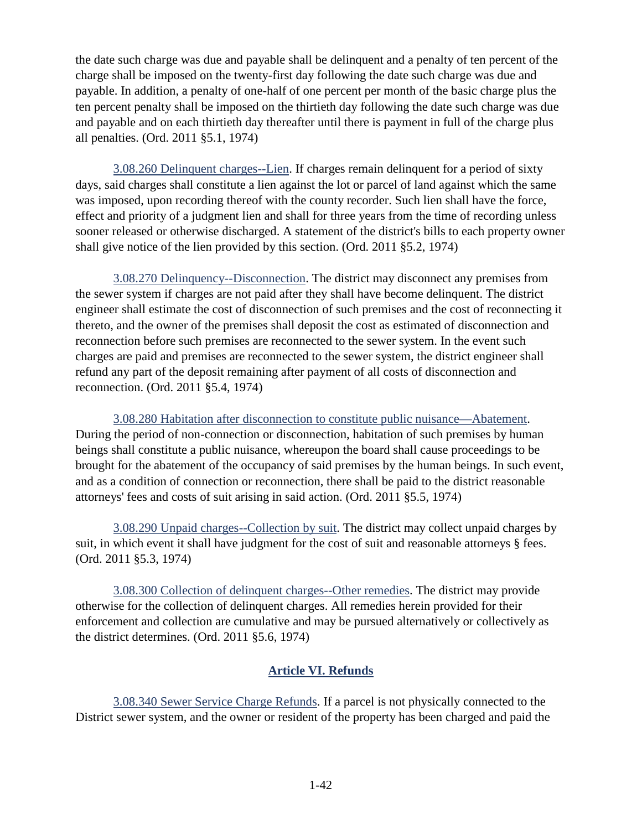the date such charge was due and payable shall be delinquent and a penalty of ten percent of the charge shall be imposed on the twenty-first day following the date such charge was due and payable. In addition, a penalty of one-half of one percent per month of the basic charge plus the ten percent penalty shall be imposed on the thirtieth day following the date such charge was due and payable and on each thirtieth day thereafter until there is payment in full of the charge plus all penalties. (Ord. 2011 §5.1, 1974)

<span id="page-53-0"></span>3.08.260 Delinquent charges--Lien. If charges remain delinquent for a period of sixty days, said charges shall constitute a lien against the lot or parcel of land against which the same was imposed, upon recording thereof with the county recorder. Such lien shall have the force, effect and priority of a judgment lien and shall for three years from the time of recording unless sooner released or otherwise discharged. A statement of the district's bills to each property owner shall give notice of the lien provided by this section. (Ord. 2011 §5.2, 1974)

<span id="page-53-1"></span>3.08.270 Delinquency--Disconnection. The district may disconnect any premises from the sewer system if charges are not paid after they shall have become delinquent. The district engineer shall estimate the cost of disconnection of such premises and the cost of reconnecting it thereto, and the owner of the premises shall deposit the cost as estimated of disconnection and reconnection before such premises are reconnected to the sewer system. In the event such charges are paid and premises are reconnected to the sewer system, the district engineer shall refund any part of the deposit remaining after payment of all costs of disconnection and reconnection. (Ord. 2011 §5.4, 1974)

<span id="page-53-2"></span>3.08.280 Habitation after disconnection to constitute public nuisance—Abatement. During the period of non-connection or disconnection, habitation of such premises by human beings shall constitute a public nuisance, whereupon the board shall cause proceedings to be brought for the abatement of the occupancy of said premises by the human beings. In such event, and as a condition of connection or reconnection, there shall be paid to the district reasonable attorneys' fees and costs of suit arising in said action. (Ord. 2011 §5.5, 1974)

<span id="page-53-3"></span>3.08.290 Unpaid charges--Collection by suit. The district may collect unpaid charges by suit, in which event it shall have judgment for the cost of suit and reasonable attorneys § fees. (Ord. 2011 §5.3, 1974)

<span id="page-53-4"></span>3.08.300 Collection of delinquent charges--Other remedies. The district may provide otherwise for the collection of delinquent charges. All remedies herein provided for their enforcement and collection are cumulative and may be pursued alternatively or collectively as the district determines. (Ord. 2011 §5.6, 1974)

# **Article VI. Refunds**

<span id="page-53-6"></span><span id="page-53-5"></span>3.08.340 Sewer Service Charge Refunds. If a parcel is not physically connected to the District sewer system, and the owner or resident of the property has been charged and paid the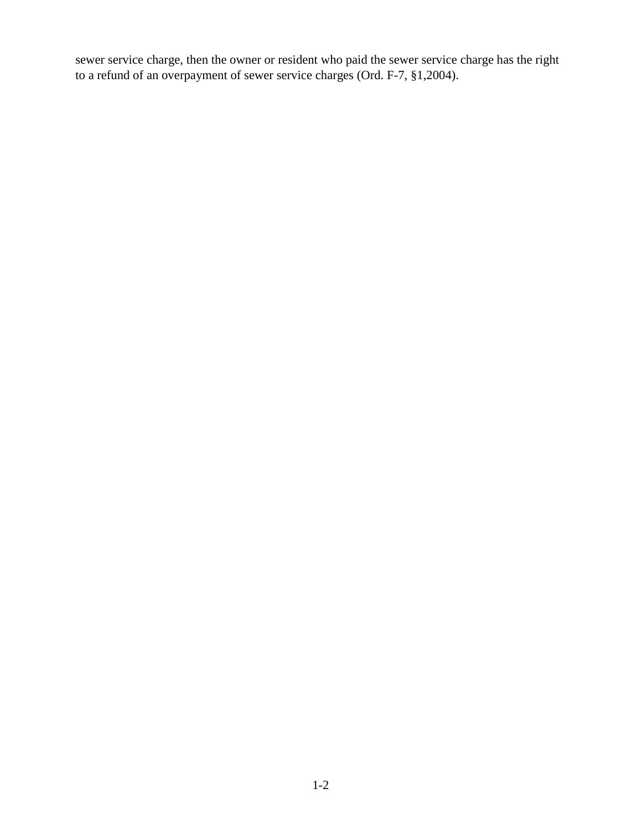sewer service charge, then the owner or resident who paid the sewer service charge has the right to a refund of an overpayment of sewer service charges (Ord. F-7, §1,2004).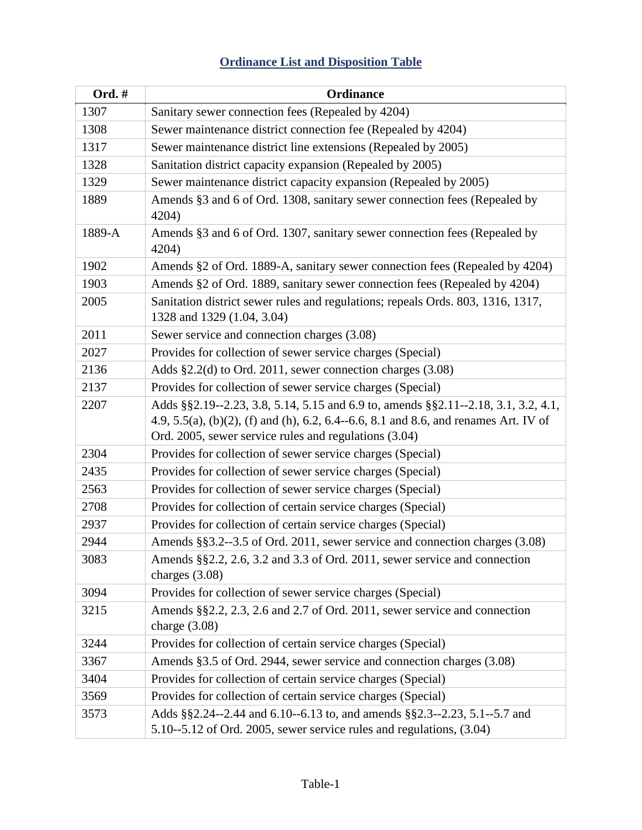# **Ordinance List and Disposition Table**

<span id="page-55-0"></span>

| Ord. # | Ordinance                                                                                                                                                                                                                           |
|--------|-------------------------------------------------------------------------------------------------------------------------------------------------------------------------------------------------------------------------------------|
| 1307   | Sanitary sewer connection fees (Repealed by 4204)                                                                                                                                                                                   |
| 1308   | Sewer maintenance district connection fee (Repealed by 4204)                                                                                                                                                                        |
| 1317   | Sewer maintenance district line extensions (Repealed by 2005)                                                                                                                                                                       |
| 1328   | Sanitation district capacity expansion (Repealed by 2005)                                                                                                                                                                           |
| 1329   | Sewer maintenance district capacity expansion (Repealed by 2005)                                                                                                                                                                    |
| 1889   | Amends §3 and 6 of Ord. 1308, sanitary sewer connection fees (Repealed by<br>4204)                                                                                                                                                  |
| 1889-A | Amends §3 and 6 of Ord. 1307, sanitary sewer connection fees (Repealed by<br>4204)                                                                                                                                                  |
| 1902   | Amends §2 of Ord. 1889-A, sanitary sewer connection fees (Repealed by 4204)                                                                                                                                                         |
| 1903   | Amends §2 of Ord. 1889, sanitary sewer connection fees (Repealed by 4204)                                                                                                                                                           |
| 2005   | Sanitation district sewer rules and regulations; repeals Ords. 803, 1316, 1317,<br>1328 and 1329 (1.04, 3.04)                                                                                                                       |
| 2011   | Sewer service and connection charges (3.08)                                                                                                                                                                                         |
| 2027   | Provides for collection of sewer service charges (Special)                                                                                                                                                                          |
| 2136   | Adds $\S2.2$ (d) to Ord. 2011, sewer connection charges (3.08)                                                                                                                                                                      |
| 2137   | Provides for collection of sewer service charges (Special)                                                                                                                                                                          |
| 2207   | Adds §§2.19--2.23, 3.8, 5.14, 5.15 and 6.9 to, amends §§2.11--2.18, 3.1, 3.2, 4.1,<br>4.9, 5.5(a), (b)(2), (f) and (h), 6.2, 6.4--6.6, 8.1 and 8.6, and renames Art. IV of<br>Ord. 2005, sewer service rules and regulations (3.04) |
| 2304   | Provides for collection of sewer service charges (Special)                                                                                                                                                                          |
| 2435   | Provides for collection of sewer service charges (Special)                                                                                                                                                                          |
| 2563   | Provides for collection of sewer service charges (Special)                                                                                                                                                                          |
| 2708   | Provides for collection of certain service charges (Special)                                                                                                                                                                        |
| 2937   | Provides for collection of certain service charges (Special)                                                                                                                                                                        |
| 2944   | Amends §§3.2--3.5 of Ord. 2011, sewer service and connection charges (3.08)                                                                                                                                                         |
| 3083   | Amends §§2.2, 2.6, 3.2 and 3.3 of Ord. 2011, sewer service and connection<br>charges $(3.08)$                                                                                                                                       |
| 3094   | Provides for collection of sewer service charges (Special)                                                                                                                                                                          |
| 3215   | Amends §§2.2, 2.3, 2.6 and 2.7 of Ord. 2011, sewer service and connection<br>charge $(3.08)$                                                                                                                                        |
| 3244   | Provides for collection of certain service charges (Special)                                                                                                                                                                        |
| 3367   | Amends §3.5 of Ord. 2944, sewer service and connection charges (3.08)                                                                                                                                                               |
| 3404   | Provides for collection of certain service charges (Special)                                                                                                                                                                        |
| 3569   | Provides for collection of certain service charges (Special)                                                                                                                                                                        |
| 3573   | Adds §§2.24--2.44 and 6.10--6.13 to, and amends §§2.3--2.23, 5.1--5.7 and<br>5.10--5.12 of Ord. 2005, sewer service rules and regulations, (3.04)                                                                                   |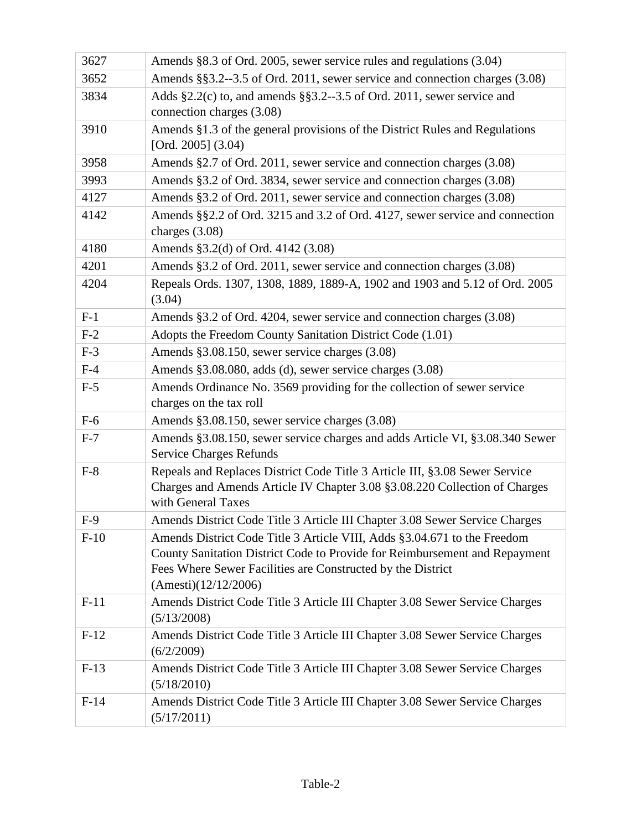| 3627   | Amends §8.3 of Ord. 2005, sewer service rules and regulations (3.04)                                                                                                                                                                          |
|--------|-----------------------------------------------------------------------------------------------------------------------------------------------------------------------------------------------------------------------------------------------|
| 3652   | Amends §§3.2--3.5 of Ord. 2011, sewer service and connection charges (3.08)                                                                                                                                                                   |
| 3834   | Adds $\S2.2(c)$ to, and amends $\S5.2-3.5$ of Ord. 2011, sewer service and<br>connection charges (3.08)                                                                                                                                       |
| 3910   | Amends §1.3 of the general provisions of the District Rules and Regulations<br>[Ord. $2005$ ] $(3.04)$                                                                                                                                        |
| 3958   | Amends §2.7 of Ord. 2011, sewer service and connection charges (3.08)                                                                                                                                                                         |
| 3993   | Amends §3.2 of Ord. 3834, sewer service and connection charges (3.08)                                                                                                                                                                         |
| 4127   | Amends §3.2 of Ord. 2011, sewer service and connection charges (3.08)                                                                                                                                                                         |
| 4142   | Amends §§2.2 of Ord. 3215 and 3.2 of Ord. 4127, sewer service and connection<br>charges $(3.08)$                                                                                                                                              |
| 4180   | Amends §3.2(d) of Ord. 4142 (3.08)                                                                                                                                                                                                            |
| 4201   | Amends §3.2 of Ord. 2011, sewer service and connection charges (3.08)                                                                                                                                                                         |
| 4204   | Repeals Ords. 1307, 1308, 1889, 1889-A, 1902 and 1903 and 5.12 of Ord. 2005<br>(3.04)                                                                                                                                                         |
| $F-1$  | Amends §3.2 of Ord. 4204, sewer service and connection charges (3.08)                                                                                                                                                                         |
| $F-2$  | Adopts the Freedom County Sanitation District Code (1.01)                                                                                                                                                                                     |
| $F-3$  | Amends §3.08.150, sewer service charges (3.08)                                                                                                                                                                                                |
| $F-4$  | Amends §3.08.080, adds (d), sewer service charges (3.08)                                                                                                                                                                                      |
| $F-5$  | Amends Ordinance No. 3569 providing for the collection of sewer service<br>charges on the tax roll                                                                                                                                            |
| $F-6$  | Amends §3.08.150, sewer service charges (3.08)                                                                                                                                                                                                |
| $F-7$  | Amends §3.08.150, sewer service charges and adds Article VI, §3.08.340 Sewer<br><b>Service Charges Refunds</b>                                                                                                                                |
| $F-8$  | Repeals and Replaces District Code Title 3 Article III, §3.08 Sewer Service<br>Charges and Amends Article IV Chapter 3.08 § 3.08.220 Collection of Charges<br>with General Taxes                                                              |
| $F-9$  | Amends District Code Title 3 Article III Chapter 3.08 Sewer Service Charges                                                                                                                                                                   |
| $F-10$ | Amends District Code Title 3 Article VIII, Adds §3.04.671 to the Freedom<br>County Sanitation District Code to Provide for Reimbursement and Repayment<br>Fees Where Sewer Facilities are Constructed by the District<br>(Amesti)(12/12/2006) |
| $F-11$ | Amends District Code Title 3 Article III Chapter 3.08 Sewer Service Charges<br>(5/13/2008)                                                                                                                                                    |
| $F-12$ | Amends District Code Title 3 Article III Chapter 3.08 Sewer Service Charges<br>(6/2/2009)                                                                                                                                                     |
| $F-13$ | Amends District Code Title 3 Article III Chapter 3.08 Sewer Service Charges<br>(5/18/2010)                                                                                                                                                    |
| $F-14$ | Amends District Code Title 3 Article III Chapter 3.08 Sewer Service Charges<br>(5/17/2011)                                                                                                                                                    |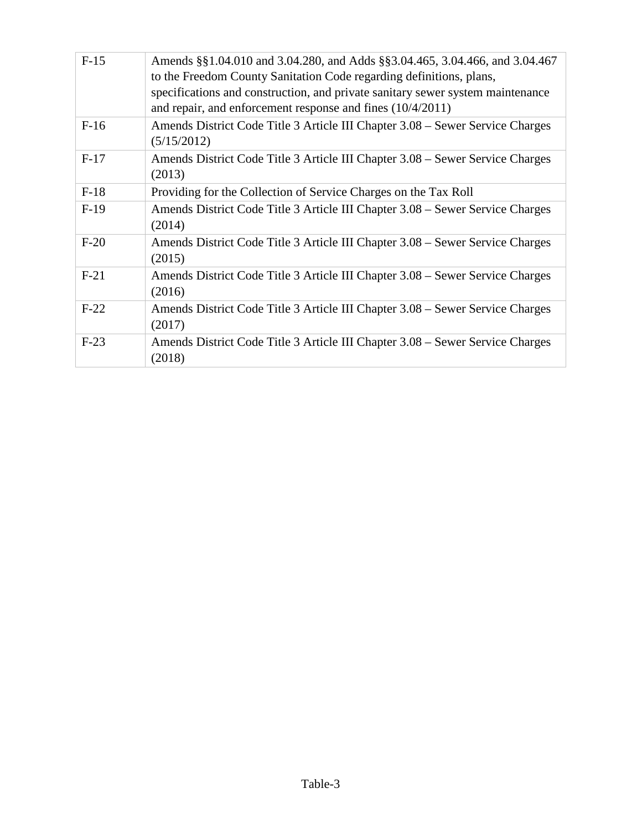| $F-15$ | Amends §§1.04.010 and 3.04.280, and Adds §§3.04.465, 3.04.466, and 3.04.467<br>to the Freedom County Sanitation Code regarding definitions, plans,<br>specifications and construction, and private sanitary sewer system maintenance<br>and repair, and enforcement response and fines $(10/4/2011)$ |
|--------|------------------------------------------------------------------------------------------------------------------------------------------------------------------------------------------------------------------------------------------------------------------------------------------------------|
| $F-16$ | Amends District Code Title 3 Article III Chapter 3.08 – Sewer Service Charges<br>(5/15/2012)                                                                                                                                                                                                         |
| $F-17$ | Amends District Code Title 3 Article III Chapter 3.08 – Sewer Service Charges<br>(2013)                                                                                                                                                                                                              |
| $F-18$ | Providing for the Collection of Service Charges on the Tax Roll                                                                                                                                                                                                                                      |
| $F-19$ | Amends District Code Title 3 Article III Chapter 3.08 – Sewer Service Charges<br>(2014)                                                                                                                                                                                                              |
| $F-20$ | Amends District Code Title 3 Article III Chapter 3.08 - Sewer Service Charges<br>(2015)                                                                                                                                                                                                              |
| $F-21$ | Amends District Code Title 3 Article III Chapter 3.08 – Sewer Service Charges<br>(2016)                                                                                                                                                                                                              |
| $F-22$ | Amends District Code Title 3 Article III Chapter 3.08 – Sewer Service Charges<br>(2017)                                                                                                                                                                                                              |
| $F-23$ | Amends District Code Title 3 Article III Chapter 3.08 - Sewer Service Charges<br>(2018)                                                                                                                                                                                                              |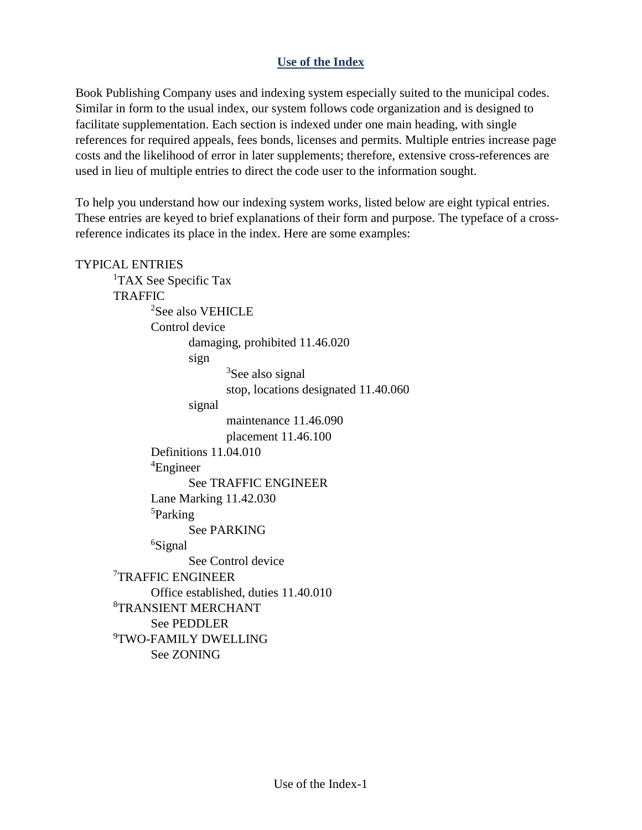# **Use of the Index**

<span id="page-58-0"></span>Book Publishing Company uses and indexing system especially suited to the municipal codes. Similar in form to the usual index, our system follows code organization and is designed to facilitate supplementation. Each section is indexed under one main heading, with single references for required appeals, fees bonds, licenses and permits. Multiple entries increase page costs and the likelihood of error in later supplements; therefore, extensive cross-references are used in lieu of multiple entries to direct the code user to the information sought.

To help you understand how our indexing system works, listed below are eight typical entries. These entries are keyed to brief explanations of their form and purpose. The typeface of a crossreference indicates its place in the index. Here are some examples:

# TYPICAL ENTRIES <sup>1</sup>TAX See Specific Tax **TRAFFIC** 2 See also VEHICLE Control device damaging, prohibited 11.46.020 sign <sup>3</sup>See also signal stop, locations designated 11.40.060 signal maintenance 11.46.090 placement 11.46.100 Definitions 11.04.010 4 Engineer See TRAFFIC ENGINEER Lane Marking 11.42.030 5 Parking See PARKING <sup>6</sup>Signal See Control device 7 TRAFFIC ENGINEER Office established, duties 11.40.010 8 TRANSIENT MERCHANT See PEDDLER 9 TWO-FAMILY DWELLING See ZONING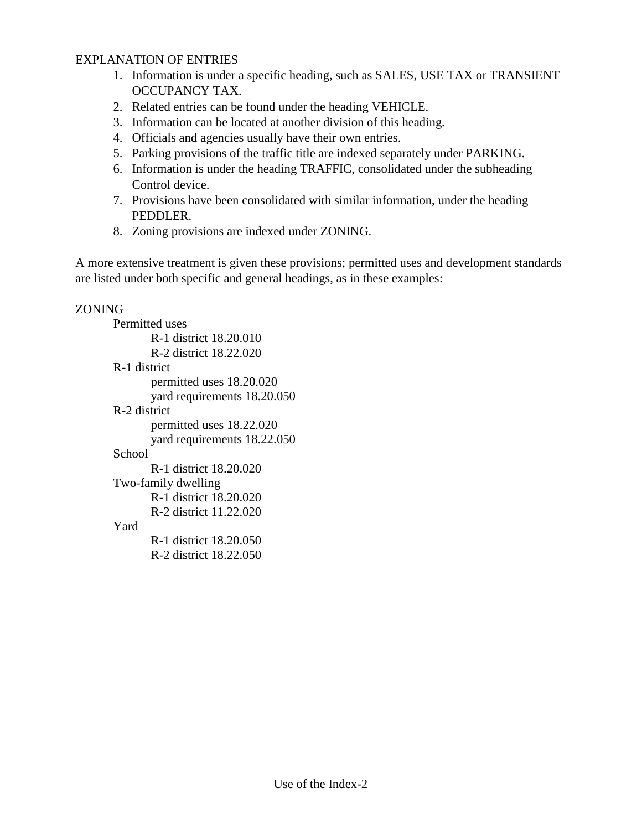## EXPLANATION OF ENTRIES

- 1. Information is under a specific heading, such as SALES, USE TAX or TRANSIENT OCCUPANCY TAX.
- 2. Related entries can be found under the heading VEHICLE.
- 3. Information can be located at another division of this heading.
- 4. Officials and agencies usually have their own entries.
- 5. Parking provisions of the traffic title are indexed separately under PARKING.
- 6. Information is under the heading TRAFFIC, consolidated under the subheading Control device.
- 7. Provisions have been consolidated with similar information, under the heading PEDDLER.
- 8. Zoning provisions are indexed under ZONING.

A more extensive treatment is given these provisions; permitted uses and development standards are listed under both specific and general headings, as in these examples:

#### ZONING

Permitted uses R-1 district 18.20.010 R-2 district 18.22.020 R-1 district permitted uses 18.20.020 yard requirements 18.20.050 R-2 district permitted uses 18.22.020 yard requirements 18.22.050 School R-1 district 18.20.020 Two-family dwelling R-1 district 18.20.020 R-2 district 11.22.020 Yard R-1 district 18.20.050

R-2 district 18.22.050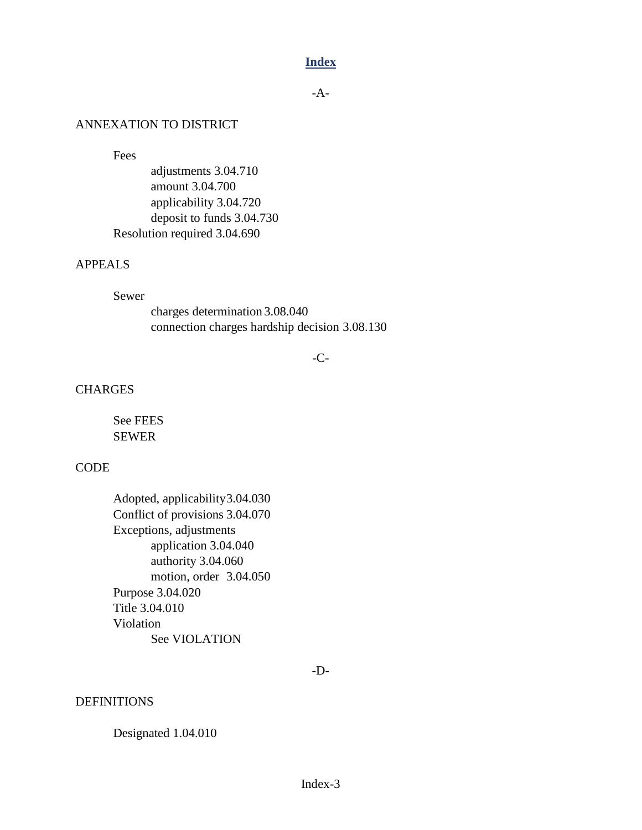#### **Index**

-A-

#### <span id="page-60-0"></span>ANNEXATION TO DISTRICT

Fees

adjustments 3.04.710 amount 3.04.700 applicability 3.04.720 deposit to funds 3.04.730 Resolution required 3.04.690

#### APPEALS

#### Sewer

charges determination 3.08.040 connection charges hardship decision 3.08.130

#### -C-

#### **CHARGES**

See FEES SEWER

#### **CODE**

Adopted, applicability3.04.030 Conflict of provisions 3.04.070 Exceptions, adjustments application 3.04.040 authority 3.04.060 motion, order 3.04.050 Purpose 3.04.020 Title 3.04.010 Violation See VIOLATION

-D-

#### **DEFINITIONS**

Designated 1.04.010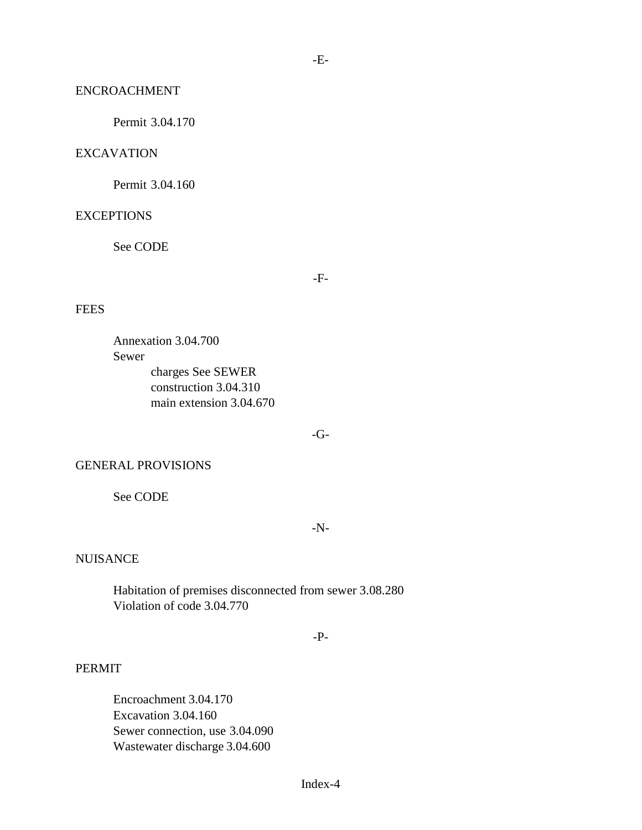#### ENCROACHMENT

Permit 3.04.170

#### EXCAVATION

Permit 3.04.160

#### **EXCEPTIONS**

See CODE

-F-

-E-

#### **FEES**

Annexation 3.04.700 Sewer charges See SEWER construction 3.04.310 main extension 3.04.670

 $-G-$ 

#### GENERAL PROVISIONS

See CODE

-N-

#### NUISANCE

Habitation of premises disconnected from sewer 3.08.280 Violation of code 3.04.770

-P-

#### PERMIT

Encroachment 3.04.170 Excavation 3.04.160 Sewer connection, use 3.04.090 Wastewater discharge 3.04.600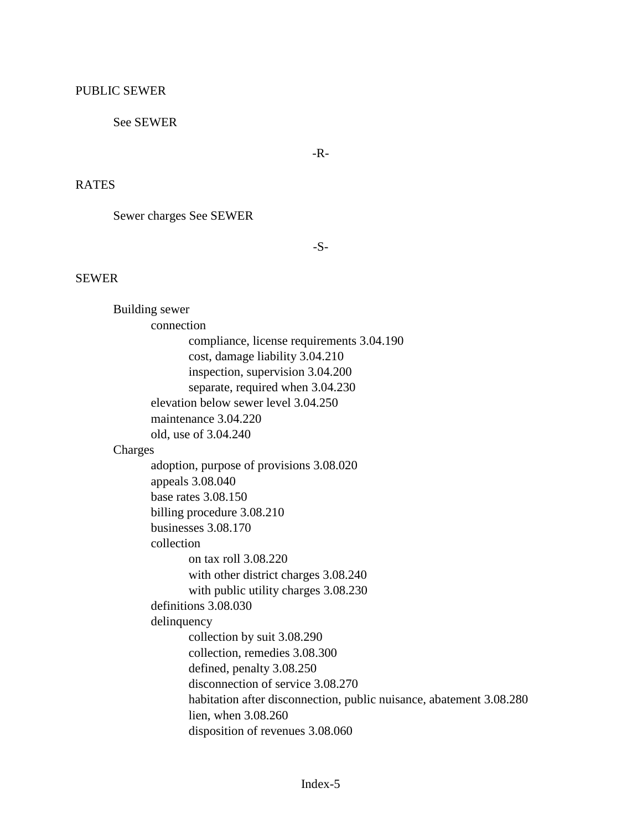# PUBLIC SEWER

# See SEWER

-R-

# RATES

Sewer charges See SEWER

-S-

# SEWER

| Building sewer                                                      |  |
|---------------------------------------------------------------------|--|
| connection                                                          |  |
| compliance, license requirements 3.04.190                           |  |
| cost, damage liability 3.04.210                                     |  |
| inspection, supervision 3.04.200                                    |  |
| separate, required when 3.04.230                                    |  |
| elevation below sewer level 3.04.250                                |  |
| maintenance 3.04.220                                                |  |
| old, use of 3.04.240                                                |  |
| Charges                                                             |  |
| adoption, purpose of provisions 3.08.020                            |  |
| appeals 3.08.040                                                    |  |
| base rates 3.08.150                                                 |  |
| billing procedure 3.08.210                                          |  |
| businesses 3.08.170                                                 |  |
| collection                                                          |  |
| on tax roll 3.08.220                                                |  |
| with other district charges 3.08.240                                |  |
| with public utility charges 3.08.230                                |  |
| definitions 3.08.030                                                |  |
| delinquency                                                         |  |
| collection by suit 3.08.290                                         |  |
| collection, remedies 3.08.300                                       |  |
| defined, penalty 3.08.250                                           |  |
| disconnection of service 3.08.270                                   |  |
| habitation after disconnection, public nuisance, abatement 3.08.280 |  |
| lien, when 3.08.260                                                 |  |
| disposition of revenues 3.08.060                                    |  |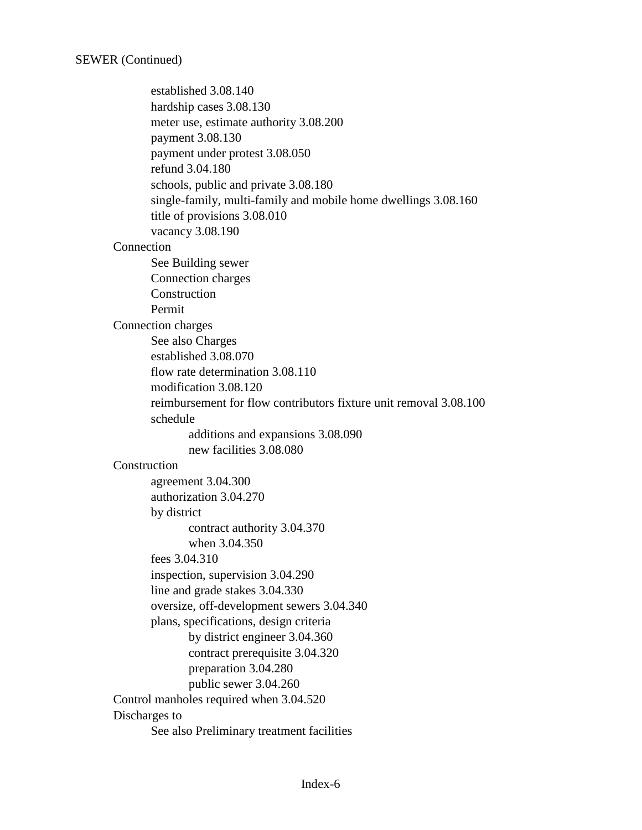established 3.08.140 hardship cases 3.08.130 meter use, estimate authority 3.08.200 payment 3.08.130 payment under protest 3.08.050 refund 3.04.180 schools, public and private 3.08.180 single-family, multi-family and mobile home dwellings 3.08.160 title of provisions 3.08.010 vacancy 3.08.190 **Connection** See Building sewer Connection charges Construction Permit Connection charges See also Charges established 3.08.070 flow rate determination 3.08.110 modification 3.08.120 reimbursement for flow contributors fixture unit removal 3.08.100 schedule additions and expansions 3.08.090 new facilities 3.08.080 **Construction** agreement 3.04.300 authorization 3.04.270 by district contract authority 3.04.370 when 3.04.350 fees 3.04.310 inspection, supervision 3.04.290 line and grade stakes 3.04.330 oversize, off-development sewers 3.04.340 plans, specifications, design criteria by district engineer 3.04.360 contract prerequisite 3.04.320 preparation 3.04.280 public sewer 3.04.260 Control manholes required when 3.04.520 Discharges to See also Preliminary treatment facilities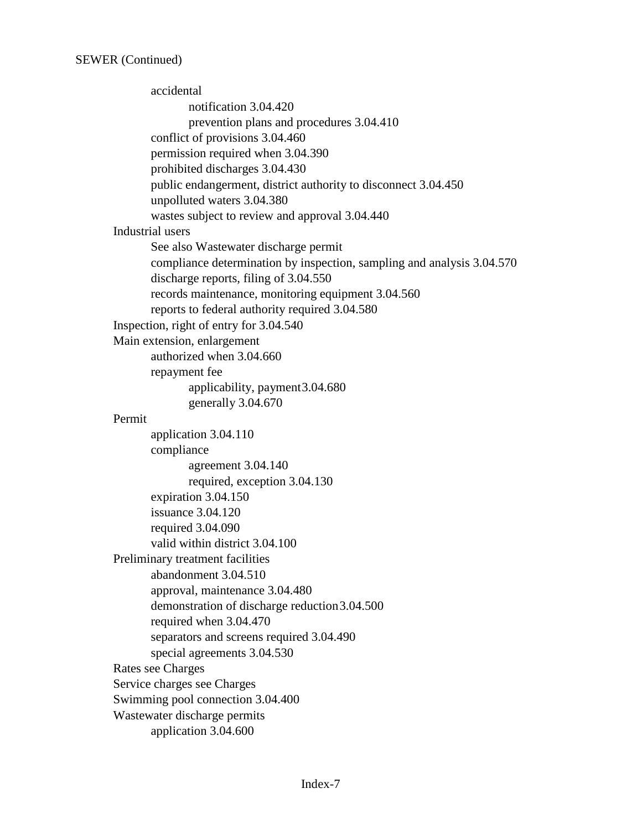accidental notification 3.04.420 prevention plans and procedures 3.04.410 conflict of provisions 3.04.460 permission required when 3.04.390 prohibited discharges 3.04.430 public endangerment, district authority to disconnect 3.04.450 unpolluted waters 3.04.380 wastes subject to review and approval 3.04.440 Industrial users See also Wastewater discharge permit compliance determination by inspection, sampling and analysis 3.04.570 discharge reports, filing of 3.04.550 records maintenance, monitoring equipment 3.04.560 reports to federal authority required 3.04.580 Inspection, right of entry for 3.04.540 Main extension, enlargement authorized when 3.04.660 repayment fee applicability, payment3.04.680 generally 3.04.670 Permit application 3.04.110 compliance agreement 3.04.140 required, exception 3.04.130 expiration 3.04.150 issuance 3.04.120 required 3.04.090 valid within district 3.04.100 Preliminary treatment facilities abandonment 3.04.510 approval, maintenance 3.04.480 demonstration of discharge reduction3.04.500 required when 3.04.470 separators and screens required 3.04.490 special agreements 3.04.530 Rates see Charges Service charges see Charges Swimming pool connection 3.04.400 Wastewater discharge permits application 3.04.600